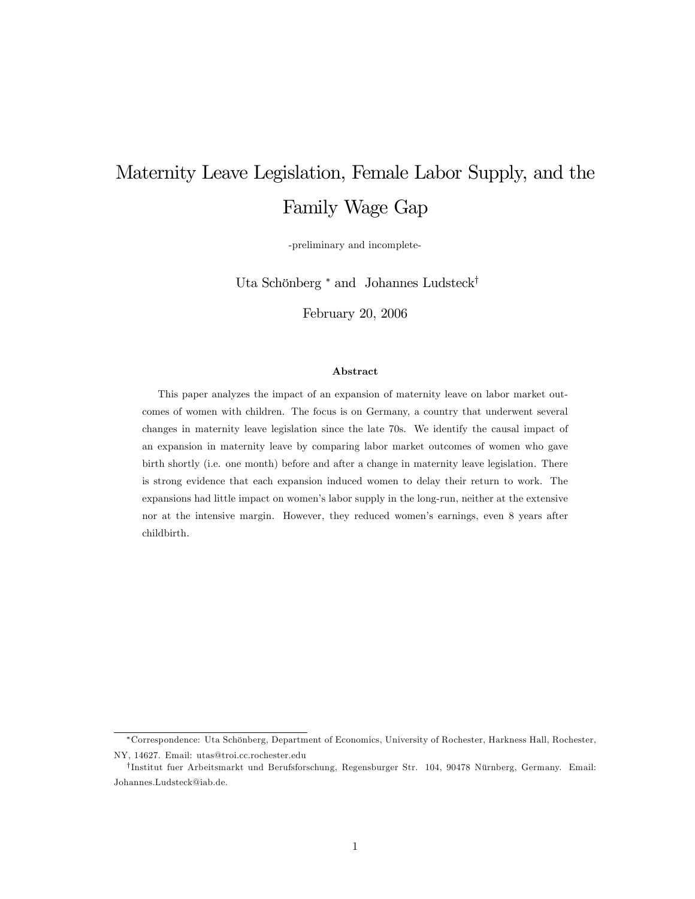# Maternity Leave Legislation, Female Labor Supply, and the Family Wage Gap

-preliminary and incomplete-

Uta Schönberg <sup>∗</sup> and Johannes Ludsteck†

February 20, 2006

#### Abstract

This paper analyzes the impact of an expansion of maternity leave on labor market outcomes of women with children. The focus is on Germany, a country that underwent several changes in maternity leave legislation since the late 70s. We identify the causal impact of an expansion in maternity leave by comparing labor market outcomes of women who gave birth shortly (i.e. one month) before and after a change in maternity leave legislation. There is strong evidence that each expansion induced women to delay their return to work. The expansions had little impact on women's labor supply in the long-run, neither at the extensive nor at the intensive margin. However, they reduced women's earnings, even 8 years after childbirth.

<sup>∗</sup>Correspondence: Uta Schönberg, Department of Economics, University of Rochester, Harkness Hall, Rochester, NY, 14627. Email: utas@troi.cc.rochester.edu

<sup>†</sup>Institut fuer Arbeitsmarkt und Berufsforschung, Regensburger Str. 104, 90478 Nürnberg, Germany. Email: Johannes.Ludsteck@iab.de.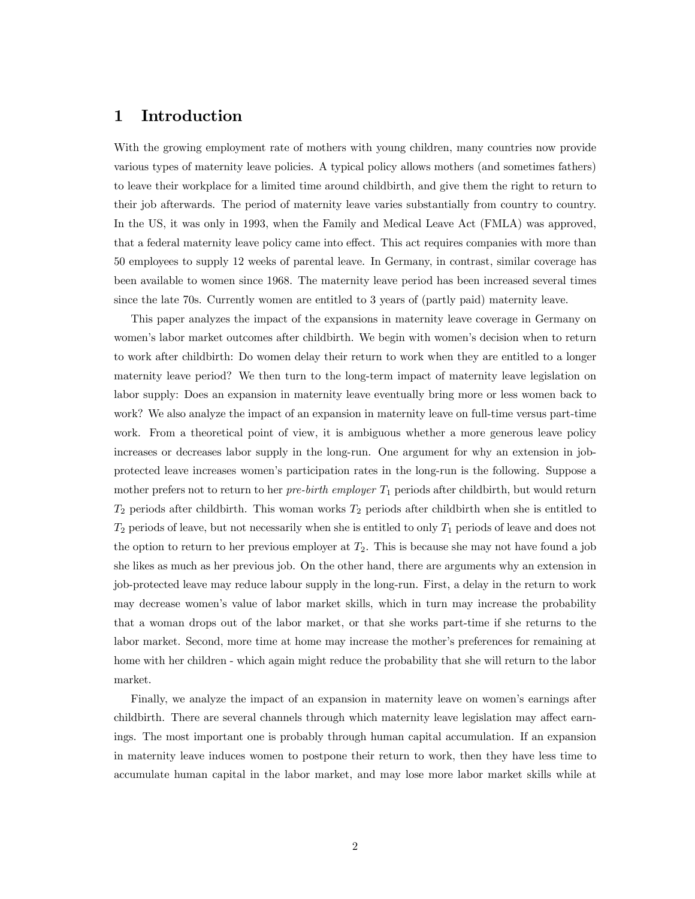# 1 Introduction

With the growing employment rate of mothers with young children, many countries now provide various types of maternity leave policies. A typical policy allows mothers (and sometimes fathers) to leave their workplace for a limited time around childbirth, and give them the right to return to their job afterwards. The period of maternity leave varies substantially from country to country. In the US, it was only in 1993, when the Family and Medical Leave Act (FMLA) was approved, that a federal maternity leave policy came into effect. This act requires companies with more than 50 employees to supply 12 weeks of parental leave. In Germany, in contrast, similar coverage has been available to women since 1968. The maternity leave period has been increased several times since the late 70s. Currently women are entitled to 3 years of (partly paid) maternity leave.

This paper analyzes the impact of the expansions in maternity leave coverage in Germany on women's labor market outcomes after childbirth. We begin with women's decision when to return to work after childbirth: Do women delay their return to work when they are entitled to a longer maternity leave period? We then turn to the long-term impact of maternity leave legislation on labor supply: Does an expansion in maternity leave eventually bring more or less women back to work? We also analyze the impact of an expansion in maternity leave on full-time versus part-time work. From a theoretical point of view, it is ambiguous whether a more generous leave policy increases or decreases labor supply in the long-run. One argument for why an extension in jobprotected leave increases women's participation rates in the long-run is the following. Suppose a mother prefers not to return to her *pre-birth employer*  $T_1$  periods after childbirth, but would return  $T_2$  periods after childbirth. This woman works  $T_2$  periods after childbirth when she is entitled to  $T_2$  periods of leave, but not necessarily when she is entitled to only  $T_1$  periods of leave and does not the option to return to her previous employer at  $T_2$ . This is because she may not have found a job she likes as much as her previous job. On the other hand, there are arguments why an extension in job-protected leave may reduce labour supply in the long-run. First, a delay in the return to work may decrease women's value of labor market skills, which in turn may increase the probability that a woman drops out of the labor market, or that she works part-time if she returns to the labor market. Second, more time at home may increase the mother's preferences for remaining at home with her children - which again might reduce the probability that she will return to the labor market.

Finally, we analyze the impact of an expansion in maternity leave on women's earnings after childbirth. There are several channels through which maternity leave legislation may affect earnings. The most important one is probably through human capital accumulation. If an expansion in maternity leave induces women to postpone their return to work, then they have less time to accumulate human capital in the labor market, and may lose more labor market skills while at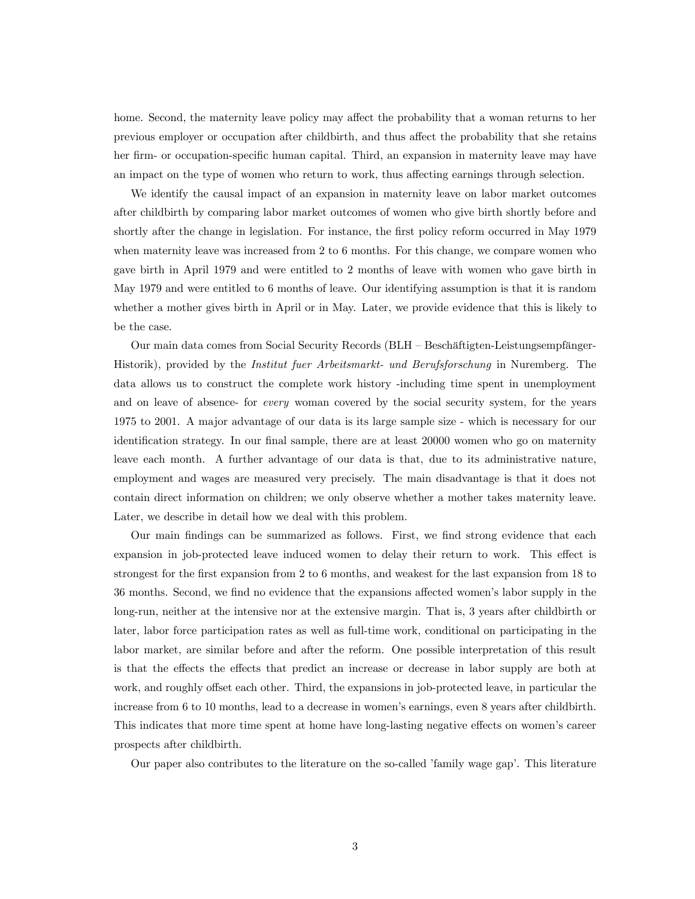home. Second, the maternity leave policy may affect the probability that a woman returns to her previous employer or occupation after childbirth, and thus affect the probability that she retains her firm- or occupation-specific human capital. Third, an expansion in maternity leave may have an impact on the type of women who return to work, thus affecting earnings through selection.

We identify the causal impact of an expansion in maternity leave on labor market outcomes after childbirth by comparing labor market outcomes of women who give birth shortly before and shortly after the change in legislation. For instance, the first policy reform occurred in May 1979 when maternity leave was increased from 2 to 6 months. For this change, we compare women who gave birth in April 1979 and were entitled to 2 months of leave with women who gave birth in May 1979 and were entitled to 6 months of leave. Our identifying assumption is that it is random whether a mother gives birth in April or in May. Later, we provide evidence that this is likely to be the case.

Our main data comes from Social Security Records (BLH — Beschäftigten-Leistungsempfänger-Historik), provided by the Institut fuer Arbeitsmarkt- und Berufsforschung in Nuremberg. The data allows us to construct the complete work history -including time spent in unemployment and on leave of absence- for *every* woman covered by the social security system, for the years 1975 to 2001. A major advantage of our data is its large sample size - which is necessary for our identification strategy. In our final sample, there are at least 20000 women who go on maternity leave each month. A further advantage of our data is that, due to its administrative nature, employment and wages are measured very precisely. The main disadvantage is that it does not contain direct information on children; we only observe whether a mother takes maternity leave. Later, we describe in detail how we deal with this problem.

Our main findings can be summarized as follows. First, we find strong evidence that each expansion in job-protected leave induced women to delay their return to work. This effect is strongest for the first expansion from 2 to 6 months, and weakest for the last expansion from 18 to 36 months. Second, we find no evidence that the expansions affected women's labor supply in the long-run, neither at the intensive nor at the extensive margin. That is, 3 years after childbirth or later, labor force participation rates as well as full-time work, conditional on participating in the labor market, are similar before and after the reform. One possible interpretation of this result is that the effects the effects that predict an increase or decrease in labor supply are both at work, and roughly offset each other. Third, the expansions in job-protected leave, in particular the increase from 6 to 10 months, lead to a decrease in women's earnings, even 8 years after childbirth. This indicates that more time spent at home have long-lasting negative effects on women's career prospects after childbirth.

Our paper also contributes to the literature on the so-called 'family wage gap'. This literature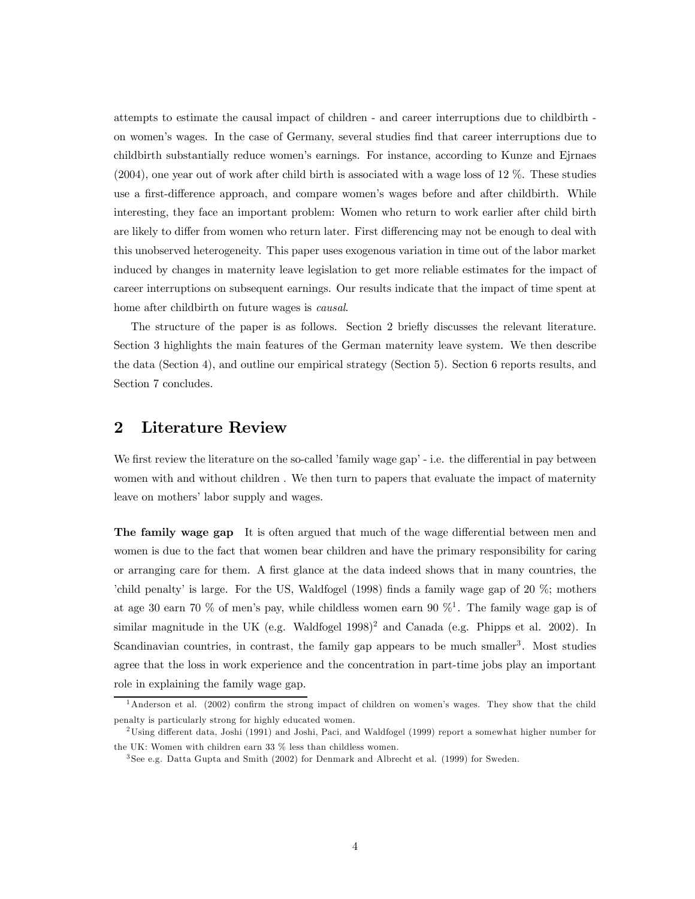attempts to estimate the causal impact of children - and career interruptions due to childbirth on women's wages. In the case of Germany, several studies find that career interruptions due to childbirth substantially reduce women's earnings. For instance, according to Kunze and Ejrnaes (2004), one year out of work after child birth is associated with a wage loss of 12 %. These studies use a first-difference approach, and compare women's wages before and after childbirth. While interesting, they face an important problem: Women who return to work earlier after child birth are likely to differ from women who return later. First differencing may not be enough to deal with this unobserved heterogeneity. This paper uses exogenous variation in time out of the labor market induced by changes in maternity leave legislation to get more reliable estimates for the impact of career interruptions on subsequent earnings. Our results indicate that the impact of time spent at home after childbirth on future wages is causal.

The structure of the paper is as follows. Section 2 briefly discusses the relevant literature. Section 3 highlights the main features of the German maternity leave system. We then describe the data (Section 4), and outline our empirical strategy (Section 5). Section 6 reports results, and Section 7 concludes.

# 2 Literature Review

We first review the literature on the so-called 'family wage gap' - i.e. the differential in pay between women with and without children . We then turn to papers that evaluate the impact of maternity leave on mothers' labor supply and wages.

The family wage gap It is often argued that much of the wage differential between men and women is due to the fact that women bear children and have the primary responsibility for caring or arranging care for them. A first glance at the data indeed shows that in many countries, the 'child penalty' is large. For the US, Waldfogel (1998) finds a family wage gap of 20 %; mothers at age 30 earn 70 % of men's pay, while childless women earn 90  $\%$ <sup>1</sup>. The family wage gap is of similar magnitude in the UK (e.g. Waldfogel  $1998$ )<sup>2</sup> and Canada (e.g. Phipps et al. 2002). In Scandinavian countries, in contrast, the family gap appears to be much smaller<sup>3</sup>. Most studies agree that the loss in work experience and the concentration in part-time jobs play an important role in explaining the family wage gap.

<sup>&</sup>lt;sup>1</sup>Anderson et al. (2002) confirm the strong impact of children on women's wages. They show that the child penalty is particularly strong for highly educated women.

<sup>2</sup>Using different data, Joshi (1991) and Joshi, Paci, and Waldfogel (1999) report a somewhat higher number for the UK: Women with children earn 33 % less than childless women.

<sup>3</sup> See e.g. Datta Gupta and Smith (2002) for Denmark and Albrecht et al. (1999) for Sweden.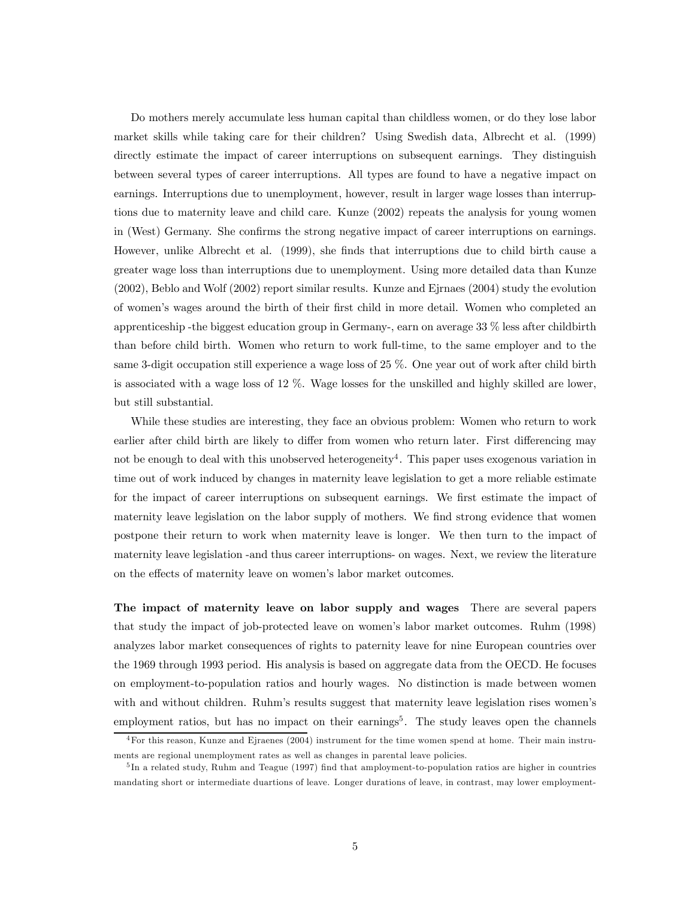Do mothers merely accumulate less human capital than childless women, or do they lose labor market skills while taking care for their children? Using Swedish data, Albrecht et al. (1999) directly estimate the impact of career interruptions on subsequent earnings. They distinguish between several types of career interruptions. All types are found to have a negative impact on earnings. Interruptions due to unemployment, however, result in larger wage losses than interruptions due to maternity leave and child care. Kunze (2002) repeats the analysis for young women in (West) Germany. She confirms the strong negative impact of career interruptions on earnings. However, unlike Albrecht et al. (1999), she finds that interruptions due to child birth cause a greater wage loss than interruptions due to unemployment. Using more detailed data than Kunze (2002), Beblo and Wolf (2002) report similar results. Kunze and Ejrnaes (2004) study the evolution of women's wages around the birth of their first child in more detail. Women who completed an apprenticeship -the biggest education group in Germany-, earn on average 33 % less after childbirth than before child birth. Women who return to work full-time, to the same employer and to the same 3-digit occupation still experience a wage loss of 25 %. One year out of work after child birth is associated with a wage loss of 12 %. Wage losses for the unskilled and highly skilled are lower, but still substantial.

While these studies are interesting, they face an obvious problem: Women who return to work earlier after child birth are likely to differ from women who return later. First differencing may not be enough to deal with this unobserved heterogeneity<sup>4</sup>. This paper uses exogenous variation in time out of work induced by changes in maternity leave legislation to get a more reliable estimate for the impact of career interruptions on subsequent earnings. We first estimate the impact of maternity leave legislation on the labor supply of mothers. We find strong evidence that women postpone their return to work when maternity leave is longer. We then turn to the impact of maternity leave legislation -and thus career interruptions- on wages. Next, we review the literature on the effects of maternity leave on women's labor market outcomes.

The impact of maternity leave on labor supply and wages There are several papers that study the impact of job-protected leave on women's labor market outcomes. Ruhm (1998) analyzes labor market consequences of rights to paternity leave for nine European countries over the 1969 through 1993 period. His analysis is based on aggregate data from the OECD. He focuses on employment-to-population ratios and hourly wages. No distinction is made between women with and without children. Ruhm's results suggest that maternity leave legislation rises women's employment ratios, but has no impact on their earnings<sup>5</sup>. The study leaves open the channels

<sup>4</sup>For this reason, Kunze and Ejraenes (2004) instrument for the time women spend at home. Their main instruments are regional unemployment rates as well as changes in parental leave policies.

<sup>&</sup>lt;sup>5</sup>In a related study, Ruhm and Teague (1997) find that amployment-to-population ratios are higher in countries mandating short or intermediate duartions of leave. Longer durations of leave, in contrast, may lower employment-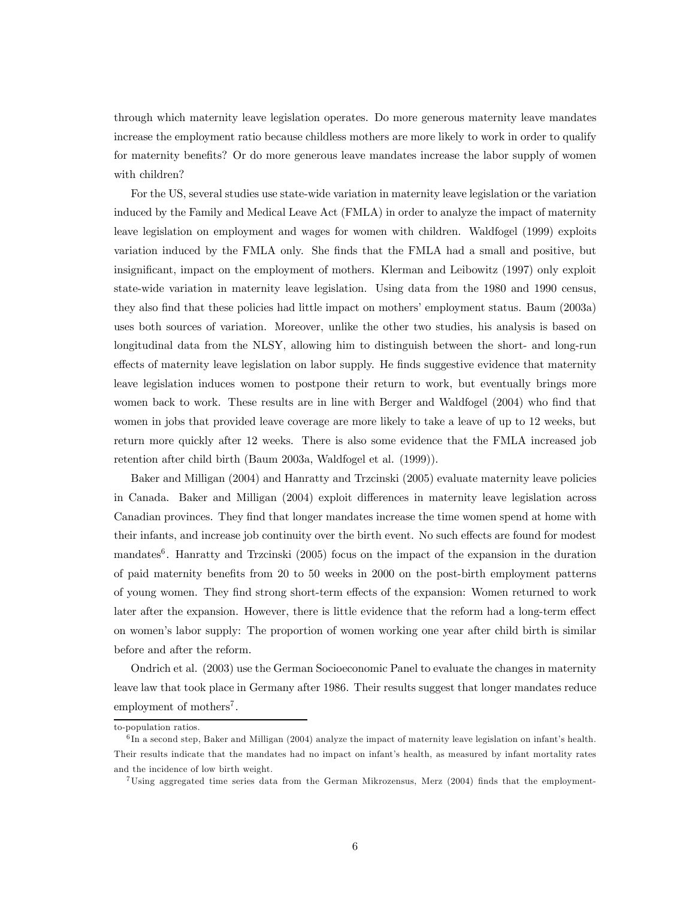through which maternity leave legislation operates. Do more generous maternity leave mandates increase the employment ratio because childless mothers are more likely to work in order to qualify for maternity benefits? Or do more generous leave mandates increase the labor supply of women with children?

For the US, several studies use state-wide variation in maternity leave legislation or the variation induced by the Family and Medical Leave Act (FMLA) in order to analyze the impact of maternity leave legislation on employment and wages for women with children. Waldfogel (1999) exploits variation induced by the FMLA only. She finds that the FMLA had a small and positive, but insignificant, impact on the employment of mothers. Klerman and Leibowitz (1997) only exploit state-wide variation in maternity leave legislation. Using data from the 1980 and 1990 census, they also find that these policies had little impact on mothers' employment status. Baum (2003a) uses both sources of variation. Moreover, unlike the other two studies, his analysis is based on longitudinal data from the NLSY, allowing him to distinguish between the short- and long-run effects of maternity leave legislation on labor supply. He finds suggestive evidence that maternity leave legislation induces women to postpone their return to work, but eventually brings more women back to work. These results are in line with Berger and Waldfogel (2004) who find that women in jobs that provided leave coverage are more likely to take a leave of up to 12 weeks, but return more quickly after 12 weeks. There is also some evidence that the FMLA increased job retention after child birth (Baum 2003a, Waldfogel et al. (1999)).

Baker and Milligan (2004) and Hanratty and Trzcinski (2005) evaluate maternity leave policies in Canada. Baker and Milligan (2004) exploit differences in maternity leave legislation across Canadian provinces. They find that longer mandates increase the time women spend at home with their infants, and increase job continuity over the birth event. No such effects are found for modest mandates<sup>6</sup>. Hanratty and Trzcinski (2005) focus on the impact of the expansion in the duration of paid maternity benefits from 20 to 50 weeks in 2000 on the post-birth employment patterns of young women. They find strong short-term effects of the expansion: Women returned to work later after the expansion. However, there is little evidence that the reform had a long-term effect on women's labor supply: The proportion of women working one year after child birth is similar before and after the reform.

Ondrich et al. (2003) use the German Socioeconomic Panel to evaluate the changes in maternity leave law that took place in Germany after 1986. Their results suggest that longer mandates reduce employment of mothers<sup>7</sup>.

to-population ratios.

 $6$ In a second step, Baker and Milligan (2004) analyze the impact of maternity leave legislation on infant's health. Their results indicate that the mandates had no impact on infant's health, as measured by infant mortality rates and the incidence of low birth weight.

<sup>7</sup>Using aggregated time series data from the German Mikrozensus, Merz (2004) finds that the employment-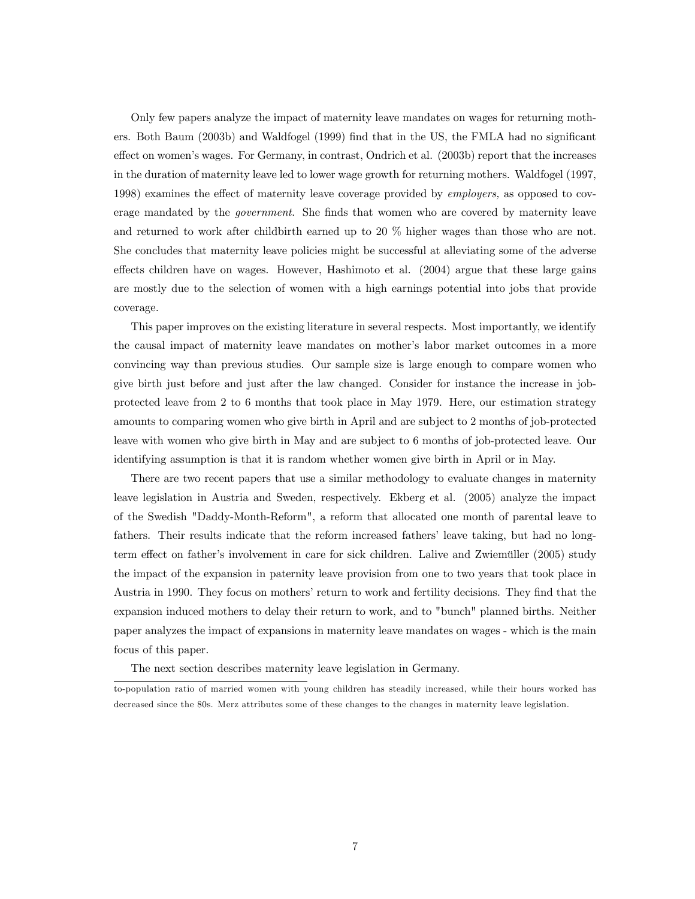Only few papers analyze the impact of maternity leave mandates on wages for returning mothers. Both Baum (2003b) and Waldfogel (1999) find that in the US, the FMLA had no significant effect on women's wages. For Germany, in contrast, Ondrich et al. (2003b) report that the increases in the duration of maternity leave led to lower wage growth for returning mothers. Waldfogel (1997, 1998) examines the effect of maternity leave coverage provided by employers, as opposed to coverage mandated by the government. She finds that women who are covered by maternity leave and returned to work after childbirth earned up to 20 % higher wages than those who are not. She concludes that maternity leave policies might be successful at alleviating some of the adverse effects children have on wages. However, Hashimoto et al. (2004) argue that these large gains are mostly due to the selection of women with a high earnings potential into jobs that provide coverage.

This paper improves on the existing literature in several respects. Most importantly, we identify the causal impact of maternity leave mandates on mother's labor market outcomes in a more convincing way than previous studies. Our sample size is large enough to compare women who give birth just before and just after the law changed. Consider for instance the increase in jobprotected leave from 2 to 6 months that took place in May 1979. Here, our estimation strategy amounts to comparing women who give birth in April and are subject to 2 months of job-protected leave with women who give birth in May and are subject to 6 months of job-protected leave. Our identifying assumption is that it is random whether women give birth in April or in May.

There are two recent papers that use a similar methodology to evaluate changes in maternity leave legislation in Austria and Sweden, respectively. Ekberg et al. (2005) analyze the impact of the Swedish "Daddy-Month-Reform", a reform that allocated one month of parental leave to fathers. Their results indicate that the reform increased fathers' leave taking, but had no longterm effect on father's involvement in care for sick children. Lalive and Zwiemüller (2005) study the impact of the expansion in paternity leave provision from one to two years that took place in Austria in 1990. They focus on mothers' return to work and fertility decisions. They find that the expansion induced mothers to delay their return to work, and to "bunch" planned births. Neither paper analyzes the impact of expansions in maternity leave mandates on wages - which is the main focus of this paper.

The next section describes maternity leave legislation in Germany.

to-population ratio of married women with young children has steadily increased, while their hours worked has decreased since the 80s. Merz attributes some of these changes to the changes in maternity leave legislation.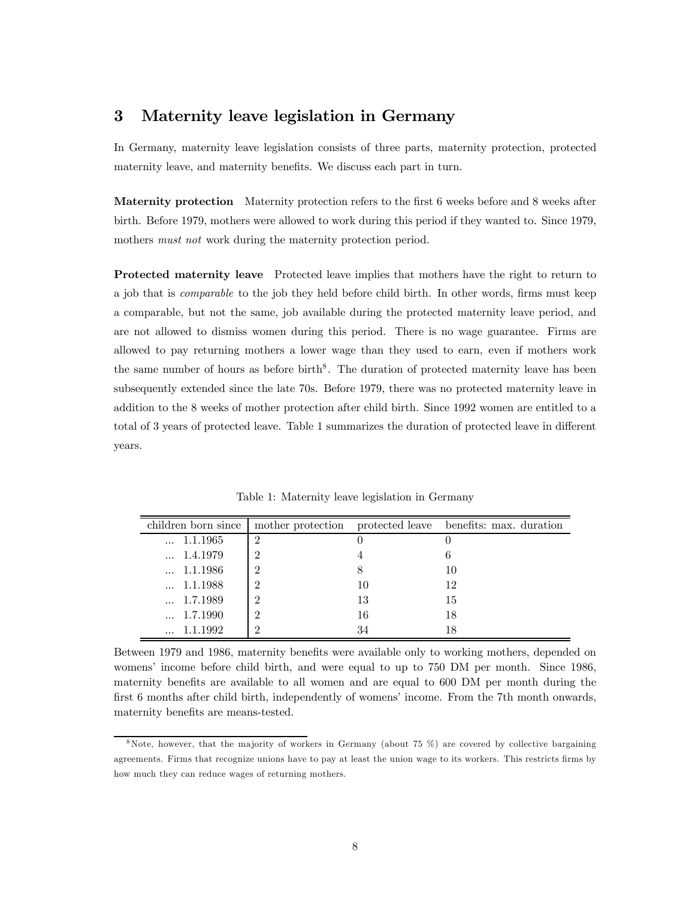# 3 Maternity leave legislation in Germany

In Germany, maternity leave legislation consists of three parts, maternity protection, protected maternity leave, and maternity benefits. We discuss each part in turn.

Maternity protection Maternity protection refers to the first 6 weeks before and 8 weeks after birth. Before 1979, mothers were allowed to work during this period if they wanted to. Since 1979, mothers *must not* work during the maternity protection period.

Protected maternity leave Protected leave implies that mothers have the right to return to a job that is comparable to the job they held before child birth. In other words, firms must keep a comparable, but not the same, job available during the protected maternity leave period, and are not allowed to dismiss women during this period. There is no wage guarantee. Firms are allowed to pay returning mothers a lower wage than they used to earn, even if mothers work the same number of hours as before birth<sup>8</sup>. The duration of protected maternity leave has been subsequently extended since the late 70s. Before 1979, there was no protected maternity leave in addition to the 8 weeks of mother protection after child birth. Since 1992 women are entitled to a total of 3 years of protected leave. Table 1 summarizes the duration of protected leave in different years.

| children born since 1 |                |    | mother protection protected leave benefits: max. duration |
|-----------------------|----------------|----|-----------------------------------------------------------|
| $\dots$ 1.1.1965      | $\overline{2}$ |    |                                                           |
| $\dots$ 1.4.1979      | 2              |    |                                                           |
| $\dots$ 1.1.1986      | 2              | 8  | 10                                                        |
| $\dots$ 1.1.1988      | 2              | 10 | 12                                                        |
| $\dots$ 1.7.1989      | 2              | 13 | 15                                                        |
| $\dots$ 1.7.1990      | 2              | 16 | 18                                                        |
| $\dots$ 1.1.1992      | ٠,             | 34 | 18                                                        |

Table 1: Maternity leave legislation in Germany

Between 1979 and 1986, maternity benefits were available only to working mothers, depended on womens' income before child birth, and were equal to up to 750 DM per month. Since 1986, maternity benefits are available to all women and are equal to 600 DM per month during the first 6 months after child birth, independently of womens' income. From the 7th month onwards, maternity benefits are means-tested.

 $8$ Note, however, that the majority of workers in Germany (about 75 %) are covered by collective bargaining agreements. Firms that recognize unions have to pay at least the union wage to its workers. This restricts firms by how much they can reduce wages of returning mothers.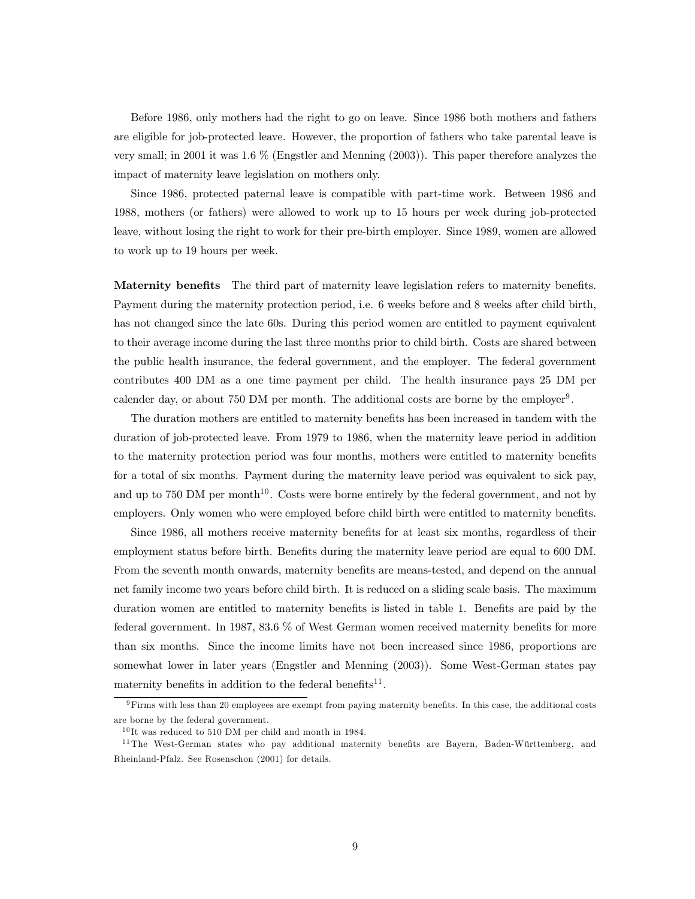Before 1986, only mothers had the right to go on leave. Since 1986 both mothers and fathers are eligible for job-protected leave. However, the proportion of fathers who take parental leave is very small; in 2001 it was 1.6 % (Engstler and Menning (2003)). This paper therefore analyzes the impact of maternity leave legislation on mothers only.

Since 1986, protected paternal leave is compatible with part-time work. Between 1986 and 1988, mothers (or fathers) were allowed to work up to 15 hours per week during job-protected leave, without losing the right to work for their pre-birth employer. Since 1989, women are allowed to work up to 19 hours per week.

Maternity benefits The third part of maternity leave legislation refers to maternity benefits. Payment during the maternity protection period, i.e. 6 weeks before and 8 weeks after child birth, has not changed since the late 60s. During this period women are entitled to payment equivalent to their average income during the last three months prior to child birth. Costs are shared between the public health insurance, the federal government, and the employer. The federal government contributes 400 DM as a one time payment per child. The health insurance pays 25 DM per calender day, or about 750 DM per month. The additional costs are borne by the employer<sup>9</sup>.

The duration mothers are entitled to maternity benefits has been increased in tandem with the duration of job-protected leave. From 1979 to 1986, when the maternity leave period in addition to the maternity protection period was four months, mothers were entitled to maternity benefits for a total of six months. Payment during the maternity leave period was equivalent to sick pay, and up to 750 DM per month<sup>10</sup>. Costs were borne entirely by the federal government, and not by employers. Only women who were employed before child birth were entitled to maternity benefits.

Since 1986, all mothers receive maternity benefits for at least six months, regardless of their employment status before birth. Benefits during the maternity leave period are equal to 600 DM. From the seventh month onwards, maternity benefits are means-tested, and depend on the annual net family income two years before child birth. It is reduced on a sliding scale basis. The maximum duration women are entitled to maternity benefits is listed in table 1. Benefits are paid by the federal government. In 1987, 83.6 % of West German women received maternity benefits for more than six months. Since the income limits have not been increased since 1986, proportions are somewhat lower in later years (Engstler and Menning (2003)). Some West-German states pay maternity benefits in addition to the federal benefits $11$ .

<sup>9</sup>Firms with less than 20 employees are exempt from paying maternity benefits. In this case, the additional costs are borne by the federal government.

 $10$  It was reduced to 510 DM per child and month in 1984.

<sup>&</sup>lt;sup>11</sup>The West-German states who pay additional maternity benefits are Bayern, Baden-Württemberg, and Rheinland-Pfalz. See Rosenschon (2001) for details.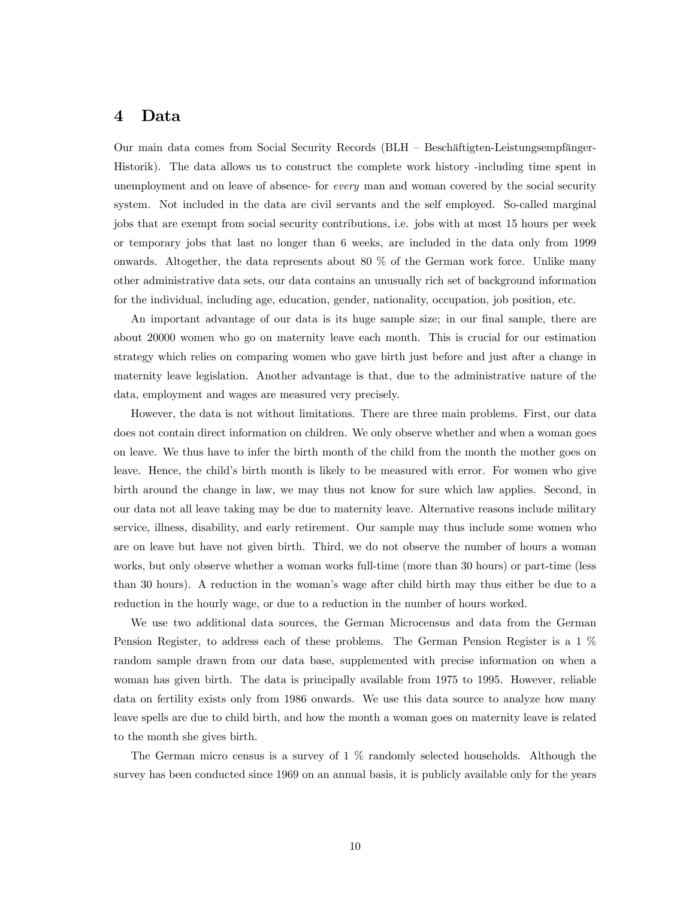### 4 Data

Our main data comes from Social Security Records (BLH — Beschäftigten-Leistungsempfänger-Historik). The data allows us to construct the complete work history -including time spent in unemployment and on leave of absence- for *every* man and woman covered by the social security system. Not included in the data are civil servants and the self employed. So-called marginal jobs that are exempt from social security contributions, i.e. jobs with at most 15 hours per week or temporary jobs that last no longer than 6 weeks, are included in the data only from 1999 onwards. Altogether, the data represents about 80 % of the German work force. Unlike many other administrative data sets, our data contains an unusually rich set of background information for the individual, including age, education, gender, nationality, occupation, job position, etc.

An important advantage of our data is its huge sample size; in our final sample, there are about 20000 women who go on maternity leave each month. This is crucial for our estimation strategy which relies on comparing women who gave birth just before and just after a change in maternity leave legislation. Another advantage is that, due to the administrative nature of the data, employment and wages are measured very precisely.

However, the data is not without limitations. There are three main problems. First, our data does not contain direct information on children. We only observe whether and when a woman goes on leave. We thus have to infer the birth month of the child from the month the mother goes on leave. Hence, the child's birth month is likely to be measured with error. For women who give birth around the change in law, we may thus not know for sure which law applies. Second, in our data not all leave taking may be due to maternity leave. Alternative reasons include military service, illness, disability, and early retirement. Our sample may thus include some women who are on leave but have not given birth. Third, we do not observe the number of hours a woman works, but only observe whether a woman works full-time (more than 30 hours) or part-time (less than 30 hours). A reduction in the woman's wage after child birth may thus either be due to a reduction in the hourly wage, or due to a reduction in the number of hours worked.

We use two additional data sources, the German Microcensus and data from the German Pension Register, to address each of these problems. The German Pension Register is a 1 % random sample drawn from our data base, supplemented with precise information on when a woman has given birth. The data is principally available from 1975 to 1995. However, reliable data on fertility exists only from 1986 onwards. We use this data source to analyze how many leave spells are due to child birth, and how the month a woman goes on maternity leave is related to the month she gives birth.

The German micro census is a survey of 1 % randomly selected households. Although the survey has been conducted since 1969 on an annual basis, it is publicly available only for the years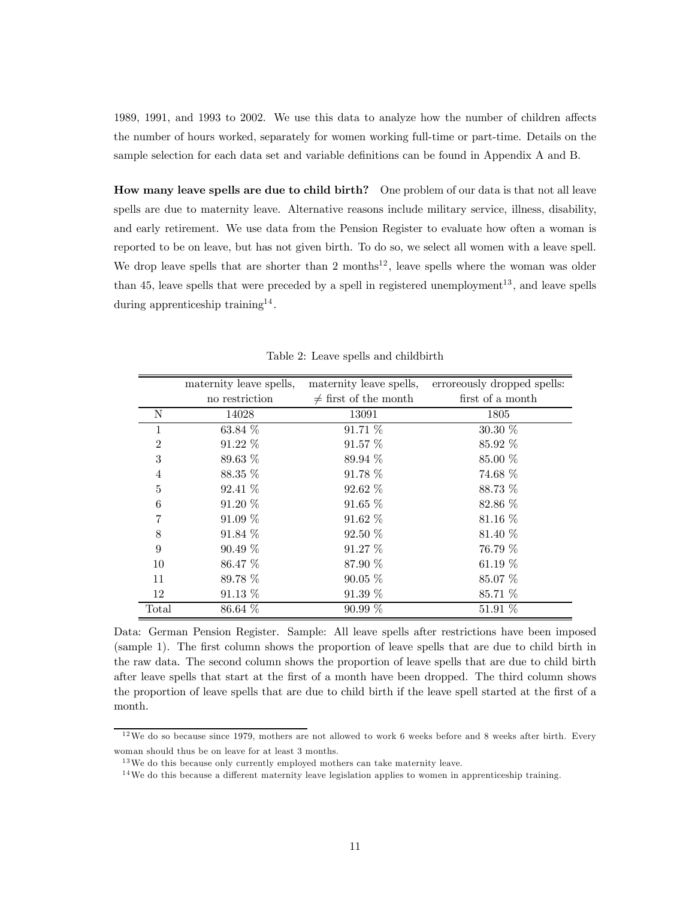1989, 1991, and 1993 to 2002. We use this data to analyze how the number of children affects the number of hours worked, separately for women working full-time or part-time. Details on the sample selection for each data set and variable definitions can be found in Appendix A and B.

How many leave spells are due to child birth? One problem of our data is that not all leave spells are due to maternity leave. Alternative reasons include military service, illness, disability, and early retirement. We use data from the Pension Register to evaluate how often a woman is reported to be on leave, but has not given birth. To do so, we select all women with a leave spell. We drop leave spells that are shorter than 2 months<sup>12</sup>, leave spells where the woman was older than 45, leave spells that were preceded by a spell in registered unemployment<sup>13</sup>, and leave spells during apprenticeship training<sup>14</sup>.

|                | maternity leave spells, | maternity leave spells,   | erroreously dropped spells: |
|----------------|-------------------------|---------------------------|-----------------------------|
|                | no restriction          | $\neq$ first of the month | first of a month            |
| N              | 14028                   | 13091                     | 1805                        |
| 1              | 63.84 %                 | 91.71 %                   | $30.30\%$                   |
| $\overline{2}$ | $91.22\%$               | $91.57\%$                 | 85.92 %                     |
| 3              | 89.63 %                 | 89.94 %                   | 85.00 %                     |
| 4              | 88.35 %                 | 91.78 %                   | 74.68 %                     |
| 5              | $92.41\%$               | $92.62\%$                 | 88.73 %                     |
| 6              | $91.20\%$               | $91.65\%$                 | 82.86 %                     |
|                | $91.09\%$               | $91.62\%$                 | 81.16 \%                    |
| 8              | $91.84\%$               | $92.50\%$                 | 81.40 %                     |
| 9              | $90.49\%$               | 91.27%                    | 76.79 %                     |
| 10             | 86.47 \%                | 87.90 %                   | 61.19 $%$                   |
| 11             | 89.78 %                 | $90.05\%$                 | 85.07 %                     |
| 12             | $91.13\%$               | 91.39%                    | 85.71 %                     |
| Total          | 86.64 %                 | $90.99\%$                 | 51.91 %                     |

Table 2: Leave spells and childbirth

Data: German Pension Register. Sample: All leave spells after restrictions have been imposed (sample 1). The first column shows the proportion of leave spells that are due to child birth in the raw data. The second column shows the proportion of leave spells that are due to child birth after leave spells that start at the first of a month have been dropped. The third column shows the proportion of leave spells that are due to child birth if the leave spell started at the first of a month.

 $12$  We do so because since 1979, mothers are not allowed to work 6 weeks before and 8 weeks after birth. Every woman should thus be on leave for at least 3 months.

 $13$  We do this because only currently employed mothers can take maternity leave.

 $14$ We do this because a different maternity leave legislation applies to women in apprenticeship training.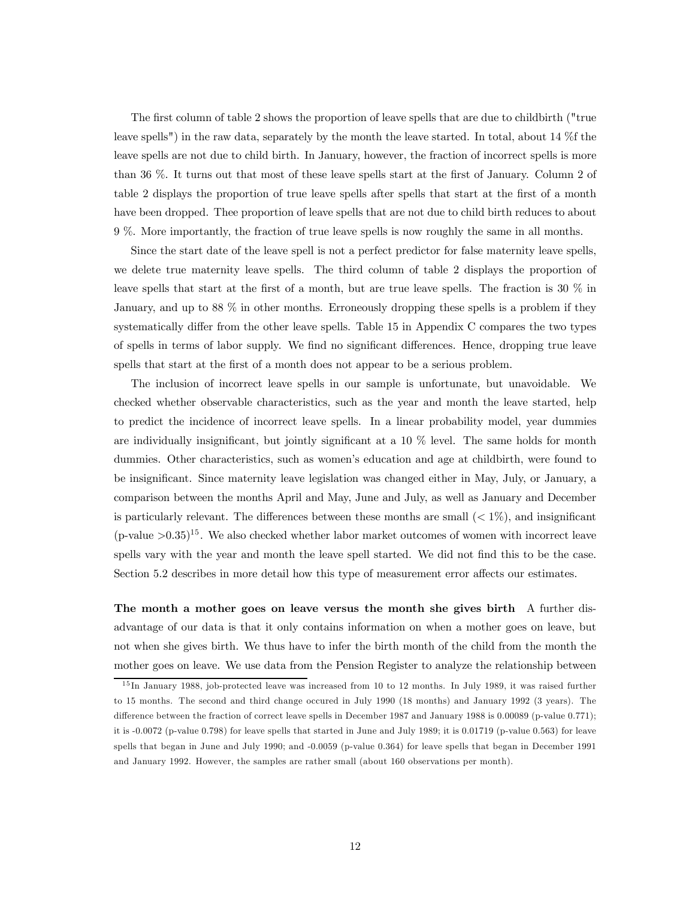The first column of table 2 shows the proportion of leave spells that are due to childbirth ("true leave spells") in the raw data, separately by the month the leave started. In total, about 14 %f the leave spells are not due to child birth. In January, however, the fraction of incorrect spells is more than 36 %. It turns out that most of these leave spells start at the first of January. Column 2 of table 2 displays the proportion of true leave spells after spells that start at the first of a month have been dropped. Thee proportion of leave spells that are not due to child birth reduces to about 9 %. More importantly, the fraction of true leave spells is now roughly the same in all months.

Since the start date of the leave spell is not a perfect predictor for false maternity leave spells, we delete true maternity leave spells. The third column of table 2 displays the proportion of leave spells that start at the first of a month, but are true leave spells. The fraction is 30 % in January, and up to 88 % in other months. Erroneously dropping these spells is a problem if they systematically differ from the other leave spells. Table 15 in Appendix C compares the two types of spells in terms of labor supply. We find no significant differences. Hence, dropping true leave spells that start at the first of a month does not appear to be a serious problem.

The inclusion of incorrect leave spells in our sample is unfortunate, but unavoidable. We checked whether observable characteristics, such as the year and month the leave started, help to predict the incidence of incorrect leave spells. In a linear probability model, year dummies are individually insignificant, but jointly significant at a 10 % level. The same holds for month dummies. Other characteristics, such as women's education and age at childbirth, were found to be insignificant. Since maternity leave legislation was changed either in May, July, or January, a comparison between the months April and May, June and July, as well as January and December is particularly relevant. The differences between these months are small  $(< 1\%)$ , and insignificant  $(p-value > 0.35)^{15}$ . We also checked whether labor market outcomes of women with incorrect leave spells vary with the year and month the leave spell started. We did not find this to be the case. Section 5.2 describes in more detail how this type of measurement error affects our estimates.

The month a mother goes on leave versus the month she gives birth A further disadvantage of our data is that it only contains information on when a mother goes on leave, but not when she gives birth. We thus have to infer the birth month of the child from the month the mother goes on leave. We use data from the Pension Register to analyze the relationship between

<sup>&</sup>lt;sup>15</sup>In January 1988, job-protected leave was increased from 10 to 12 months. In July 1989, it was raised further to 15 months. The second and third change occured in July 1990 (18 months) and January 1992 (3 years). The difference between the fraction of correct leave spells in December 1987 and January 1988 is 0.00089 (p-value 0.771); it is -0.0072 (p-value 0.798) for leave spells that started in June and July 1989; it is 0.01719 (p-value 0.563) for leave spells that began in June and July 1990; and -0.0059 (p-value 0.364) for leave spells that began in December 1991 and January 1992. However, the samples are rather small (about 160 observations per month).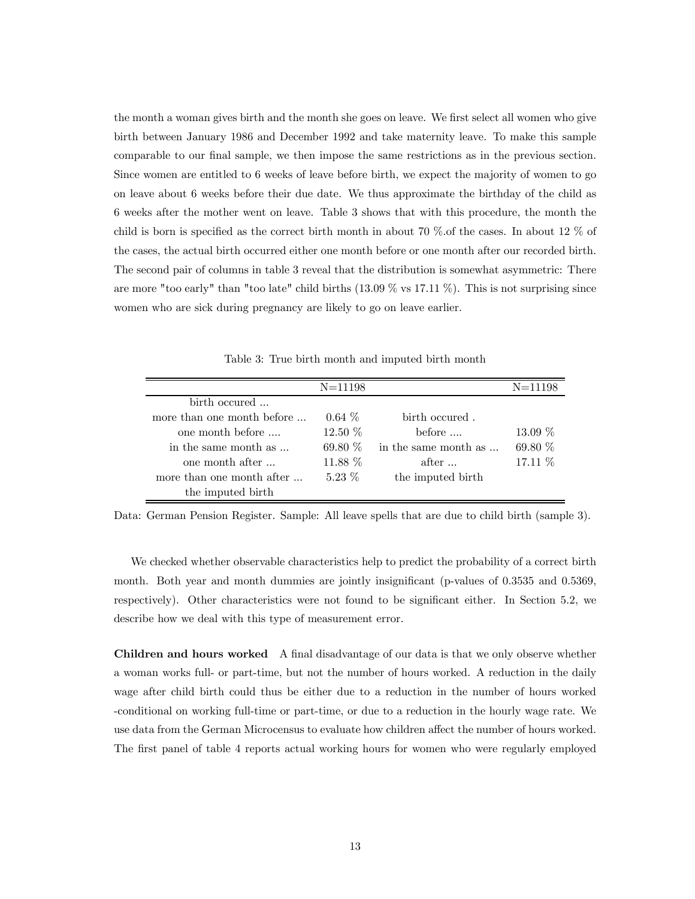the month a woman gives birth and the month she goes on leave. We first select all women who give birth between January 1986 and December 1992 and take maternity leave. To make this sample comparable to our final sample, we then impose the same restrictions as in the previous section. Since women are entitled to 6 weeks of leave before birth, we expect the majority of women to go on leave about 6 weeks before their due date. We thus approximate the birthday of the child as 6 weeks after the mother went on leave. Table 3 shows that with this procedure, the month the child is born is specified as the correct birth month in about 70 %.of the cases. In about 12 % of the cases, the actual birth occurred either one month before or one month after our recorded birth. The second pair of columns in table 3 reveal that the distribution is somewhat asymmetric: There are more "too early" than "too late" child births  $(13.09\% \text{ vs } 17.11\%)$ . This is not surprising since women who are sick during pregnancy are likely to go on leave earlier.

|                            | $N = 11198$ |                      | $N = 11198$ |
|----------------------------|-------------|----------------------|-------------|
| birth occured              |             |                      |             |
| more than one month before | $0.64\%$    | birth occured.       |             |
| one month before           | $12.50\%$   | before               | $13.09\%$   |
| in the same month as       | 69.80 $%$   | in the same month as | 69.80 %     |
| one month after            | 11.88 %     | after                | 17.11 %     |
| more than one month after  | $5.23\%$    | the imputed birth    |             |
| the imputed birth          |             |                      |             |

Table 3: True birth month and imputed birth month

Data: German Pension Register. Sample: All leave spells that are due to child birth (sample 3).

We checked whether observable characteristics help to predict the probability of a correct birth month. Both year and month dummies are jointly insignificant (p-values of 0.3535 and 0.5369, respectively). Other characteristics were not found to be significant either. In Section 5.2, we describe how we deal with this type of measurement error.

Children and hours worked A final disadvantage of our data is that we only observe whether a woman works full- or part-time, but not the number of hours worked. A reduction in the daily wage after child birth could thus be either due to a reduction in the number of hours worked -conditional on working full-time or part-time, or due to a reduction in the hourly wage rate. We use data from the German Microcensus to evaluate how children affect the number of hours worked. The first panel of table 4 reports actual working hours for women who were regularly employed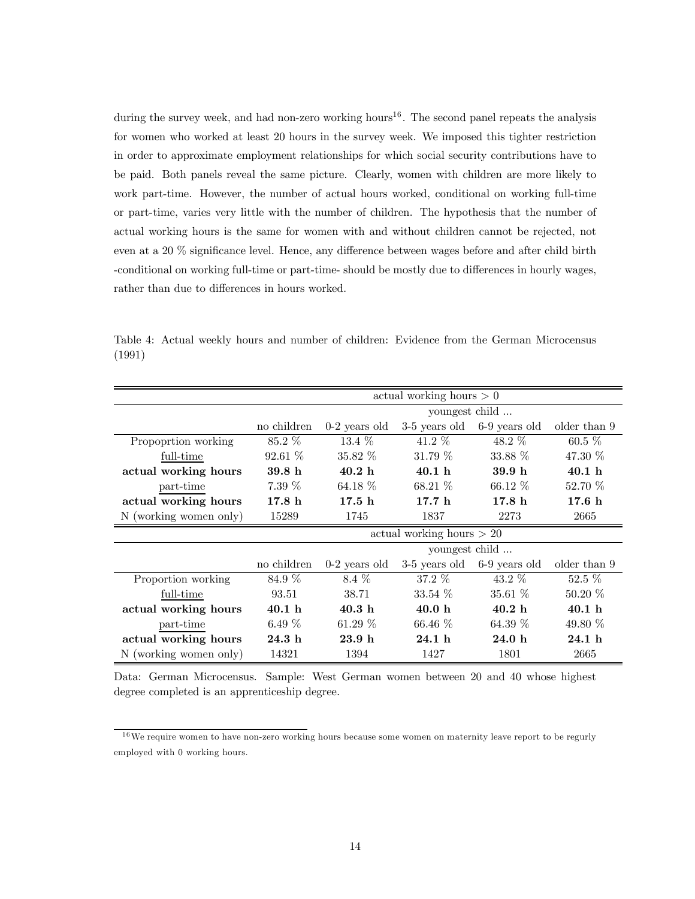during the survey week, and had non-zero working hours<sup>16</sup>. The second panel repeats the analysis for women who worked at least 20 hours in the survey week. We imposed this tighter restriction in order to approximate employment relationships for which social security contributions have to be paid. Both panels reveal the same picture. Clearly, women with children are more likely to work part-time. However, the number of actual hours worked, conditional on working full-time or part-time, varies very little with the number of children. The hypothesis that the number of actual working hours is the same for women with and without children cannot be rejected, not even at a 20 % significance level. Hence, any difference between wages before and after child birth -conditional on working full-time or part-time- should be mostly due to differences in hourly wages, rather than due to differences in hours worked.

Table 4: Actual weekly hours and number of children: Evidence from the German Microcensus (1991)

|                        |                   |                   | actual working hours $> 0$  |                   |                   |
|------------------------|-------------------|-------------------|-----------------------------|-------------------|-------------------|
|                        |                   |                   | youngest child              |                   |                   |
|                        | no children       | $0-2$ years old   | 3-5 years old               | 6-9 years old     | older than 9      |
| Propoprtion working    | 85.2 %            | $13.4\%$          | $41.2\%$                    | 48.2 %            | $60.5\%$          |
| full-time              | 92.61 %           | $35.82\%$         | 31.79%                      | 33.88 %           | 47.30 %           |
| actual working hours   | 39.8 <sub>h</sub> | 40.2 <sub>h</sub> | 40.1 h                      | 39.9 <sub>h</sub> | 40.1 h            |
| part-time              | $7.39\%$          | 64.18 %           | $68.21\%$                   | $66.12\%$         | 52.70 %           |
| actual working hours   | 17.8 <sub>h</sub> | 17.5 <sub>h</sub> | 17.7h                       | 17.8 <sub>h</sub> | 17.6 <sub>h</sub> |
| N (working women only) | 15289             | 1745              | 1837                        | 2273              | 2665              |
|                        |                   |                   | actual working hours $> 20$ |                   |                   |
|                        |                   |                   | youngest child              |                   |                   |
|                        | no children       | $0-2$ years old   | 3-5 years old               | 6-9 years old     | older than 9      |
| Proportion working     | 84.9 %            | 8.4 \%            | 37.2 %                      | $43.2\%$          | $52.5\%$          |
| full-time              | 93.51             | 38.71             | $33.54\%$                   | $35.61\%$         | $50.20\%$         |
| actual working hours   | 40.1 h            | 40.3 <sub>h</sub> | 40.0 <sub>h</sub>           | 40.2 h            | 40.1 h            |
| part-time              | 6.49 $%$          | 61.29 $%$         | $66.46\%$                   | 64.39 $%$         | 49.80 %           |
| actual working hours   | 24.3h             | 23.9 <sub>h</sub> | 24.1 h                      | 24.0h             | 24.1 h            |
| N (working women only) | 14321             | 1394              | 1427                        | 1801              | 2665              |

Data: German Microcensus. Sample: West German women between 20 and 40 whose highest degree completed is an apprenticeship degree.

<sup>&</sup>lt;sup>16</sup>We require women to have non-zero working hours because some women on maternity leave report to be regurly employed with 0 working hours.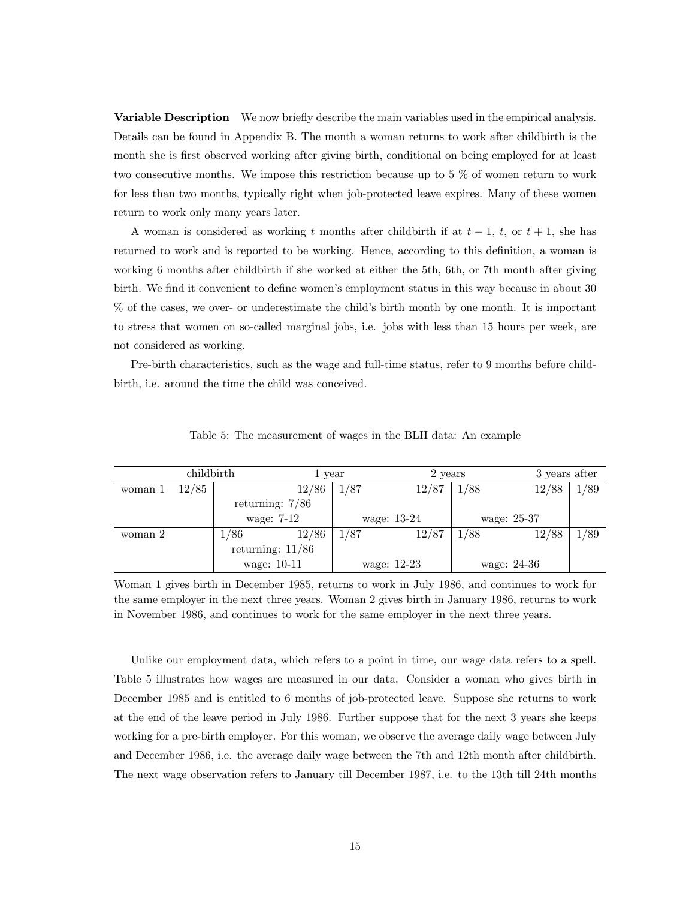Variable Description We now briefly describe the main variables used in the empirical analysis. Details can be found in Appendix B. The month a woman returns to work after childbirth is the month she is first observed working after giving birth, conditional on being employed for at least two consecutive months. We impose this restriction because up to 5 % of women return to work for less than two months, typically right when job-protected leave expires. Many of these women return to work only many years later.

A woman is considered as working t months after childbirth if at  $t-1$ , t, or  $t+1$ , she has returned to work and is reported to be working. Hence, according to this definition, a woman is working 6 months after childbirth if she worked at either the 5th, 6th, or 7th month after giving birth. We find it convenient to define women's employment status in this way because in about 30 % of the cases, we over- or underestimate the child's birth month by one month. It is important to stress that women on so-called marginal jobs, i.e. jobs with less than 15 hours per week, are not considered as working.

Pre-birth characteristics, such as the wage and full-time status, refer to 9 months before childbirth, i.e. around the time the child was conceived.

|         | childbirth |                    | 1 year |      | 2 years     |      | 3 years after |      |
|---------|------------|--------------------|--------|------|-------------|------|---------------|------|
| woman 1 | 12/85      |                    | 12/86  | 1/87 | 12/87       | 1/88 | 12/88         | 1/89 |
|         |            | returning: $7/86$  |        |      |             |      |               |      |
|         |            | wage: 7-12         |        |      | wage: 13-24 |      | wage: 25-37   |      |
| woman 2 |            | 1/86               | 12/86  | 1/87 | 12/87       | 1/88 | 12/88         | 1/89 |
|         |            | returning: $11/86$ |        |      |             |      |               |      |
|         |            | wage: 10-11        |        |      | wage: 12-23 |      | wage: 24-36   |      |

Table 5: The measurement of wages in the BLH data: An example

Woman 1 gives birth in December 1985, returns to work in July 1986, and continues to work for the same employer in the next three years. Woman 2 gives birth in January 1986, returns to work in November 1986, and continues to work for the same employer in the next three years.

Unlike our employment data, which refers to a point in time, our wage data refers to a spell. Table 5 illustrates how wages are measured in our data. Consider a woman who gives birth in December 1985 and is entitled to 6 months of job-protected leave. Suppose she returns to work at the end of the leave period in July 1986. Further suppose that for the next 3 years she keeps working for a pre-birth employer. For this woman, we observe the average daily wage between July and December 1986, i.e. the average daily wage between the 7th and 12th month after childbirth. The next wage observation refers to January till December 1987, i.e. to the 13th till 24th months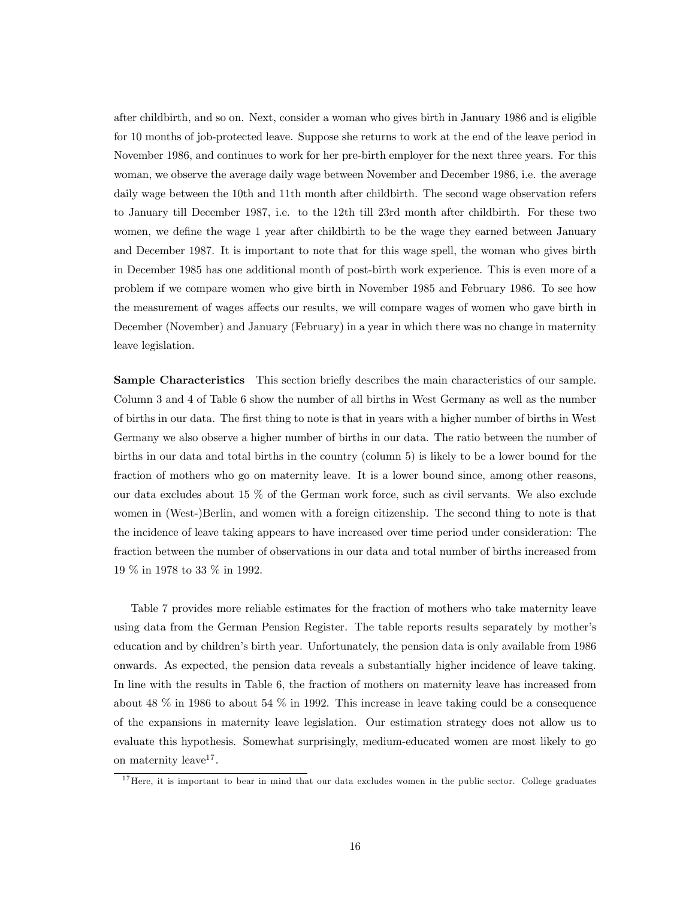after childbirth, and so on. Next, consider a woman who gives birth in January 1986 and is eligible for 10 months of job-protected leave. Suppose she returns to work at the end of the leave period in November 1986, and continues to work for her pre-birth employer for the next three years. For this woman, we observe the average daily wage between November and December 1986, i.e. the average daily wage between the 10th and 11th month after childbirth. The second wage observation refers to January till December 1987, i.e. to the 12th till 23rd month after childbirth. For these two women, we define the wage 1 year after childbirth to be the wage they earned between January and December 1987. It is important to note that for this wage spell, the woman who gives birth in December 1985 has one additional month of post-birth work experience. This is even more of a problem if we compare women who give birth in November 1985 and February 1986. To see how the measurement of wages affects our results, we will compare wages of women who gave birth in December (November) and January (February) in a year in which there was no change in maternity leave legislation.

Sample Characteristics This section briefly describes the main characteristics of our sample. Column 3 and 4 of Table 6 show the number of all births in West Germany as well as the number of births in our data. The first thing to note is that in years with a higher number of births in West Germany we also observe a higher number of births in our data. The ratio between the number of births in our data and total births in the country (column 5) is likely to be a lower bound for the fraction of mothers who go on maternity leave. It is a lower bound since, among other reasons, our data excludes about 15 % of the German work force, such as civil servants. We also exclude women in (West-)Berlin, and women with a foreign citizenship. The second thing to note is that the incidence of leave taking appears to have increased over time period under consideration: The fraction between the number of observations in our data and total number of births increased from 19 % in 1978 to 33 % in 1992.

Table 7 provides more reliable estimates for the fraction of mothers who take maternity leave using data from the German Pension Register. The table reports results separately by mother's education and by children's birth year. Unfortunately, the pension data is only available from 1986 onwards. As expected, the pension data reveals a substantially higher incidence of leave taking. In line with the results in Table 6, the fraction of mothers on maternity leave has increased from about 48 % in 1986 to about 54 % in 1992. This increase in leave taking could be a consequence of the expansions in maternity leave legislation. Our estimation strategy does not allow us to evaluate this hypothesis. Somewhat surprisingly, medium-educated women are most likely to go on maternity leave<sup>17</sup>.

<sup>&</sup>lt;sup>17</sup>Here, it is important to bear in mind that our data excludes women in the public sector. College graduates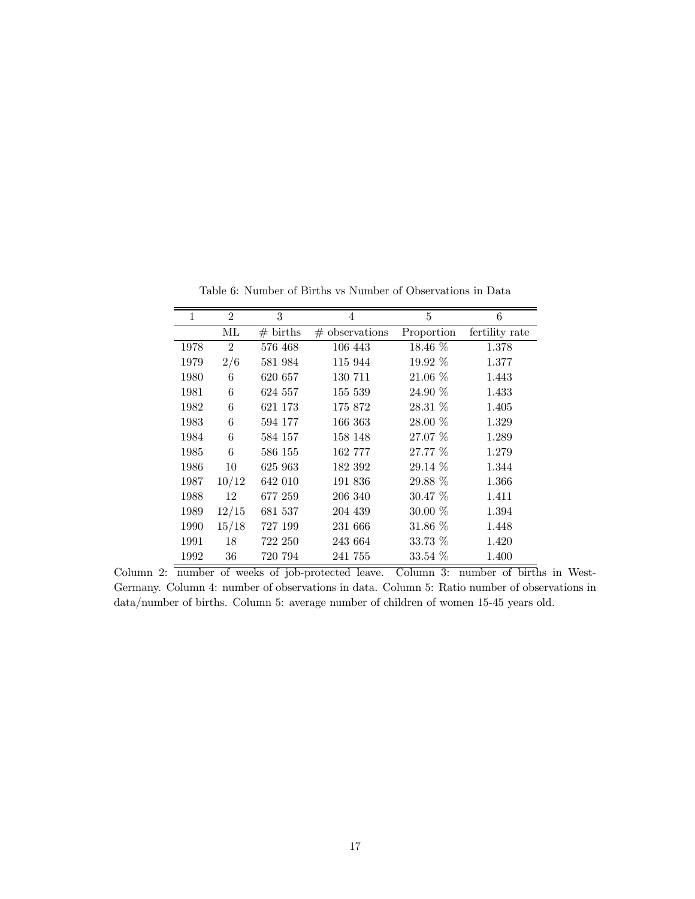| 1    | $\overline{2}$ | 3                  | 4                | 5          | 6              |
|------|----------------|--------------------|------------------|------------|----------------|
|      | МL             | $# \text{ births}$ | $#$ observations | Proportion | fertility rate |
| 1978 | $\overline{2}$ | 576 468            | 106 443          | 18.46 %    | 1.378          |
| 1979 | 2/6            | 581 984            | 115 944          | 19.92 %    | 1.377          |
| 1980 | 6              | 620 657            | 130 711          | $21.06\%$  | 1.443          |
| 1981 | 6              | 624 557            | 155 539          | $24.90\%$  | 1.433          |
| 1982 | 6              | 621 173            | 175 872          | $28.31\%$  | 1.405          |
| 1983 | 6              | 594 177            | 166 363          | 28.00 %    | 1.329          |
| 1984 | 6              | 584 157            | 158 148          | 27.07 %    | 1.289          |
| 1985 | 6              | 586 155            | 162 777          | 27.77 %    | 1.279          |
| 1986 | 10             | 625 963            | 182 392          | $29.14\%$  | 1.344          |
| 1987 | 10/12          | 642 010            | 191 836          | 29.88 \%   | 1.366          |
| 1988 | 12             | 677 259            | 206 340          | $30.47\%$  | 1.411          |
| 1989 | 12/15          | 681 537            | 204 439          | $30.00\%$  | 1.394          |
| 1990 | 15/18          | 727 199            | 231 666          | $31.86\%$  | 1.448          |
| 1991 | 18             | 722 250            | 243 664          | 33.73 %    | 1.420          |
| 1992 | 36             | 720 794            | 241 755          | $33.54\%$  | 1.400          |

Table 6: Number of Births vs Number of Observations in Data

Column 2: number of weeks of job-protected leave. Column 3: number of births in West-Germany. Column 4: number of observations in data. Column 5: Ratio number of observations in data/number of births. Column 5: average number of children of women 15-45 years old.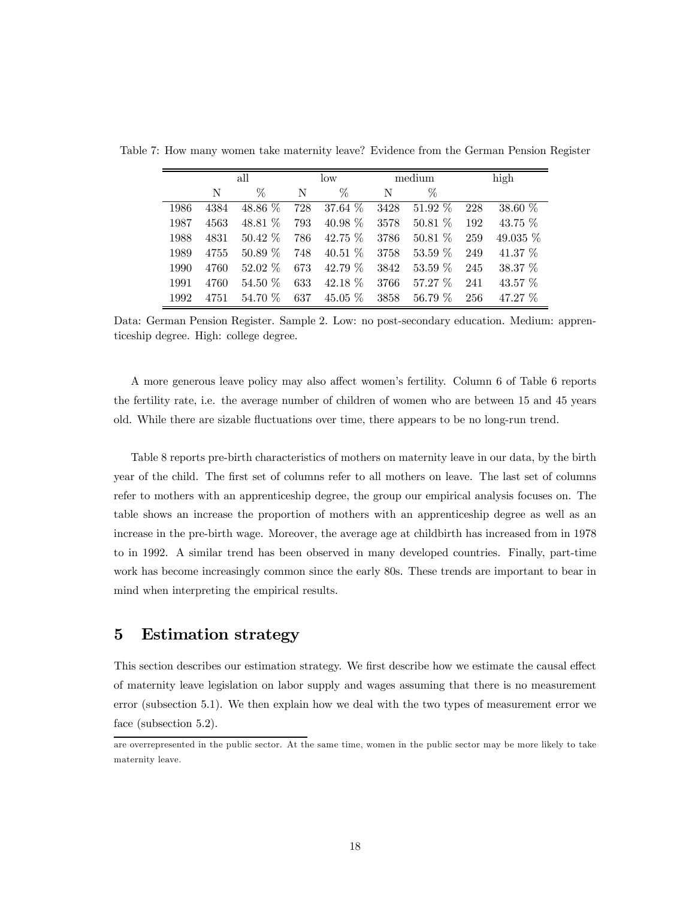|      |      | all       |     | low       |      | medium    |     | high       |
|------|------|-----------|-----|-----------|------|-----------|-----|------------|
|      | N    | $\%$      | N   | $\%$      | N    | $\%$      |     |            |
| 1986 | 4384 | 48.86 %   | 728 | 37.64 %   | 3428 | 51.92 %   | 228 | 38.60 %    |
| 1987 | 4563 | 48.81 %   | 793 | 40.98 $%$ | 3578 | 50.81%    | 192 | 43.75 $%$  |
| 1988 | 4831 | $50.42\%$ | 786 | 42.75 $%$ | 3786 | 50.81%    | 259 | 49.035 $%$ |
| 1989 | 4755 | $50.89\%$ | 748 | 40.51 $%$ | 3758 | 53.59 %   | 249 | 41.37 $\%$ |
| 1990 | 4760 | $52.02\%$ | 673 | 42.79 %   | 3842 | 53.59 %   | 245 | 38.37 \%   |
| 1991 | 4760 | 54.50 %   | 633 | $42.18\%$ | 3766 | $57.27\%$ | 241 | 43.57 $%$  |
| 1992 | 4751 | 54.70 %   | 637 | $45.05\%$ | 3858 | 56.79 %   | 256 | 47.27 %    |

Table 7: How many women take maternity leave? Evidence from the German Pension Register

Data: German Pension Register. Sample 2. Low: no post-secondary education. Medium: apprenticeship degree. High: college degree.

A more generous leave policy may also affect women's fertility. Column 6 of Table 6 reports the fertility rate, i.e. the average number of children of women who are between 15 and 45 years old. While there are sizable fluctuations over time, there appears to be no long-run trend.

Table 8 reports pre-birth characteristics of mothers on maternity leave in our data, by the birth year of the child. The first set of columns refer to all mothers on leave. The last set of columns refer to mothers with an apprenticeship degree, the group our empirical analysis focuses on. The table shows an increase the proportion of mothers with an apprenticeship degree as well as an increase in the pre-birth wage. Moreover, the average age at childbirth has increased from in 1978 to in 1992. A similar trend has been observed in many developed countries. Finally, part-time work has become increasingly common since the early 80s. These trends are important to bear in mind when interpreting the empirical results.

# 5 Estimation strategy

This section describes our estimation strategy. We first describe how we estimate the causal effect of maternity leave legislation on labor supply and wages assuming that there is no measurement error (subsection 5.1). We then explain how we deal with the two types of measurement error we face (subsection 5.2).

are overrepresented in the public sector. At the same time, women in the public sector may be more likely to take maternity leave.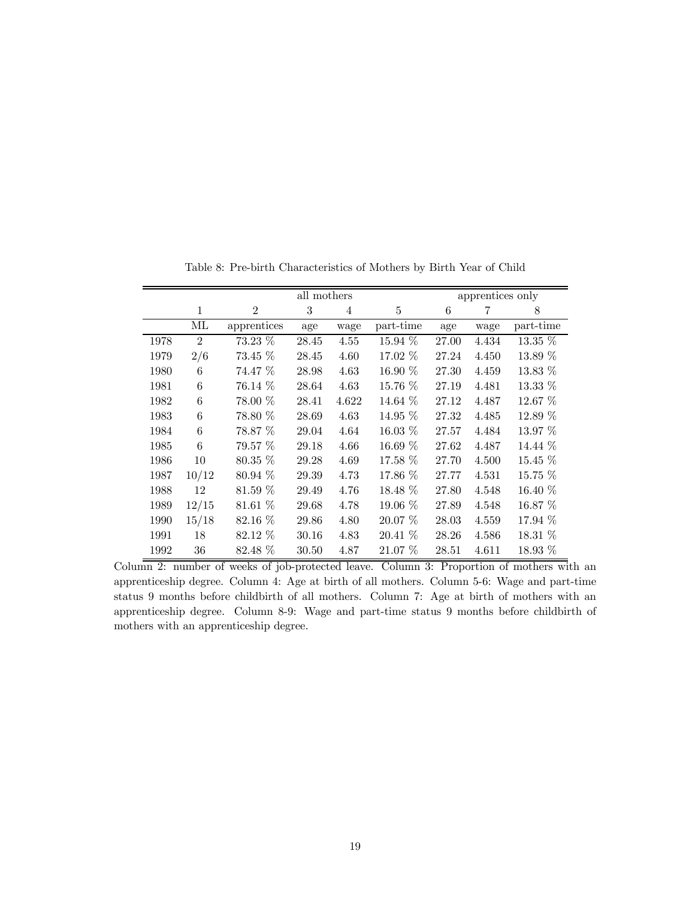|      |                 | all mothers    |       |       |           |       | apprentices only |           |
|------|-----------------|----------------|-------|-------|-----------|-------|------------------|-----------|
|      | 1               | $\overline{2}$ | 3     | 4     | 5         | 6     | 7                | 8         |
|      | МL              | apprentices    | age   | wage  | part-time | age   | wage             | part-time |
| 1978 | $\overline{2}$  | 73.23 %        | 28.45 | 4.55  | 15.94 %   | 27.00 | 4.434            | 13.35 %   |
| 1979 | 2/6             | 73.45 %        | 28.45 | 4.60  | 17.02 %   | 27.24 | 4.450            | $13.89\%$ |
| 1980 | $6\phantom{.}6$ | 74.47 %        | 28.98 | 4.63  | $16.90\%$ | 27.30 | 4.459            | 13.83 %   |
| 1981 | $6\phantom{.}6$ | 76.14 %        | 28.64 | 4.63  | 15.76 %   | 27.19 | 4.481            | 13.33 %   |
| 1982 | $6\phantom{.}6$ | 78.00 %        | 28.41 | 4.622 | 14.64 %   | 27.12 | 4.487            | 12.67 %   |
| 1983 | 6               | 78.80 %        | 28.69 | 4.63  | $14.95\%$ | 27.32 | 4.485            | 12.89 %   |
| 1984 | 6               | 78.87 %        | 29.04 | 4.64  | $16.03\%$ | 27.57 | 4.484            | $13.97\%$ |
| 1985 | 6               | 79.57%         | 29.18 | 4.66  | 16.69 %   | 27.62 | 4.487            | 14.44 %   |
| 1986 | 10              | 80.35 %        | 29.28 | 4.69  | 17.58 %   | 27.70 | 4.500            | 15.45 %   |
| 1987 | 10/12           | 80.94 \%       | 29.39 | 4.73  | 17.86 \%  | 27.77 | 4.531            | $15.75\%$ |
| 1988 | 12              | $81.59\%$      | 29.49 | 4.76  | $18.48\%$ | 27.80 | 4.548            | 16.40 %   |
| 1989 | 12/15           | 81.61 %        | 29.68 | 4.78  | 19.06 %   | 27.89 | 4.548            | 16.87 %   |
| 1990 | 15/18           | 82.16 %        | 29.86 | 4.80  | $20.07\%$ | 28.03 | 4.559            | 17.94 %   |
| 1991 | 18              | 82.12 \%       | 30.16 | 4.83  | $20.41\%$ | 28.26 | 4.586            | $18.31\%$ |
| 1992 | 36              | $82.48\%$      | 30.50 | 4.87  | $21.07\%$ | 28.51 | 4.611            | $18.93\%$ |

Table 8: Pre-birth Characteristics of Mothers by Birth Year of Child

Column 2: number of weeks of job-protected leave. Column 3: Proportion of mothers with an apprenticeship degree. Column 4: Age at birth of all mothers. Column 5-6: Wage and part-time status 9 months before childbirth of all mothers. Column 7: Age at birth of mothers with an apprenticeship degree. Column 8-9: Wage and part-time status 9 months before childbirth of mothers with an apprenticeship degree.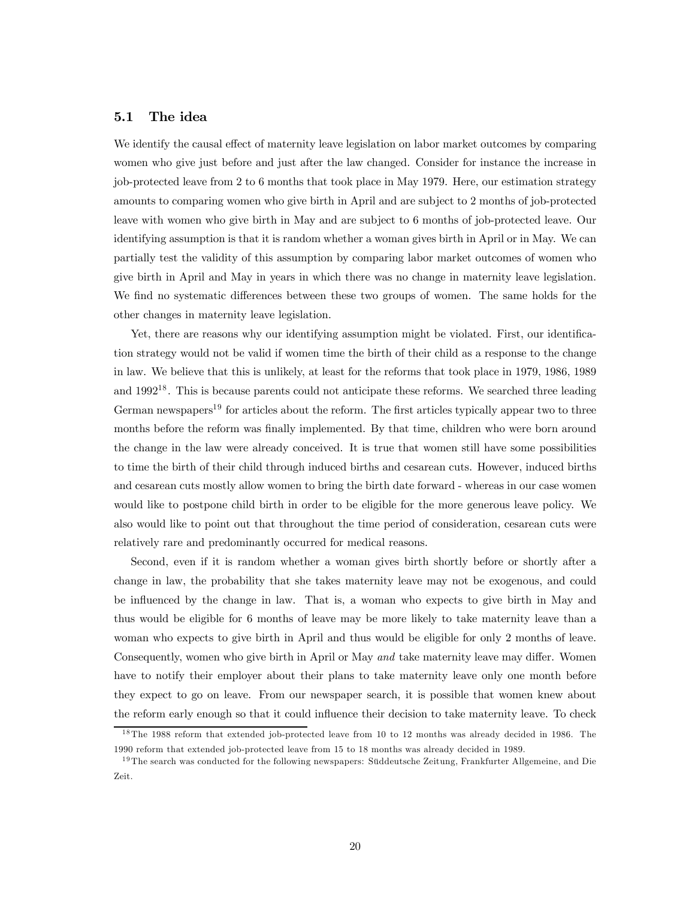#### 5.1 The idea

We identify the causal effect of maternity leave legislation on labor market outcomes by comparing women who give just before and just after the law changed. Consider for instance the increase in job-protected leave from 2 to 6 months that took place in May 1979. Here, our estimation strategy amounts to comparing women who give birth in April and are subject to 2 months of job-protected leave with women who give birth in May and are subject to 6 months of job-protected leave. Our identifying assumption is that it is random whether a woman gives birth in April or in May. We can partially test the validity of this assumption by comparing labor market outcomes of women who give birth in April and May in years in which there was no change in maternity leave legislation. We find no systematic differences between these two groups of women. The same holds for the other changes in maternity leave legislation.

Yet, there are reasons why our identifying assumption might be violated. First, our identification strategy would not be valid if women time the birth of their child as a response to the change in law. We believe that this is unlikely, at least for the reforms that took place in 1979, 1986, 1989 and 1992<sup>18</sup>. This is because parents could not anticipate these reforms. We searched three leading German newspapers<sup>19</sup> for articles about the reform. The first articles typically appear two to three months before the reform was finally implemented. By that time, children who were born around the change in the law were already conceived. It is true that women still have some possibilities to time the birth of their child through induced births and cesarean cuts. However, induced births and cesarean cuts mostly allow women to bring the birth date forward - whereas in our case women would like to postpone child birth in order to be eligible for the more generous leave policy. We also would like to point out that throughout the time period of consideration, cesarean cuts were relatively rare and predominantly occurred for medical reasons.

Second, even if it is random whether a woman gives birth shortly before or shortly after a change in law, the probability that she takes maternity leave may not be exogenous, and could be influenced by the change in law. That is, a woman who expects to give birth in May and thus would be eligible for 6 months of leave may be more likely to take maternity leave than a woman who expects to give birth in April and thus would be eligible for only 2 months of leave. Consequently, women who give birth in April or May and take maternity leave may differ. Women have to notify their employer about their plans to take maternity leave only one month before they expect to go on leave. From our newspaper search, it is possible that women knew about the reform early enough so that it could influence their decision to take maternity leave. To check

<sup>&</sup>lt;sup>18</sup>The 1988 reform that extended job-protected leave from 10 to 12 months was already decided in 1986. The 1990 reform that extended job-protected leave from 15 to 18 months was already decided in 1989.

<sup>&</sup>lt;sup>19</sup>The search was conducted for the following newspapers: Süddeutsche Zeitung, Frankfurter Allgemeine, and Die Zeit.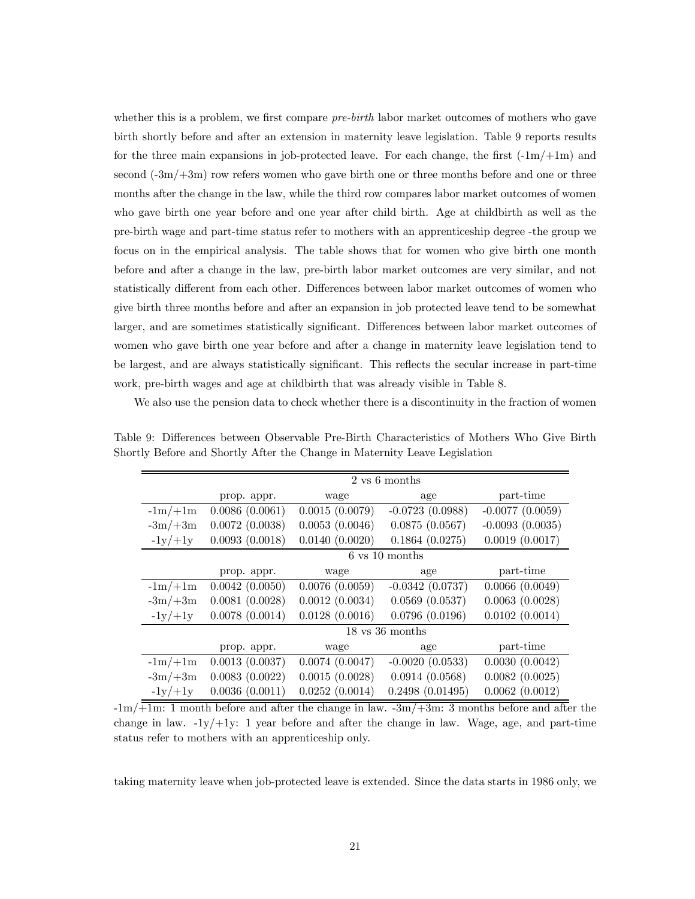whether this is a problem, we first compare *pre-birth* labor market outcomes of mothers who gave birth shortly before and after an extension in maternity leave legislation. Table 9 reports results for the three main expansions in job-protected leave. For each change, the first  $(-1m/+1m)$  and second  $(-3m/+3m)$  row refers women who gave birth one or three months before and one or three months after the change in the law, while the third row compares labor market outcomes of women who gave birth one year before and one year after child birth. Age at childbirth as well as the pre-birth wage and part-time status refer to mothers with an apprenticeship degree -the group we focus on in the empirical analysis. The table shows that for women who give birth one month before and after a change in the law, pre-birth labor market outcomes are very similar, and not statistically different from each other. Differences between labor market outcomes of women who give birth three months before and after an expansion in job protected leave tend to be somewhat larger, and are sometimes statistically significant. Differences between labor market outcomes of women who gave birth one year before and after a change in maternity leave legislation tend to be largest, and are always statistically significant. This reflects the secular increase in part-time work, pre-birth wages and age at childbirth that was already visible in Table 8.

We also use the pension data to check whether there is a discontinuity in the fraction of women

|           |                |                | 2 vs 6 months                      |                   |
|-----------|----------------|----------------|------------------------------------|-------------------|
|           | prop. appr.    | wage           | age                                | part-time         |
| $-1m/+1m$ | 0.0086(0.0061) | 0.0015(0.0079) | $-0.0723(0.0988)$                  | $-0.0077(0.0059)$ |
| $-3m/+3m$ | 0.0072(0.0038) | 0.0053(0.0046) | 0.0875(0.0567)                     | $-0.0093(0.0035)$ |
| $-1y/+1y$ | 0.0093(0.0018) | 0.0140(0.0020) | 0.1864(0.0275)                     | 0.0019(0.0017)    |
|           |                |                | $6 \text{ vs } 10 \text{ months}$  |                   |
|           | prop. appr.    | wage           | age                                | part-time         |
| $-1m/+1m$ | 0.0042(0.0050) | 0.0076(0.0059) | $-0.0342(0.0737)$                  | 0.0066(0.0049)    |
| $-3m/+3m$ | 0.0081(0.0028) | 0.0012(0.0034) | $0.0569$ $(0.0537)$                | 0.0063(0.0028)    |
| $-1y/+1y$ | 0.0078(0.0014) | 0.0128(0.0016) | 0.0796(0.0196)                     | 0.0102(0.0014)    |
|           |                |                | $18 \text{ vs } 36 \text{ months}$ |                   |
|           | prop. appr.    | wage           | age                                | part-time         |
| $-1m/+1m$ | 0.0013(0.0037) | 0.0074(0.0047) | $-0.0020(0.0533)$                  | 0.0030(0.0042)    |
| $-3m/+3m$ | 0.0083(0.0022) | 0.0015(0.0028) | 0.0914(0.0568)                     | 0.0082(0.0025)    |
| $-1y/+1y$ | 0.0036(0.0011) | 0.0252(0.0014) | 0.2498(0.01495)                    | 0.0062(0.0012)    |

Table 9: Differences between Observable Pre-Birth Characteristics of Mothers Who Give Birth Shortly Before and Shortly After the Change in Maternity Leave Legislation

 $-1m/\overline{+1m}$ : 1 month before and after the change in law.  $-3m/\overline{+3m}$ : 3 months before and after the change in law.  $-1y/+1y$ : 1 year before and after the change in law. Wage, age, and part-time status refer to mothers with an apprenticeship only.

taking maternity leave when job-protected leave is extended. Since the data starts in 1986 only, we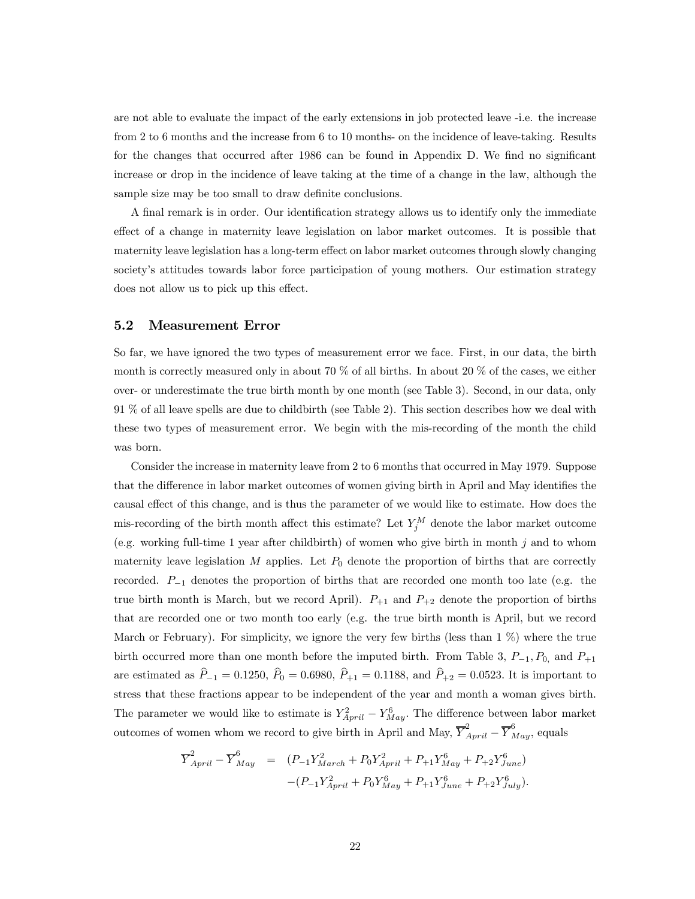are not able to evaluate the impact of the early extensions in job protected leave -i.e. the increase from 2 to 6 months and the increase from 6 to 10 months- on the incidence of leave-taking. Results for the changes that occurred after 1986 can be found in Appendix D. We find no significant increase or drop in the incidence of leave taking at the time of a change in the law, although the sample size may be too small to draw definite conclusions.

A final remark is in order. Our identification strategy allows us to identify only the immediate effect of a change in maternity leave legislation on labor market outcomes. It is possible that maternity leave legislation has a long-term effect on labor market outcomes through slowly changing society's attitudes towards labor force participation of young mothers. Our estimation strategy does not allow us to pick up this effect.

### 5.2 Measurement Error

So far, we have ignored the two types of measurement error we face. First, in our data, the birth month is correctly measured only in about 70 % of all births. In about 20 % of the cases, we either over- or underestimate the true birth month by one month (see Table 3). Second, in our data, only 91 % of all leave spells are due to childbirth (see Table 2). This section describes how we deal with these two types of measurement error. We begin with the mis-recording of the month the child was born.

Consider the increase in maternity leave from 2 to 6 months that occurred in May 1979. Suppose that the difference in labor market outcomes of women giving birth in April and May identifies the causal effect of this change, and is thus the parameter of we would like to estimate. How does the mis-recording of the birth month affect this estimate? Let  $Y_j^M$  denote the labor market outcome (e.g. working full-time 1 year after childbirth) of women who give birth in month j and to whom maternity leave legislation  $M$  applies. Let  $P_0$  denote the proportion of births that are correctly recorded. P−<sup>1</sup> denotes the proportion of births that are recorded one month too late (e.g. the true birth month is March, but we record April).  $P_{+1}$  and  $P_{+2}$  denote the proportion of births that are recorded one or two month too early (e.g. the true birth month is April, but we record March or February). For simplicity, we ignore the very few births (less than 1 %) where the true birth occurred more than one month before the imputed birth. From Table 3,  $P_{-1}$ ,  $P_{0}$ , and  $P_{+1}$ are estimated as  $\hat{P}_{-1} = 0.1250, \ \hat{P}_{0} = 0.6980, \ \hat{P}_{+1} = 0.1188, \text{ and } \ \hat{P}_{+2} = 0.0523.$  It is important to stress that these fractions appear to be independent of the year and month a woman gives birth. The parameter we would like to estimate is  $Y_{April}^2 - Y_{May}^6$ . The difference between labor market outcomes of women whom we record to give birth in April and May,  $\overline{Y}_{April}^2 - \overline{Y}_{May}^6$ , equals

$$
\overline{Y}_{April}^2 - \overline{Y}_{May}^6 = (P_{-1}Y_{March}^2 + P_0Y_{April}^2 + P_{+1}Y_{May}^6 + P_{+2}Y_{June}^6) - (P_{-1}Y_{April}^2 + P_0Y_{May}^6 + P_{+1}Y_{June}^6 + P_{+2}Y_{July}^6).
$$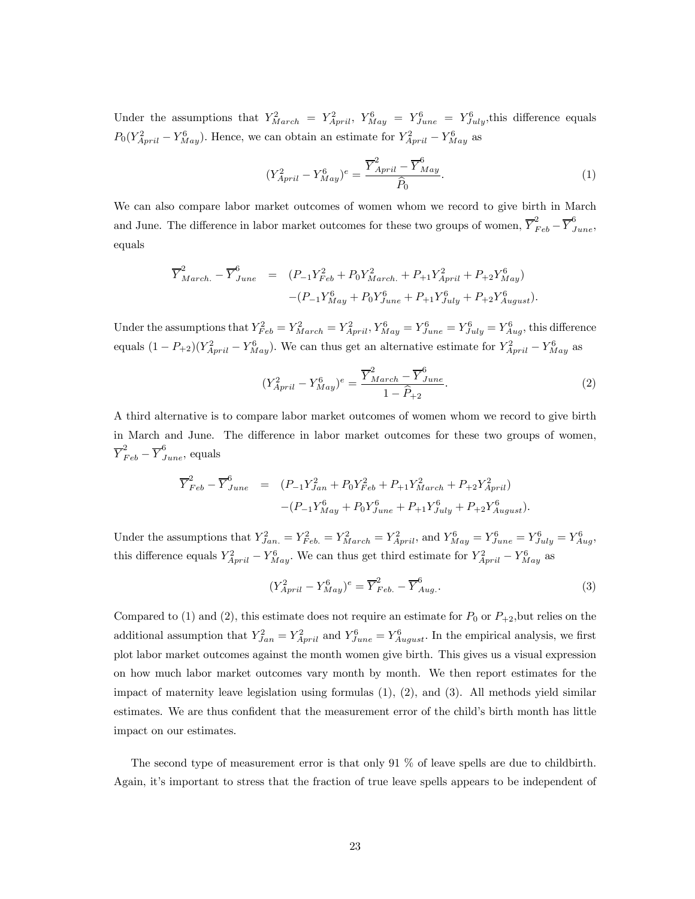Under the assumptions that  $Y_{March}^2 = Y_{April}^2$ ,  $Y_{May}^6 = Y_{June}^6 = Y_{July}^6$ , this difference equals  $P_0(Y_{April}^2 - Y_{May}^6)$ . Hence, we can obtain an estimate for  $Y_{April}^2 - Y_{May}^6$  as

$$
(Y_{April}^{2} - Y_{May}^{6})^{e} = \frac{\overline{Y}_{April}^{2} - \overline{Y}_{May}^{6}}{\hat{P}_{0}}.
$$
\n(1)

We can also compare labor market outcomes of women whom we record to give birth in March and June. The difference in labor market outcomes for these two groups of women,  $\overline{Y}_{Feb}^2 - \overline{Y}_{June}^6$ , equals

$$
\overline{Y}_{March.}^{2} - \overline{Y}_{June}^{6} = (P_{-1}Y_{Feb}^{2} + P_{0}Y_{March.}^{2} + P_{+1}Y_{April}^{2} + P_{+2}Y_{May}^{6}) - (P_{-1}Y_{May}^{6} + P_{0}Y_{June}^{6} + P_{+1}Y_{July}^{6} + P_{+2}Y_{August}^{6}).
$$

Under the assumptions that  $Y_{Feb}^2 = Y_{March}^2 = Y_{April}^2$ ,  $Y_{May}^6 = Y_{June}^6 = Y_{July}^6 = Y_{Aug}^6$ , this difference equals  $(1 - P_{+2})(Y_{April}^2 - Y_{May}^6)$ . We can thus get an alternative estimate for  $Y_{April}^2 - Y_{May}^6$  as

$$
(Y_{April}^{2} - Y_{May}^{6})^{e} = \frac{\overline{Y}_{March}^{2} - \overline{Y}_{June}^{6}}{1 - \widehat{P}_{+2}}.
$$
\n(2)

A third alternative is to compare labor market outcomes of women whom we record to give birth in March and June. The difference in labor market outcomes for these two groups of women,  $\overline{Y}_{Feb}^2 - \overline{Y}_{June}^6$ , equals

$$
\overline{Y}_{Feb}^{2} - \overline{Y}_{June}^{6} = (P_{-1}Y_{Jan}^{2} + P_{0}Y_{Feb}^{2} + P_{+1}Y_{March}^{2} + P_{+2}Y_{April}^{2}) - (P_{-1}Y_{May}^{6} + P_{0}Y_{June}^{6} + P_{+1}Y_{July}^{6} + P_{+2}Y_{August}^{6}).
$$

Under the assumptions that  $Y_{Jan.}^2 = Y_{Feb.}^2 = Y_{March}^2 = Y_{April}^2$ , and  $Y_{May}^6 = Y_{June}^6 = Y_{July}^6 = Y_{Aug}^6$ , this difference equals  $Y_{April}^2 - Y_{May}^6$ . We can thus get third estimate for  $Y_{April}^2 - Y_{May}^6$  as

$$
(Y_{April}^2 - Y_{May}^6)^e = \overline{Y}_{Feb.}^2 - \overline{Y}_{Aug.}^6.
$$
\n(3)

Compared to (1) and (2), this estimate does not require an estimate for  $P_0$  or  $P_{+2}$ , but relies on the additional assumption that  $Y_{Jan}^2 = Y_{April}^2$  and  $Y_{June}^6 = Y_{August}^6$ . In the empirical analysis, we first plot labor market outcomes against the month women give birth. This gives us a visual expression on how much labor market outcomes vary month by month. We then report estimates for the impact of maternity leave legislation using formulas  $(1)$ ,  $(2)$ , and  $(3)$ . All methods yield similar estimates. We are thus confident that the measurement error of the child's birth month has little impact on our estimates.

The second type of measurement error is that only 91 % of leave spells are due to childbirth. Again, it's important to stress that the fraction of true leave spells appears to be independent of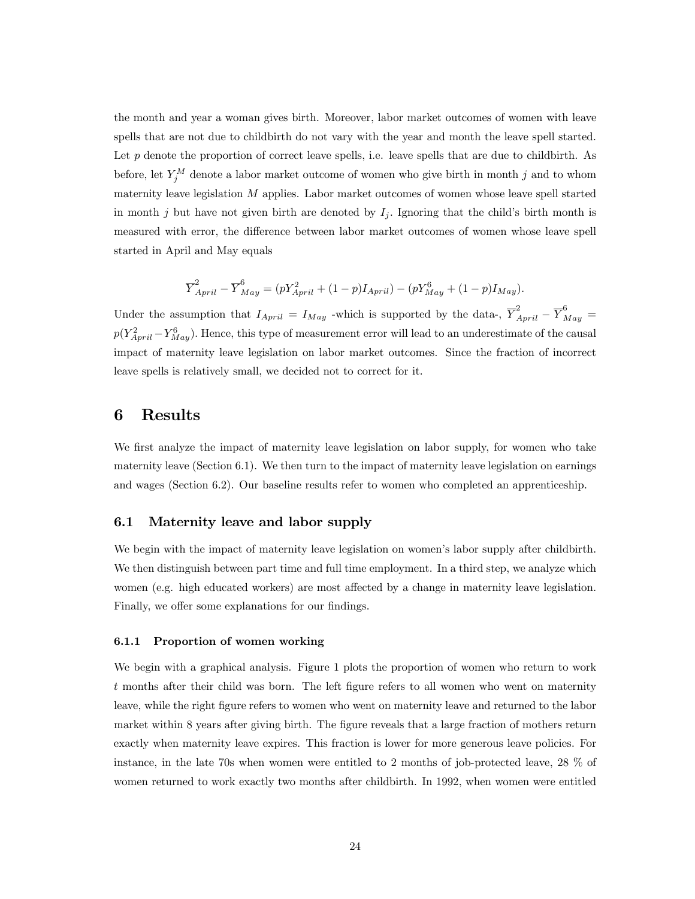the month and year a woman gives birth. Moreover, labor market outcomes of women with leave spells that are not due to childbirth do not vary with the year and month the leave spell started. Let  $p$  denote the proportion of correct leave spells, i.e. leave spells that are due to childbirth. As before, let  $Y_j^M$  denote a labor market outcome of women who give birth in month j and to whom maternity leave legislation M applies. Labor market outcomes of women whose leave spell started in month j but have not given birth are denoted by  $I_j$ . Ignoring that the child's birth month is measured with error, the difference between labor market outcomes of women whose leave spell started in April and May equals

$$
\overline{Y}_{April}^{2} - \overline{Y}_{May}^{6} = (pY_{April}^{2} + (1-p)I_{April}) - (pY_{May}^{6} + (1-p)I_{May}).
$$

Under the assumption that  $I_{April} = I_{May}$  -which is supported by the data-,  $\overline{Y}_{April}^2 - \overline{Y}_{May}^6 =$  $p(Y_{April}^2 - Y_{May}^6)$ . Hence, this type of measurement error will lead to an underestimate of the causal impact of maternity leave legislation on labor market outcomes. Since the fraction of incorrect leave spells is relatively small, we decided not to correct for it.

## 6 Results

We first analyze the impact of maternity leave legislation on labor supply, for women who take maternity leave (Section 6.1). We then turn to the impact of maternity leave legislation on earnings and wages (Section 6.2). Our baseline results refer to women who completed an apprenticeship.

### 6.1 Maternity leave and labor supply

We begin with the impact of maternity leave legislation on women's labor supply after childbirth. We then distinguish between part time and full time employment. In a third step, we analyze which women (e.g. high educated workers) are most affected by a change in maternity leave legislation. Finally, we offer some explanations for our findings.

#### 6.1.1 Proportion of women working

We begin with a graphical analysis. Figure 1 plots the proportion of women who return to work t months after their child was born. The left figure refers to all women who went on maternity leave, while the right figure refers to women who went on maternity leave and returned to the labor market within 8 years after giving birth. The figure reveals that a large fraction of mothers return exactly when maternity leave expires. This fraction is lower for more generous leave policies. For instance, in the late 70s when women were entitled to 2 months of job-protected leave, 28 % of women returned to work exactly two months after childbirth. In 1992, when women were entitled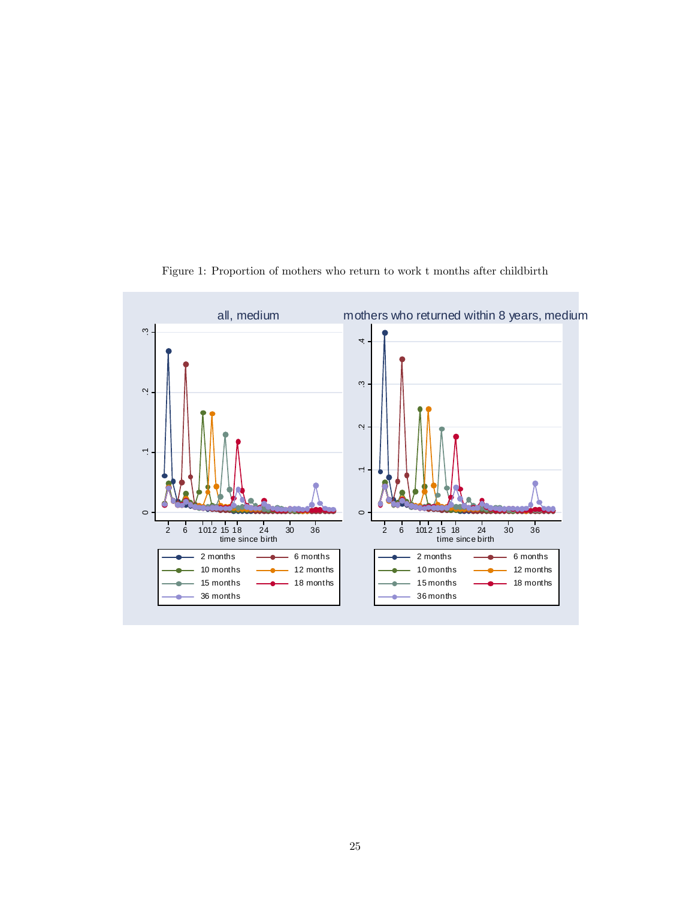

Figure 1: Proportion of mothers who return to work t months after childbirth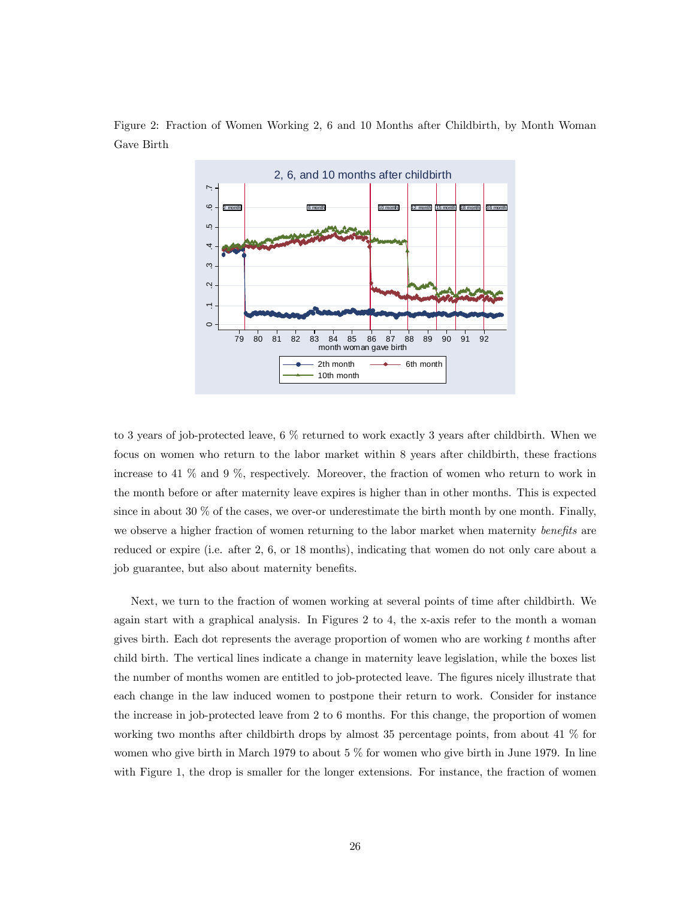

Figure 2: Fraction of Women Working 2, 6 and 10 Months after Childbirth, by Month Woman Gave Birth

to 3 years of job-protected leave, 6 % returned to work exactly 3 years after childbirth. When we focus on women who return to the labor market within 8 years after childbirth, these fractions increase to 41 % and 9 %, respectively. Moreover, the fraction of women who return to work in the month before or after maternity leave expires is higher than in other months. This is expected since in about 30  $\%$  of the cases, we over-or underestimate the birth month by one month. Finally, we observe a higher fraction of women returning to the labor market when maternity benefits are reduced or expire (i.e. after 2, 6, or 18 months), indicating that women do not only care about a job guarantee, but also about maternity benefits.

Next, we turn to the fraction of women working at several points of time after childbirth. We again start with a graphical analysis. In Figures 2 to 4, the x-axis refer to the month a woman gives birth. Each dot represents the average proportion of women who are working  $t$  months after child birth. The vertical lines indicate a change in maternity leave legislation, while the boxes list the number of months women are entitled to job-protected leave. The figures nicely illustrate that each change in the law induced women to postpone their return to work. Consider for instance the increase in job-protected leave from 2 to 6 months. For this change, the proportion of women working two months after childbirth drops by almost 35 percentage points, from about 41 % for women who give birth in March 1979 to about 5 % for women who give birth in June 1979. In line with Figure 1, the drop is smaller for the longer extensions. For instance, the fraction of women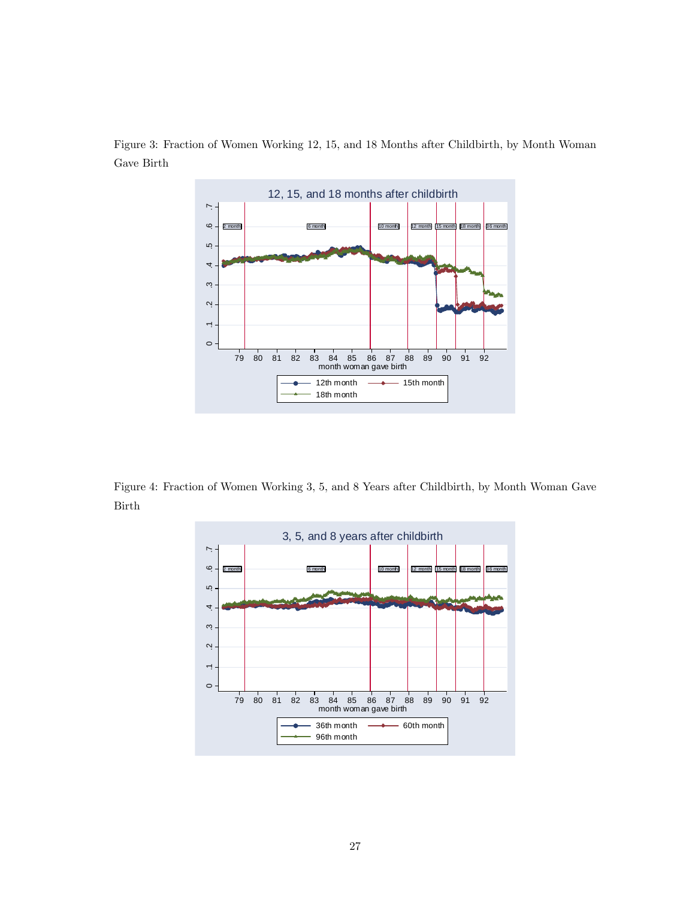

Figure 3: Fraction of Women Working 12, 15, and 18 Months after Childbirth, by Month Woman Gave Birth

Figure 4: Fraction of Women Working 3, 5, and 8 Years after Childbirth, by Month Woman Gave Birth

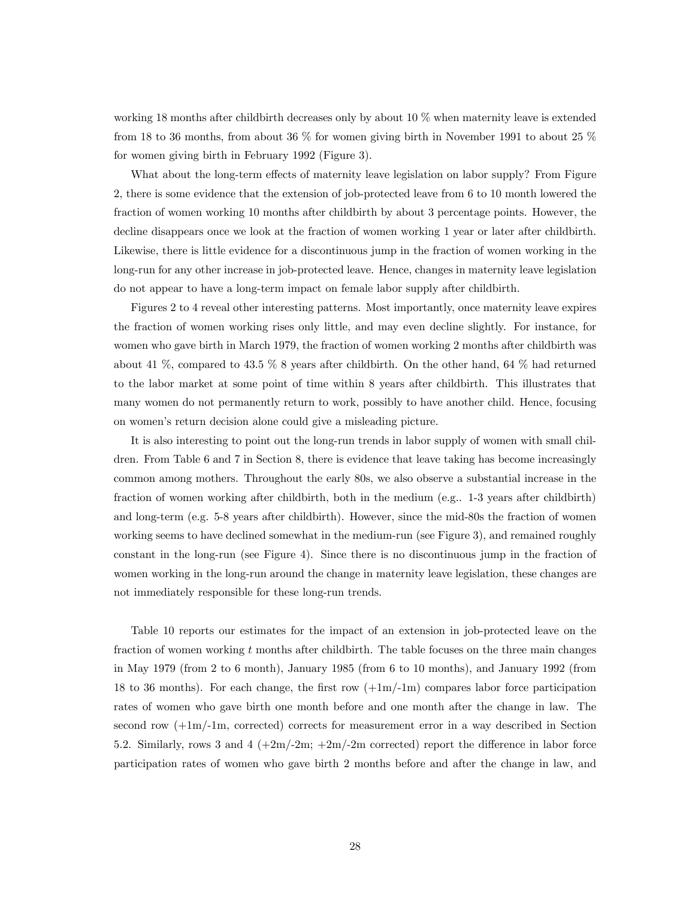working 18 months after childbirth decreases only by about 10 % when maternity leave is extended from 18 to 36 months, from about 36 % for women giving birth in November 1991 to about 25 % for women giving birth in February 1992 (Figure 3).

What about the long-term effects of maternity leave legislation on labor supply? From Figure 2, there is some evidence that the extension of job-protected leave from 6 to 10 month lowered the fraction of women working 10 months after childbirth by about 3 percentage points. However, the decline disappears once we look at the fraction of women working 1 year or later after childbirth. Likewise, there is little evidence for a discontinuous jump in the fraction of women working in the long-run for any other increase in job-protected leave. Hence, changes in maternity leave legislation do not appear to have a long-term impact on female labor supply after childbirth.

Figures 2 to 4 reveal other interesting patterns. Most importantly, once maternity leave expires the fraction of women working rises only little, and may even decline slightly. For instance, for women who gave birth in March 1979, the fraction of women working 2 months after childbirth was about 41 %, compared to 43.5 % 8 years after childbirth. On the other hand, 64 % had returned to the labor market at some point of time within 8 years after childbirth. This illustrates that many women do not permanently return to work, possibly to have another child. Hence, focusing on women's return decision alone could give a misleading picture.

It is also interesting to point out the long-run trends in labor supply of women with small children. From Table 6 and 7 in Section 8, there is evidence that leave taking has become increasingly common among mothers. Throughout the early 80s, we also observe a substantial increase in the fraction of women working after childbirth, both in the medium (e.g.. 1-3 years after childbirth) and long-term (e.g. 5-8 years after childbirth). However, since the mid-80s the fraction of women working seems to have declined somewhat in the medium-run (see Figure 3), and remained roughly constant in the long-run (see Figure 4). Since there is no discontinuous jump in the fraction of women working in the long-run around the change in maternity leave legislation, these changes are not immediately responsible for these long-run trends.

Table 10 reports our estimates for the impact of an extension in job-protected leave on the fraction of women working t months after childbirth. The table focuses on the three main changes in May 1979 (from 2 to 6 month), January 1985 (from 6 to 10 months), and January 1992 (from 18 to 36 months). For each change, the first row  $(+1m/\text{-}1m)$  compares labor force participation rates of women who gave birth one month before and one month after the change in law. The second row  $(+1m)/-1m$ , corrected) corrects for measurement error in a way described in Section 5.2. Similarly, rows 3 and 4  $(+2m/-2m; +2m/-2m$  corrected) report the difference in labor force participation rates of women who gave birth 2 months before and after the change in law, and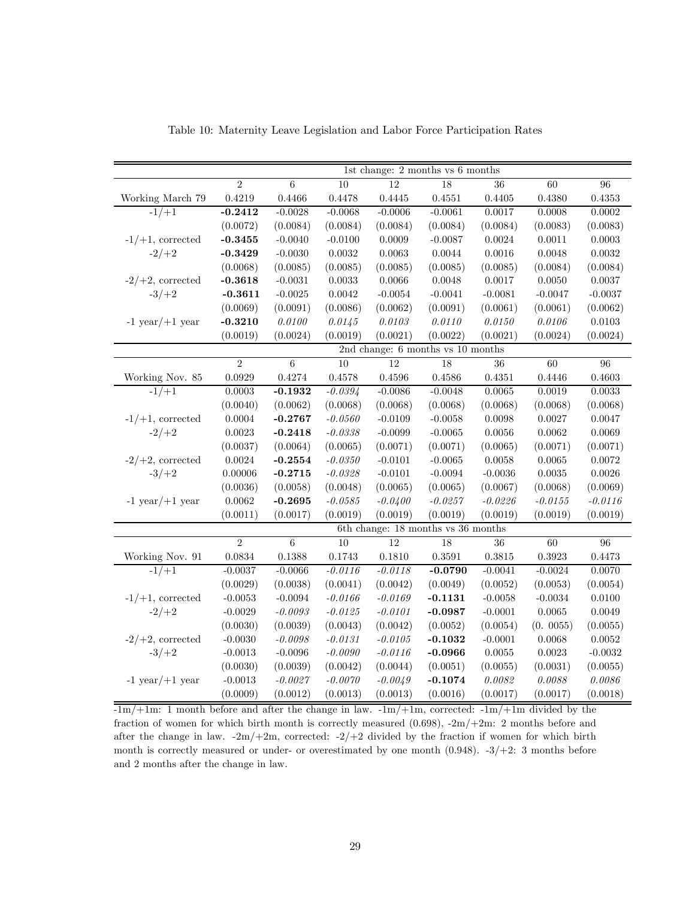|                      |                |                |                    |                 | 1st change: 2 months vs 6 months   |                 |           |              |
|----------------------|----------------|----------------|--------------------|-----------------|------------------------------------|-----------------|-----------|--------------|
|                      | $\overline{2}$ | 6              | 10                 | 12              | 18                                 | $\overline{36}$ | 60        | 96           |
| Working March 79     | 0.4219         | 0.4466         | 0.4478             | $0.4445\,$      | 0.4551                             | 0.4405          | 0.4380    | 0.4353       |
| $-1/+1$              | $-0.2412$      | $-0.0028$      | $-0.0068$          | $-0.0006$       | $-0.0061$                          | 0.0017          | 0.0008    | 0.0002       |
|                      | (0.0072)       | (0.0084)       | (0.0084)           | (0.0084)        | (0.0084)                           | (0.0084)        | (0.0083)  | (0.0083)     |
| $-1/+1$ , corrected  | $-0.3455$      | $-0.0040$      | $-0.0100$          | 0.0009          | $-0.0087$                          | 0.0024          | 0.0011    | 0.0003       |
| $-2/+2$              | $-0.3429$      | $-0.0030$      | 0.0032             | 0.0063          | 0.0044                             | 0.0016          | 0.0048    | 0.0032       |
|                      | (0.0068)       | (0.0085)       | (0.0085)           | (0.0085)        | (0.0085)                           | (0.0085)        | (0.0084)  | (0.0084)     |
| $-2/+2$ , corrected  | $-0.3618$      | $-0.0031$      | $\,0.0033\,$       | 0.0066          | 0.0048                             | $0.0017\,$      | 0.0050    | 0.0037       |
| $-3/+2$              | $-0.3611$      | $-0.0025$      | 0.0042             | $-0.0054$       | $-0.0041$                          | $-0.0081$       | $-0.0047$ | $-0.0037$    |
|                      | (0.0069)       | (0.0091)       | (0.0086)           | (0.0062)        | (0.0091)                           | (0.0061)        | (0.0061)  | (0.0062)     |
| $-1$ year $/+1$ year | $-0.3210$      | 0.0100         | 0.0145             | $0.0103\,$      | 0.0110                             | $0.0150\,$      | 0.0106    | $0.0103\,$   |
|                      | (0.0019)       | (0.0024)       | (0.0019)           | (0.0021)        | (0.0022)                           | (0.0021)        | (0.0024)  | (0.0024)     |
|                      |                |                |                    |                 | 2nd change: 6 months vs 10 months  |                 |           |              |
|                      | $\overline{2}$ | $\sqrt{6}$     | $\overline{10}$    | $\overline{12}$ | 18                                 | 36              | 60        | 96           |
| Working Nov. 85      | 0.0929         | 0.4274         | 0.4578             | 0.4596          | 0.4586                             | 0.4351          | 0.4446    | 0.4603       |
| $-1/+1$              | 0.0003         | $-0.1932$      | $-0.0394$          | $-0.0086$       | $-0.0048$                          | 0.0065          | 0.0019    | 0.0033       |
|                      | (0.0040)       | (0.0062)       | (0.0068)           | (0.0068)        | (0.0068)                           | (0.0068)        | (0.0068)  | (0.0068)     |
| $-1/+1$ , corrected  | 0.0004         | $-0.2767$      | $\textit{-0.0560}$ | $-0.0109$       | $-0.0058$                          | 0.0098          | 0.0027    | 0.0047       |
| $-2/+2$              | $\,0.0023\,$   | $-0.2418$      | $-0.0338\,$        | $-0.0099$       | $-0.0065$                          | 0.0056          | 0.0062    | 0.0069       |
|                      | (0.0037)       | (0.0064)       | (0.0065)           | (0.0071)        | (0.0071)                           | (0.0065)        | (0.0071)  | (0.0071)     |
| $-2/+2$ , corrected  | 0.0024         | $-0.2554$      | $-0.0350$          | $-0.0101$       | $-0.0065$                          | 0.0058          | 0.0065    | 0.0072       |
| $-3/+2$              | 0.00006        | $-0.2715$      | $-0.0328$          | $-0.0101$       | $-0.0094$                          | $-0.0036$       | 0.0035    | 0.0026       |
|                      | (0.0036)       | (0.0058)       | (0.0048)           | (0.0065)        | (0.0065)                           | (0.0067)        | (0.0068)  | (0.0069)     |
| $-1$ year $/+1$ year | 0.0062         | $-0.2695$      | $-0.0585$          | $-0.0400$       | $-0.0257$                          | $-0.0226$       | $-0.0155$ | $-0.0116$    |
|                      | (0.0011)       | (0.0017)       | (0.0019)           | (0.0019)        | (0.0019)                           | (0.0019)        | (0.0019)  | (0.0019)     |
|                      |                |                |                    |                 | 6th change: 18 months vs 36 months |                 |           |              |
|                      | $\overline{2}$ | $\overline{6}$ | 10                 | 12              | 18                                 | 36              | 60        | 96           |
| Working Nov. 91      | 0.0834         | 0.1388         | 0.1743             | 0.1810          | 0.3591                             | ${0.3815}$      | 0.3923    | 0.4473       |
| $-1/+1$              | $-0.0037$      | $-0.0066$      | $-0.0116$          | $-0.0118$       | $-0.0790$                          | $-0.0041$       | $-0.0024$ | 0.0070       |
|                      | (0.0029)       | (0.0038)       | (0.0041)           | (0.0042)        | (0.0049)                           | (0.0052)        | (0.0053)  | (0.0054)     |
| $-1/+1$ , corrected  | $-0.0053$      | $-0.0094$      | $-0.0166$          | $-0.0169$       | $-0.1131$                          | $-0.0058$       | $-0.0034$ | 0.0100       |
| $-2/+2$              | $-0.0029$      | $-0.0093\,$    | $-0.0125$          | $-0.0101$       | $-0.0987$                          | $-0.0001$       | 0.0065    | 0.0049       |
|                      | (0.0030)       | (0.0039)       | (0.0043)           | (0.0042)        | (0.0052)                           | (0.0054)        | (0.0055)  | (0.0055)     |
| $-2/+2$ , corrected  | $-0.0030$      | $-0.0098$      | $-0.0131$          | $-0.0105$       | $-0.1032$                          | $-0.0001$       | 0.0068    | 0.0052       |
| $-3/+2$              | $-0.0013$      | $-0.0096$      | $-0.0090$          | $-0.0116$       | $-0.0966$                          | $0.0055\,$      | 0.0023    | $-0.0032$    |
|                      | (0.0030)       | (0.0039)       | (0.0042)           | (0.0044)        | (0.0051)                           | (0.0055)        | (0.0031)  | (0.0055)     |
| $-1$ year $/+1$ year | $-0.0013$      | $-0.0027$      | $-0.0070$          | $-0.0049$       | $-0.1074$                          | 0.0082          | 0.0088    | $\it 0.0086$ |
|                      | (0.0009)       | (0.0012)       | (0.0013)           | (0.0013)        | (0.0016)                           | (0.0017)        | (0.0017)  | (0.0018)     |

Table 10: Maternity Leave Legislation and Labor Force Participation Rates

 $\frac{-1m}{+1m}$ : 1 month before and after the change in law.  $-1m/+1m$ , corrected:  $-1m/+1m$  divided by the fraction of women for which birth month is correctly measured (0.698), -2m/+2m: 2 months before and after the change in law.  $-2m/+2m$ , corrected:  $-2/+2$  divided by the fraction if women for which birth month is correctly measured or under- or overestimated by one month (0.948). -3/+2: 3 months before and 2 months after the change in law.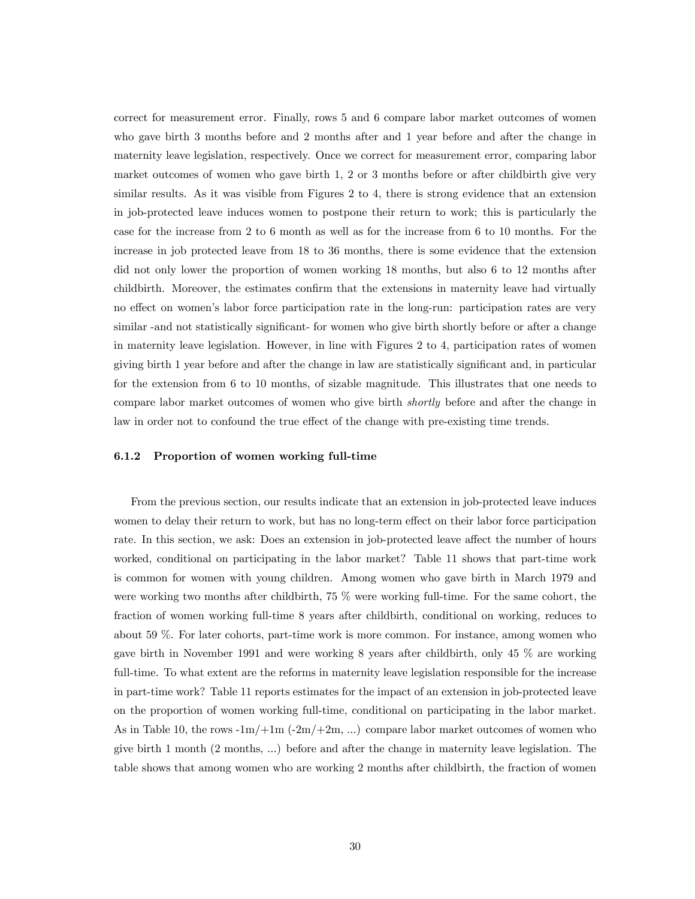correct for measurement error. Finally, rows 5 and 6 compare labor market outcomes of women who gave birth 3 months before and 2 months after and 1 year before and after the change in maternity leave legislation, respectively. Once we correct for measurement error, comparing labor market outcomes of women who gave birth 1, 2 or 3 months before or after childbirth give very similar results. As it was visible from Figures 2 to 4, there is strong evidence that an extension in job-protected leave induces women to postpone their return to work; this is particularly the case for the increase from 2 to 6 month as well as for the increase from 6 to 10 months. For the increase in job protected leave from 18 to 36 months, there is some evidence that the extension did not only lower the proportion of women working 18 months, but also 6 to 12 months after childbirth. Moreover, the estimates confirm that the extensions in maternity leave had virtually no effect on women's labor force participation rate in the long-run: participation rates are very similar -and not statistically significant- for women who give birth shortly before or after a change in maternity leave legislation. However, in line with Figures 2 to 4, participation rates of women giving birth 1 year before and after the change in law are statistically significant and, in particular for the extension from 6 to 10 months, of sizable magnitude. This illustrates that one needs to compare labor market outcomes of women who give birth shortly before and after the change in law in order not to confound the true effect of the change with pre-existing time trends.

#### 6.1.2 Proportion of women working full-time

From the previous section, our results indicate that an extension in job-protected leave induces women to delay their return to work, but has no long-term effect on their labor force participation rate. In this section, we ask: Does an extension in job-protected leave affect the number of hours worked, conditional on participating in the labor market? Table 11 shows that part-time work is common for women with young children. Among women who gave birth in March 1979 and were working two months after childbirth, 75 % were working full-time. For the same cohort, the fraction of women working full-time 8 years after childbirth, conditional on working, reduces to about 59 %. For later cohorts, part-time work is more common. For instance, among women who gave birth in November 1991 and were working 8 years after childbirth, only 45 % are working full-time. To what extent are the reforms in maternity leave legislation responsible for the increase in part-time work? Table 11 reports estimates for the impact of an extension in job-protected leave on the proportion of women working full-time, conditional on participating in the labor market. As in Table 10, the rows  $-1m/+1m$   $(-2m/+2m,...)$  compare labor market outcomes of women who give birth 1 month (2 months, ...) before and after the change in maternity leave legislation. The table shows that among women who are working 2 months after childbirth, the fraction of women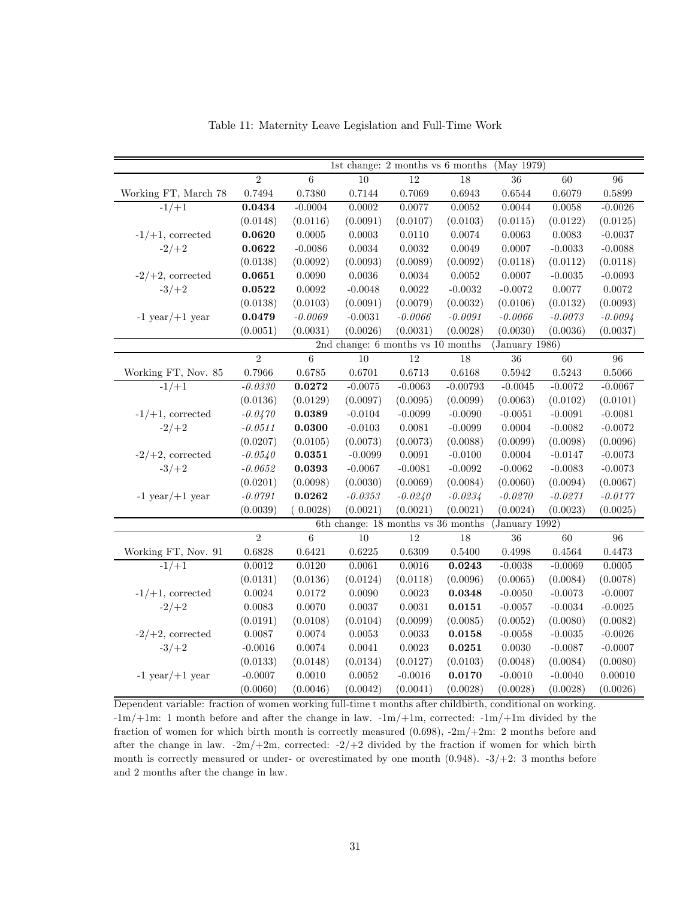|                      |                    |                | 1st change: $2$ months vs $6$ months   |            |              | (May 1979)     |              |                 |
|----------------------|--------------------|----------------|----------------------------------------|------------|--------------|----------------|--------------|-----------------|
|                      | $\overline{2}$     | 6              | 10                                     | 12         | 18           | 36             | 60           | $\overline{96}$ |
| Working FT, March 78 | $0.7494\,$         | 0.7380         | 0.7144                                 | 0.7069     | $\,0.6943\,$ | 0.6544         | 0.6079       | 0.5899          |
| $-1/+1$              | 0.0434             | $-0.0004$      | 0.0002                                 | 0.0077     | $\,0.0052\,$ | 0.0044         | $\,0.0058\,$ | $-0.0026$       |
|                      | (0.0148)           | (0.0116)       | (0.0091)                               | (0.0107)   | (0.0103)     | (0.0115)       | (0.0122)     | (0.0125)        |
| $-1/+1$ , corrected  | 0.0620             | 0.0005         | $0.0003\,$                             | $0.0110\,$ | $0.0074\,$   | 0.0063         | 0.0083       | $-0.0037$       |
| $-2/+2$              | 0.0622             | $-0.0086$      | 0.0034                                 | $0.0032\,$ | 0.0049       | 0.0007         | $-0.0033$    | $-0.0088$       |
|                      | (0.0138)           | (0.0092)       | (0.0093)                               | (0.0089)   | (0.0092)     | (0.0118)       | (0.0112)     | (0.0118)        |
| $-2/+2$ , corrected  | 0.0651             | 0.0090         | 0.0036                                 | 0.0034     | 0.0052       | 0.0007         | $-0.0035$    | $-0.0093$       |
| $-3/+2$              | 0.0522             | 0.0092         | $-0.0048$                              | $0.0022\,$ | $-0.0032$    | $-0.0072$      | 0.0077       | 0.0072          |
|                      | (0.0138)           | (0.0103)       | (0.0091)                               | (0.0079)   | (0.0032)     | (0.0106)       | (0.0132)     | (0.0093)        |
| $-1$ year $/+1$ year | 0.0479             | $-0.0069\,$    | $-0.0031$                              | $-0.0066$  | $-0.0091$    | $-0.0066$      | $-0.0073$    | $-0.0094$       |
|                      | (0.0051)           | (0.0031)       | (0.0026)                               | (0.0031)   | (0.0028)     | (0.0030)       | (0.0036)     | (0.0037)        |
|                      |                    |                | 2nd change: 6 months vs 10 months      |            |              | (January 1986) |              |                 |
|                      | $\overline{2}$     | $\sqrt{6}$     | 10                                     | 12         | 18           | 36             | 60           | 96              |
| Working FT, Nov. 85  | $0.7966\,$         | 0.6785         | 0.6701                                 | $0.6713\,$ | 0.6168       | 0.5942         | $\,0.5243\,$ | 0.5066          |
| $-1/+1$              | $-0.0330$          | $\  \  0.0272$ | $-0.0075$                              | $-0.0063$  | $-0.00793$   | $-0.0045$      | $-0.0072$    | $-0.0067$       |
|                      | (0.0136)           | (0.0129)       | (0.0097)                               | (0.0095)   | (0.0099)     | (0.0063)       | (0.0102)     | (0.0101)        |
| $-1/+1$ , corrected  | $-0.0470$          | 0.0389         | $-0.0104$                              | $-0.0099$  | $-0.0090$    | $-0.0051$      | $-0.0091$    | $-0.0081$       |
| $-2/+2$              | $\textit{-0.0511}$ | 0.0300         | $-0.0103$                              | 0.0081     | $-0.0099$    | 0.0004         | $-0.0082$    | $-0.0072$       |
|                      | (0.0207)           | (0.0105)       | (0.0073)                               | (0.0073)   | (0.0088)     | (0.0099)       | (0.0098)     | (0.0096)        |
| $-2/+2$ , corrected  | $-0.0540$          | 0.0351         | $-0.0099$                              | 0.0091     | $-0.0100$    | $0.0004\,$     | $-0.0147$    | $-0.0073$       |
| $-3/+2$              | $-0.0652$          | 0.0393         | $-0.0067$                              | $-0.0081$  | $-0.0092$    | $-0.0062$      | $-0.0083$    | $-0.0073$       |
|                      | (0.0201)           | (0.0098)       | (0.0030)                               | (0.0069)   | (0.0084)     | (0.0060)       | (0.0094)     | (0.0067)        |
| $-1$ year $/+1$ year | $-0.0791$          | 0.0262         | $-0.0353$                              | $-0.0240$  | $-0.0234$    | $-0.0270$      | $-0.0271$    | $-0.0177$       |
|                      | (0.0039)           | 0.0028)        | (0.0021)                               | (0.0021)   | (0.0021)     | (0.0024)       | (0.0023)     | (0.0025)        |
|                      |                    |                | 6th change: $18$ months vs $36$ months |            |              | (January 1992) |              |                 |
|                      | $\overline{2}$     | 6              | 10                                     | 12         | 18           | $36\,$         | 60           | 96              |
| Working FT, Nov. 91  | 0.6828             | 0.6421         | 0.6225                                 | 0.6309     | 0.5400       | 0.4998         | 0.4564       | 0.4473          |
| $-1/+1$              | 0.0012             | 0.0120         | 0.0061                                 | 0.0016     | 0.0243       | $-0.0038$      | $-0.0069$    | 0.0005          |
|                      | (0.0131)           | (0.0136)       | (0.0124)                               | (0.0118)   | (0.0096)     | (0.0065)       | (0.0084)     | (0.0078)        |
| $-1/+1$ , corrected  | 0.0024             | 0.0172         | 0.0090                                 | $0.0023\,$ | 0.0348       | $-0.0050$      | $-0.0073$    | $-0.0007$       |
| $-2/+2$              | $\,0.0083\,$       | 0.0070         | 0.0037                                 | 0.0031     | 0.0151       | $-0.0057$      | $-0.0034$    | $-0.0025$       |
|                      | (0.0191)           | (0.0108)       | (0.0104)                               | (0.0099)   | (0.0085)     | (0.0052)       | (0.0080)     | (0.0082)        |
| $-2/+2$ , corrected  | 0.0087             | 0.0074         | 0.0053                                 | 0.0033     | 0.0158       | $-0.0058$      | $-0.0035$    | $-0.0026$       |
| $-3/+2$              | $-0.0016$          | 0.0074         | 0.0041                                 | 0.0023     | 0.0251       | 0.0030         | $-0.0087$    | $-0.0007$       |
|                      | (0.0133)           | (0.0148)       | (0.0134)                               | (0.0127)   | (0.0103)     | (0.0048)       | (0.0084)     | (0.0080)        |
| $-1$ year $/+1$ year | $-0.0007$          | 0.0010         | 0.0052                                 | $-0.0016$  | 0.0170       | $-0.0010$      | $-0.0040$    | 0.00010         |
|                      | (0.0060)           | (0.0046)       | (0.0042)                               | (0.0041)   | (0.0028)     | (0.0028)       | (0.0028)     | (0.0026)        |

Table 11: Maternity Leave Legislation and Full-Time Work

Dependent variable: fraction of women working full-time t months after childbirth, conditional on working. -1m/+1m: 1 month before and after the change in law. -1m/+1m, corrected: -1m/+1m divided by the fraction of women for which birth month is correctly measured (0.698), -2m/+2m: 2 months before and after the change in law.  $-2m/+2m$ , corrected:  $-2/+2$  divided by the fraction if women for which birth month is correctly measured or under- or overestimated by one month  $(0.948)$ .  $-3/+2$ : 3 months before and 2 months after the change in law.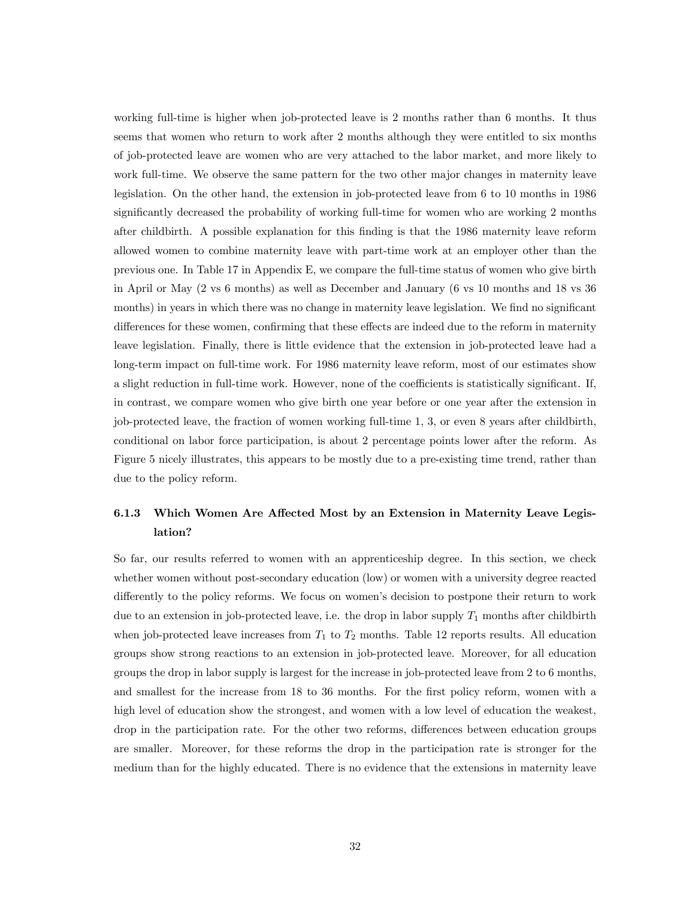working full-time is higher when job-protected leave is 2 months rather than 6 months. It thus seems that women who return to work after 2 months although they were entitled to six months of job-protected leave are women who are very attached to the labor market, and more likely to work full-time. We observe the same pattern for the two other major changes in maternity leave legislation. On the other hand, the extension in job-protected leave from 6 to 10 months in 1986 significantly decreased the probability of working full-time for women who are working 2 months after childbirth. A possible explanation for this finding is that the 1986 maternity leave reform allowed women to combine maternity leave with part-time work at an employer other than the previous one. In Table 17 in Appendix E, we compare the full-time status of women who give birth in April or May (2 vs 6 months) as well as December and January (6 vs 10 months and 18 vs 36 months) in years in which there was no change in maternity leave legislation. We find no significant differences for these women, confirming that these effects are indeed due to the reform in maternity leave legislation. Finally, there is little evidence that the extension in job-protected leave had a long-term impact on full-time work. For 1986 maternity leave reform, most of our estimates show a slight reduction in full-time work. However, none of the coefficients is statistically significant. If, in contrast, we compare women who give birth one year before or one year after the extension in job-protected leave, the fraction of women working full-time 1, 3, or even 8 years after childbirth, conditional on labor force participation, is about 2 percentage points lower after the reform. As Figure 5 nicely illustrates, this appears to be mostly due to a pre-existing time trend, rather than due to the policy reform.

# 6.1.3 Which Women Are Affected Most by an Extension in Maternity Leave Legislation?

So far, our results referred to women with an apprenticeship degree. In this section, we check whether women without post-secondary education (low) or women with a university degree reacted differently to the policy reforms. We focus on women's decision to postpone their return to work due to an extension in job-protected leave, i.e. the drop in labor supply  $T_1$  months after childbirth when job-protected leave increases from  $T_1$  to  $T_2$  months. Table 12 reports results. All education groups show strong reactions to an extension in job-protected leave. Moreover, for all education groups the drop in labor supply is largest for the increase in job-protected leave from 2 to 6 months, and smallest for the increase from 18 to 36 months. For the first policy reform, women with a high level of education show the strongest, and women with a low level of education the weakest, drop in the participation rate. For the other two reforms, differences between education groups are smaller. Moreover, for these reforms the drop in the participation rate is stronger for the medium than for the highly educated. There is no evidence that the extensions in maternity leave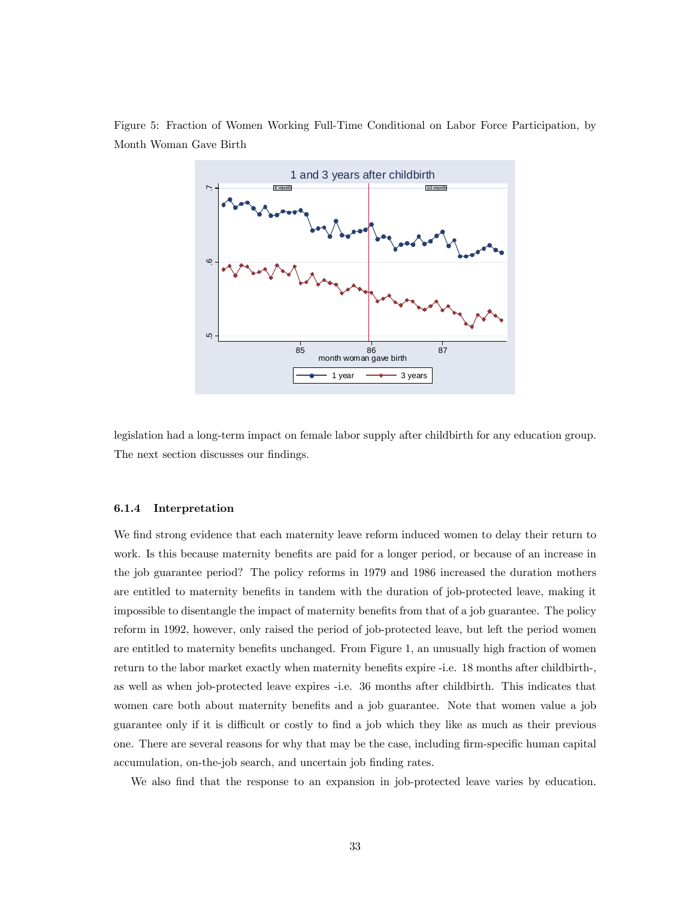

Figure 5: Fraction of Women Working Full-Time Conditional on Labor Force Participation, by Month Woman Gave Birth

legislation had a long-term impact on female labor supply after childbirth for any education group. The next section discusses our findings.

#### 6.1.4 Interpretation

We find strong evidence that each maternity leave reform induced women to delay their return to work. Is this because maternity benefits are paid for a longer period, or because of an increase in the job guarantee period? The policy reforms in 1979 and 1986 increased the duration mothers are entitled to maternity benefits in tandem with the duration of job-protected leave, making it impossible to disentangle the impact of maternity benefits from that of a job guarantee. The policy reform in 1992, however, only raised the period of job-protected leave, but left the period women are entitled to maternity benefits unchanged. From Figure 1, an unusually high fraction of women return to the labor market exactly when maternity benefits expire -i.e. 18 months after childbirth-, as well as when job-protected leave expires -i.e. 36 months after childbirth. This indicates that women care both about maternity benefits and a job guarantee. Note that women value a job guarantee only if it is difficult or costly to find a job which they like as much as their previous one. There are several reasons for why that may be the case, including firm-specific human capital accumulation, on-the-job search, and uncertain job finding rates.

We also find that the response to an expansion in job-protected leave varies by education.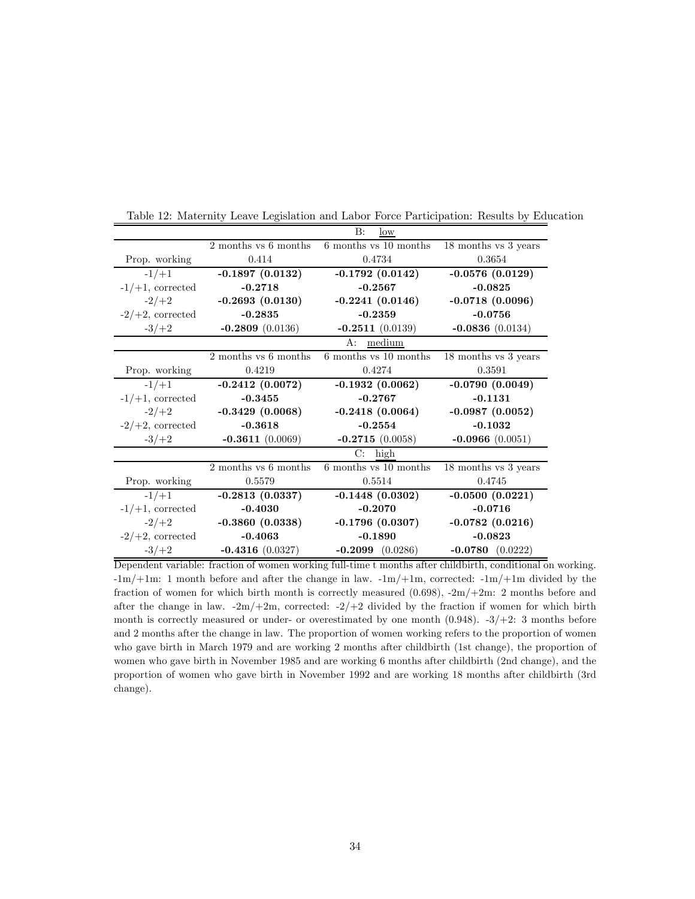|                     |                      | B:<br>low             |                          |
|---------------------|----------------------|-----------------------|--------------------------|
|                     | 2 months vs 6 months | 6 months vs 10 months | 18 months vs 3 years     |
| Prop. working       | 0.414                | 0.4734                | 0.3654                   |
| $-1/+1$             | $-0.1897(0.0132)$    | $-0.1792(0.0142)$     | $-0.0576(0.0129)$        |
| $-1/+1$ , corrected | $-0.2718$            | $-0.2567$             | $-0.0825$                |
| $-2/+2$             | $-0.2693(0.0130)$    | $-0.2241(0.0146)$     | $-0.0718(0.0096)$        |
| $-2/+2$ , corrected | $-0.2835$            | $-0.2359$             | $-0.0756$                |
| $-3/+2$             | $-0.2809$ (0.0136)   | $-0.2511(0.0139)$     | $-0.0836(0.0134)$        |
|                     |                      | A:<br>medium          |                          |
|                     | 2 months vs 6 months | 6 months vs 10 months | 18 months vs 3 years     |
| Prop. working       | 0.4219               | 0.4274                | 0.3591                   |
| $-1/+1$             | $-0.2412(0.0072)$    | $-0.1932(0.0062)$     | $-0.0790(0.0049)$        |
| $-1/+1$ , corrected | $-0.3455$            | $-0.2767$             | $-0.1131$                |
| $-2/+2$             | $-0.3429(0.0068)$    | $-0.2418(0.0064)$     | $-0.0987(0.0052)$        |
| $-2/+2$ , corrected | $-0.3618$            | $-0.2554$             | $-0.1032$                |
| $-3/+2$             | $-0.3611(0.0069)$    | $-0.2715(0.0058)$     | $-0.0966(0.0051)$        |
|                     |                      | $C:$ high             |                          |
|                     | 2 months vs 6 months | 6 months vs 10 months | $18$ months vs $3$ years |
| Prop. working       | 0.5579               | 0.5514                | 0.4745                   |
| $-1/+1$             | $-0.2813(0.0337)$    | $-0.1448(0.0302)$     | $-0.0500(0.0221)$        |
| $-1/+1$ , corrected | $-0.4030$            | $-0.2070$             | $-0.0716$                |
| $-2/+2$             | $-0.3860(0.0338)$    | $-0.1796(0.0307)$     | $-0.0782(0.0216)$        |
| $-2/+2$ , corrected | $-0.4063$            | $-0.1890$             | $-0.0823$                |
| $-3/+2$             | $-0.4316(0.0327)$    | $-0.2099$ $(0.0286)$  | $-0.0780$ $(0.0222)$     |

Table 12: Maternity Leave Legislation and Labor Force Participation: Results by Education

Dependent variable: fraction of women working full-time t months after childbirth, conditional on working. -1m/+1m: 1 month before and after the change in law. -1m/+1m, corrected: -1m/+1m divided by the fraction of women for which birth month is correctly measured  $(0.698)$ ,  $-2m/+2m$ : 2 months before and after the change in law.  $-2m/+2m$ , corrected:  $-2/+2$  divided by the fraction if women for which birth month is correctly measured or under- or overestimated by one month  $(0.948)$ .  $-3/+2$ : 3 months before and 2 months after the change in law. The proportion of women working refers to the proportion of women who gave birth in March 1979 and are working 2 months after childbirth (1st change), the proportion of women who gave birth in November 1985 and are working 6 months after childbirth (2nd change), and the proportion of women who gave birth in November 1992 and are working 18 months after childbirth (3rd change).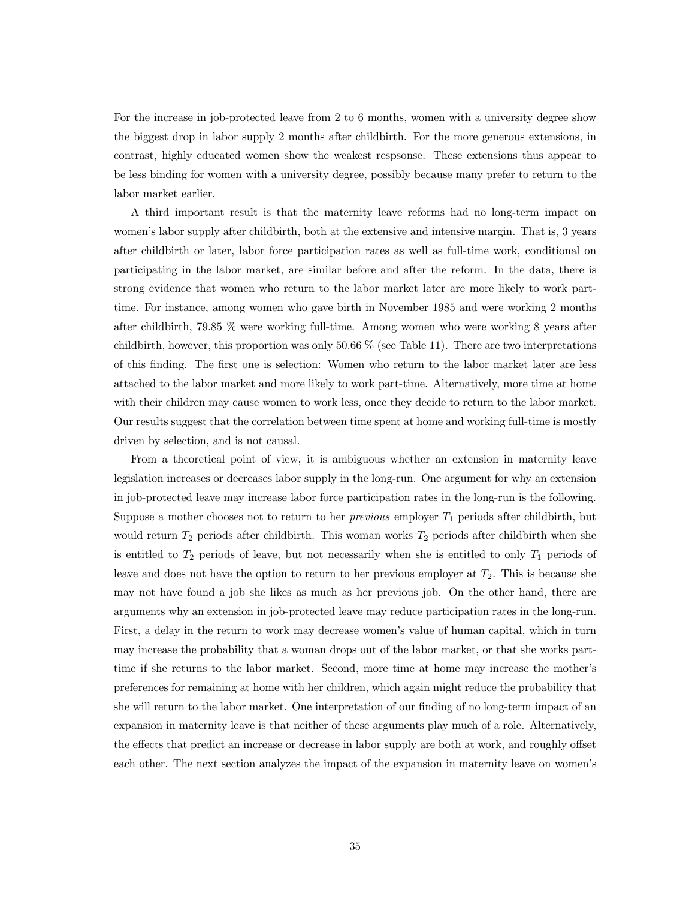For the increase in job-protected leave from 2 to 6 months, women with a university degree show the biggest drop in labor supply 2 months after childbirth. For the more generous extensions, in contrast, highly educated women show the weakest respsonse. These extensions thus appear to be less binding for women with a university degree, possibly because many prefer to return to the labor market earlier.

A third important result is that the maternity leave reforms had no long-term impact on women's labor supply after childbirth, both at the extensive and intensive margin. That is, 3 years after childbirth or later, labor force participation rates as well as full-time work, conditional on participating in the labor market, are similar before and after the reform. In the data, there is strong evidence that women who return to the labor market later are more likely to work parttime. For instance, among women who gave birth in November 1985 and were working 2 months after childbirth, 79.85 % were working full-time. Among women who were working 8 years after childbirth, however, this proportion was only  $50.66\%$  (see Table 11). There are two interpretations of this finding. The first one is selection: Women who return to the labor market later are less attached to the labor market and more likely to work part-time. Alternatively, more time at home with their children may cause women to work less, once they decide to return to the labor market. Our results suggest that the correlation between time spent at home and working full-time is mostly driven by selection, and is not causal.

From a theoretical point of view, it is ambiguous whether an extension in maternity leave legislation increases or decreases labor supply in the long-run. One argument for why an extension in job-protected leave may increase labor force participation rates in the long-run is the following. Suppose a mother chooses not to return to her *previous* employer  $T_1$  periods after childbirth, but would return  $T_2$  periods after childbirth. This woman works  $T_2$  periods after childbirth when she is entitled to  $T_2$  periods of leave, but not necessarily when she is entitled to only  $T_1$  periods of leave and does not have the option to return to her previous employer at  $T_2$ . This is because she may not have found a job she likes as much as her previous job. On the other hand, there are arguments why an extension in job-protected leave may reduce participation rates in the long-run. First, a delay in the return to work may decrease women's value of human capital, which in turn may increase the probability that a woman drops out of the labor market, or that she works parttime if she returns to the labor market. Second, more time at home may increase the mother's preferences for remaining at home with her children, which again might reduce the probability that she will return to the labor market. One interpretation of our finding of no long-term impact of an expansion in maternity leave is that neither of these arguments play much of a role. Alternatively, the effects that predict an increase or decrease in labor supply are both at work, and roughly offset each other. The next section analyzes the impact of the expansion in maternity leave on women's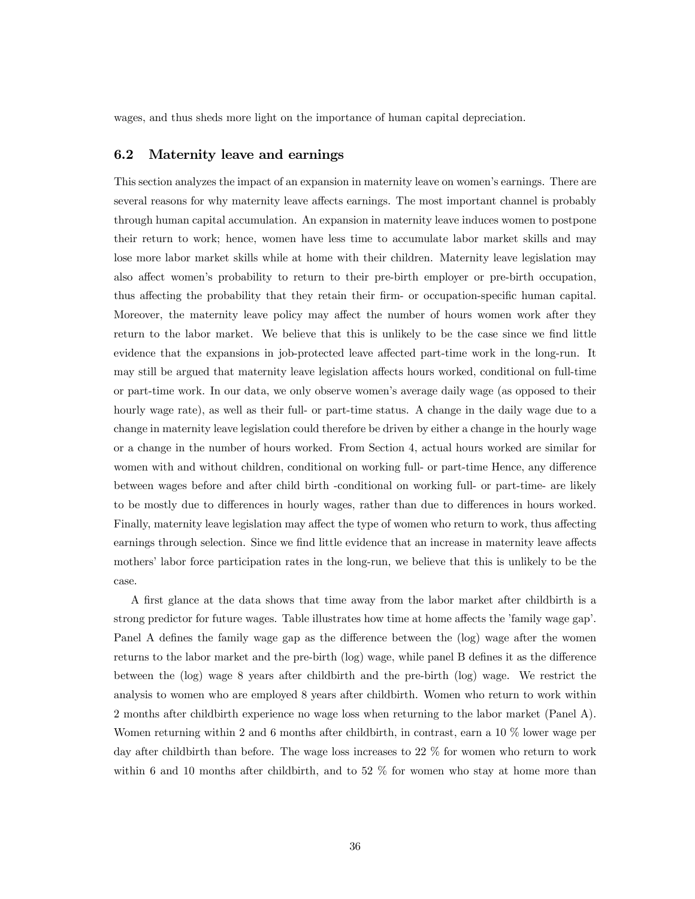wages, and thus sheds more light on the importance of human capital depreciation.

### 6.2 Maternity leave and earnings

This section analyzes the impact of an expansion in maternity leave on women's earnings. There are several reasons for why maternity leave affects earnings. The most important channel is probably through human capital accumulation. An expansion in maternity leave induces women to postpone their return to work; hence, women have less time to accumulate labor market skills and may lose more labor market skills while at home with their children. Maternity leave legislation may also affect women's probability to return to their pre-birth employer or pre-birth occupation, thus affecting the probability that they retain their firm- or occupation-specific human capital. Moreover, the maternity leave policy may affect the number of hours women work after they return to the labor market. We believe that this is unlikely to be the case since we find little evidence that the expansions in job-protected leave affected part-time work in the long-run. It may still be argued that maternity leave legislation affects hours worked, conditional on full-time or part-time work. In our data, we only observe women's average daily wage (as opposed to their hourly wage rate), as well as their full- or part-time status. A change in the daily wage due to a change in maternity leave legislation could therefore be driven by either a change in the hourly wage or a change in the number of hours worked. From Section 4, actual hours worked are similar for women with and without children, conditional on working full- or part-time Hence, any difference between wages before and after child birth -conditional on working full- or part-time- are likely to be mostly due to differences in hourly wages, rather than due to differences in hours worked. Finally, maternity leave legislation may affect the type of women who return to work, thus affecting earnings through selection. Since we find little evidence that an increase in maternity leave affects mothers' labor force participation rates in the long-run, we believe that this is unlikely to be the case.

A first glance at the data shows that time away from the labor market after childbirth is a strong predictor for future wages. Table illustrates how time at home affects the 'family wage gap'. Panel A defines the family wage gap as the difference between the (log) wage after the women returns to the labor market and the pre-birth (log) wage, while panel B defines it as the difference between the (log) wage 8 years after childbirth and the pre-birth (log) wage. We restrict the analysis to women who are employed 8 years after childbirth. Women who return to work within 2 months after childbirth experience no wage loss when returning to the labor market (Panel A). Women returning within 2 and 6 months after childbirth, in contrast, earn a 10 % lower wage per day after childbirth than before. The wage loss increases to 22 % for women who return to work within 6 and 10 months after childbirth, and to 52  $\%$  for women who stay at home more than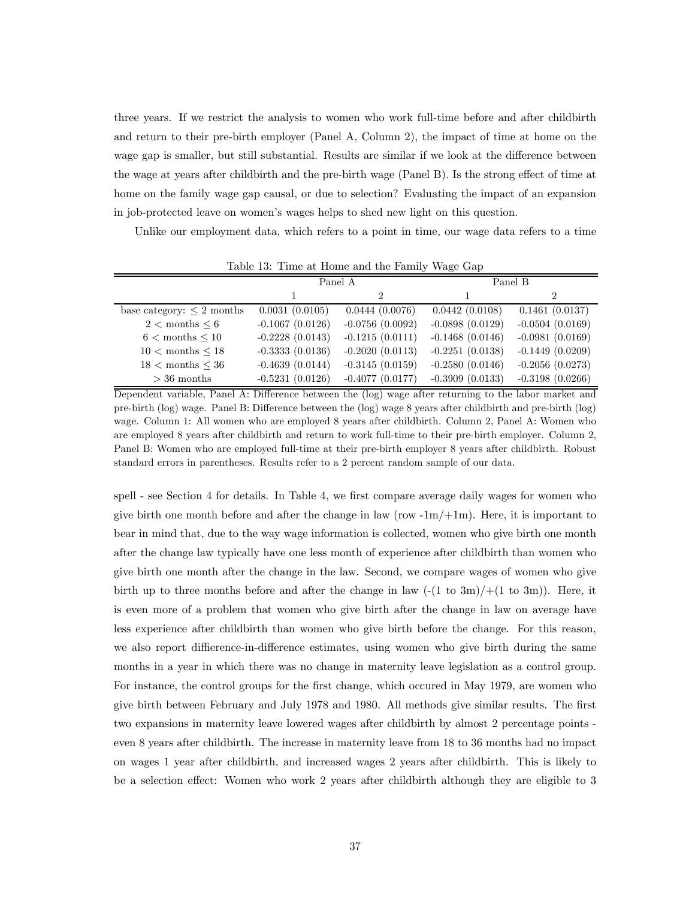three years. If we restrict the analysis to women who work full-time before and after childbirth and return to their pre-birth employer (Panel A, Column 2), the impact of time at home on the wage gap is smaller, but still substantial. Results are similar if we look at the difference between the wage at years after childbirth and the pre-birth wage (Panel B). Is the strong effect of time at home on the family wage gap causal, or due to selection? Evaluating the impact of an expansion in job-protected leave on women's wages helps to shed new light on this question.

Unlike our employment data, which refers to a point in time, our wage data refers to a time

|                                |                   | Panel A           | Panel B           |                   |  |  |
|--------------------------------|-------------------|-------------------|-------------------|-------------------|--|--|
|                                |                   |                   |                   | 2                 |  |  |
| base category: $\leq 2$ months | 0.0031(0.0105)    | 0.0444(0.0076)    | 0.0442(0.0108)    | 0.1461(0.0137)    |  |  |
| $2 <$ months $\leq 6$          | $-0.1067(0.0126)$ | $-0.0756(0.0092)$ | $-0.0898(0.0129)$ | $-0.0504(0.0169)$ |  |  |
| $6 <$ months $< 10$            | $-0.2228(0.0143)$ | $-0.1215(0.0111)$ | $-0.1468(0.0146)$ | $-0.0981(0.0169)$ |  |  |
| $10 <$ months $< 18$           | $-0.3333(0.0136)$ | $-0.2020(0.0113)$ | $-0.2251(0.0138)$ | $-0.1449(0.0209)$ |  |  |
| $18 <$ months $\leq 36$        | $-0.4639(0.0144)$ | $-0.3145(0.0159)$ | $-0.2580(0.0146)$ | $-0.2056(0.0273)$ |  |  |
| $>36$ months                   | $-0.5231(0.0126)$ | $-0.4077(0.0177)$ | $-0.3909(0.0133)$ | $-0.3198(0.0266)$ |  |  |

Table 13: Time at Home and the Family Wage Gap

Dependent variable, Panel A: Difference between the (log) wage after returning to the labor market and pre-birth (log) wage. Panel B: Difference between the (log) wage 8 years after childbirth and pre-birth (log) wage. Column 1: All women who are employed 8 years after childbirth. Column 2, Panel A: Women who are employed 8 years after childbirth and return to work full-time to their pre-birth employer. Column 2, Panel B: Women who are employed full-time at their pre-birth employer 8 years after childbirth. Robust standard errors in parentheses. Results refer to a 2 percent random sample of our data.

spell - see Section 4 for details. In Table 4, we first compare average daily wages for women who give birth one month before and after the change in law (row  $-1m/+1m$ ). Here, it is important to bear in mind that, due to the way wage information is collected, women who give birth one month after the change law typically have one less month of experience after childbirth than women who give birth one month after the change in the law. Second, we compare wages of women who give birth up to three months before and after the change in law  $(-(1 \text{ to } 3m)/+(1 \text{ to } 3m))$ . Here, it is even more of a problem that women who give birth after the change in law on average have less experience after childbirth than women who give birth before the change. For this reason, we also report diffierence-in-difference estimates, using women who give birth during the same months in a year in which there was no change in maternity leave legislation as a control group. For instance, the control groups for the first change, which occured in May 1979, are women who give birth between February and July 1978 and 1980. All methods give similar results. The first two expansions in maternity leave lowered wages after childbirth by almost 2 percentage points even 8 years after childbirth. The increase in maternity leave from 18 to 36 months had no impact on wages 1 year after childbirth, and increased wages 2 years after childbirth. This is likely to be a selection effect: Women who work 2 years after childbirth although they are eligible to 3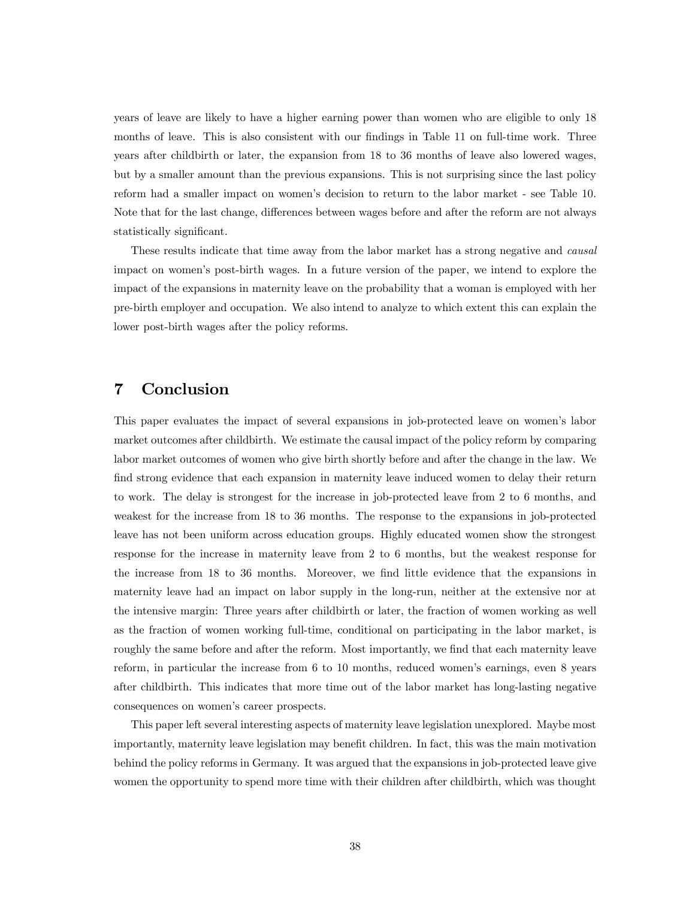years of leave are likely to have a higher earning power than women who are eligible to only 18 months of leave. This is also consistent with our findings in Table 11 on full-time work. Three years after childbirth or later, the expansion from 18 to 36 months of leave also lowered wages, but by a smaller amount than the previous expansions. This is not surprising since the last policy reform had a smaller impact on women's decision to return to the labor market - see Table 10. Note that for the last change, differences between wages before and after the reform are not always statistically significant.

These results indicate that time away from the labor market has a strong negative and causal impact on women's post-birth wages. In a future version of the paper, we intend to explore the impact of the expansions in maternity leave on the probability that a woman is employed with her pre-birth employer and occupation. We also intend to analyze to which extent this can explain the lower post-birth wages after the policy reforms.

# 7 Conclusion

This paper evaluates the impact of several expansions in job-protected leave on women's labor market outcomes after childbirth. We estimate the causal impact of the policy reform by comparing labor market outcomes of women who give birth shortly before and after the change in the law. We find strong evidence that each expansion in maternity leave induced women to delay their return to work. The delay is strongest for the increase in job-protected leave from 2 to 6 months, and weakest for the increase from 18 to 36 months. The response to the expansions in job-protected leave has not been uniform across education groups. Highly educated women show the strongest response for the increase in maternity leave from 2 to 6 months, but the weakest response for the increase from 18 to 36 months. Moreover, we find little evidence that the expansions in maternity leave had an impact on labor supply in the long-run, neither at the extensive nor at the intensive margin: Three years after childbirth or later, the fraction of women working as well as the fraction of women working full-time, conditional on participating in the labor market, is roughly the same before and after the reform. Most importantly, we find that each maternity leave reform, in particular the increase from 6 to 10 months, reduced women's earnings, even 8 years after childbirth. This indicates that more time out of the labor market has long-lasting negative consequences on women's career prospects.

This paper left several interesting aspects of maternity leave legislation unexplored. Maybe most importantly, maternity leave legislation may benefit children. In fact, this was the main motivation behind the policy reforms in Germany. It was argued that the expansions in job-protected leave give women the opportunity to spend more time with their children after childbirth, which was thought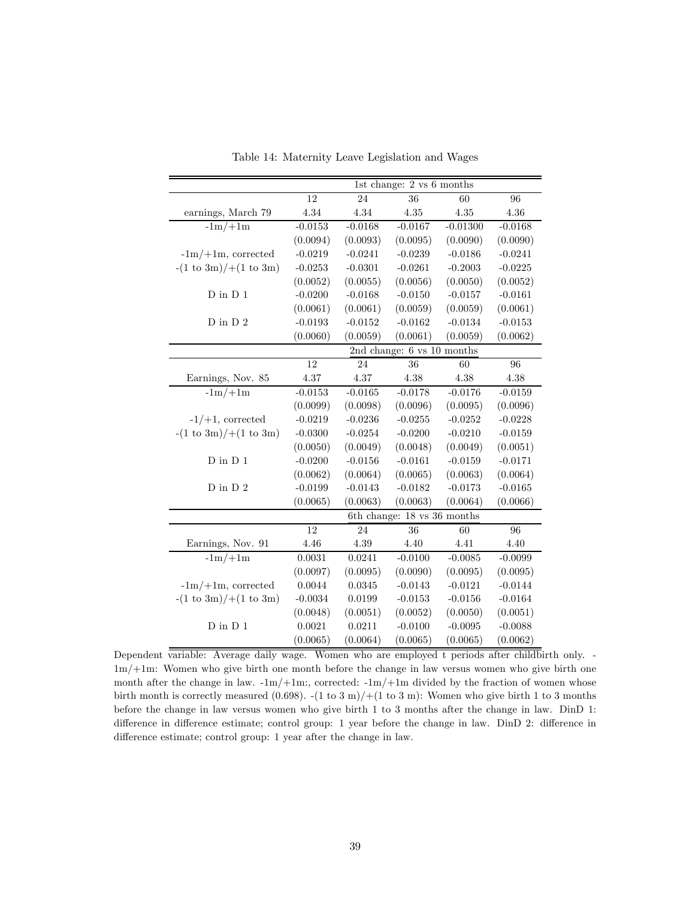|                                             | $1st$ change: 2 vs 6 months |                      |                             |            |                 |  |
|---------------------------------------------|-----------------------------|----------------------|-----------------------------|------------|-----------------|--|
|                                             | 12                          | 36<br>60<br>24       |                             |            | 96              |  |
| earnings, March 79                          | $4.34\,$                    | 4.34                 | 4.35                        | 4.35       | 4.36            |  |
| $-1m/+1m$                                   | $-0.0153$                   | $-0.0168$            | $-0.0167$                   | $-0.01300$ | $-0.0168$       |  |
|                                             | (0.0094)                    | (0.0093)             | (0.0095)                    | (0.0090)   | (0.0090)        |  |
| $-1m/+1m$ , corrected                       | $-0.0219$                   | $-0.0241$            | $-0.0239$                   | $-0.0186$  | $-0.0241$       |  |
| $-(1 \text{ to } 3m) / +(1 \text{ to } 3m)$ | $-0.0253$                   | $-0.0301$            | $-0.0261$                   | $-0.2003$  | $-0.0225$       |  |
|                                             | (0.0052)                    | (0.0055)             | (0.0056)                    | (0.0050)   | (0.0052)        |  |
| $D$ in $D$ 1                                | $-0.0200$                   | $-0.0168$            | $-0.0150$                   | $-0.0157$  | $-0.0161$       |  |
|                                             | (0.0061)                    | (0.0061)             | (0.0059)                    | (0.0059)   | (0.0061)        |  |
| $D$ in $D$ 2                                | $-0.0193$                   | $-0.0152$            | $-0.0162$                   | $-0.0134$  | $-0.0153$       |  |
|                                             | (0.0060)                    | (0.0059)             | (0.0061)                    | (0.0059)   | (0.0062)        |  |
|                                             |                             |                      | 2nd change: 6 vs 10 months  |            |                 |  |
|                                             | $\overline{12}$             | 24                   | 36                          | 60         | $\overline{96}$ |  |
| Earnings, Nov. 85                           | 4.37                        | 4.37                 | 4.38                        | 4.38       | 4.38            |  |
| $-1m/+1m$                                   | $-0.0153$                   | $-0.0165$            | $-0.0178$                   | $-0.0176$  | $-0.0159$       |  |
|                                             | (0.0099)                    | (0.0098)             | (0.0096)                    | (0.0095)   | (0.0096)        |  |
| $-1/+1$ , corrected                         | $-0.0219$                   | $-0.0236$            | $-0.0255$                   | $-0.0252$  | $-0.0228$       |  |
| $-(1 \text{ to } 3m) / +(1 \text{ to } 3m)$ | $-0.0300$                   | $-0.0254$            | $-0.0200$                   | $-0.0210$  | $-0.0159$       |  |
|                                             | (0.0050)                    | (0.0049)             | (0.0048)                    | (0.0049)   | (0.0051)        |  |
| ${\rm D}$ in ${\rm D}$ $1$                  | $-0.0200$                   | $-0.0156$            | $-0.0161$                   | $-0.0159$  | $-0.0171$       |  |
|                                             | (0.0062)                    | (0.0064)             | (0.0065)                    | (0.0063)   | (0.0064)        |  |
| $D$ in $D$ $2\,$                            | $-0.0199$                   | $-0.0143$            | $-0.0182$                   | $-0.0173$  | $-0.0165$       |  |
|                                             | (0.0065)                    | (0.0063)<br>(0.0063) |                             | (0.0064)   | (0.0066)        |  |
|                                             |                             |                      | 6th change: 18 vs 36 months |            |                 |  |
|                                             | 12                          | 24                   | 36                          | 60         | 96              |  |
| Earnings, Nov. 91                           | 4.46                        | 4.39                 | 4.40                        | 4.41       | 4.40            |  |
| $-1m/+1m$                                   | 0.0031                      | 0.0241               | $-0.0100$                   | $-0.0085$  | $-0.0099$       |  |
|                                             | (0.0097)                    | (0.0095)             | (0.0090)                    | (0.0095)   | (0.0095)        |  |
| $-1m/+1m$ , corrected                       | 0.0044                      | 0.0345               | $-0.0143$                   | $-0.0121$  | $-0.0144$       |  |
| $-(1 \text{ to } 3m) / +(1 \text{ to } 3m)$ | $-0.0034$                   | 0.0199               | $-0.0153$                   | $-0.0156$  | $-0.0164$       |  |
|                                             | (0.0048)                    | (0.0051)             | (0.0052)                    | (0.0050)   | (0.0051)        |  |
| $D$ in $D$ 1                                | 0.0021                      | 0.0211               | $-0.0100$                   | $-0.0095$  | $-0.0088$       |  |
|                                             | (0.0065)                    | (0.0064)             | (0.0065)                    | (0.0065)   | (0.0062)        |  |

Table 14: Maternity Leave Legislation and Wages

Dependent variable: Average daily wage. Women who are employed t periods after childbirth only. -1m/+1m: Women who give birth one month before the change in law versus women who give birth one month after the change in law.  $-1m/+1m$ :, corrected:  $-1m/+1m$  divided by the fraction of women whose birth month is correctly measured  $(0.698)$ .  $-(1 \text{ to } 3 \text{ m})/+(1 \text{ to } 3 \text{ m})$ : Women who give birth 1 to 3 months before the change in law versus women who give birth 1 to 3 months after the change in law. DinD 1: difference in difference estimate; control group: 1 year before the change in law. DinD 2: difference in difference estimate; control group: 1 year after the change in law.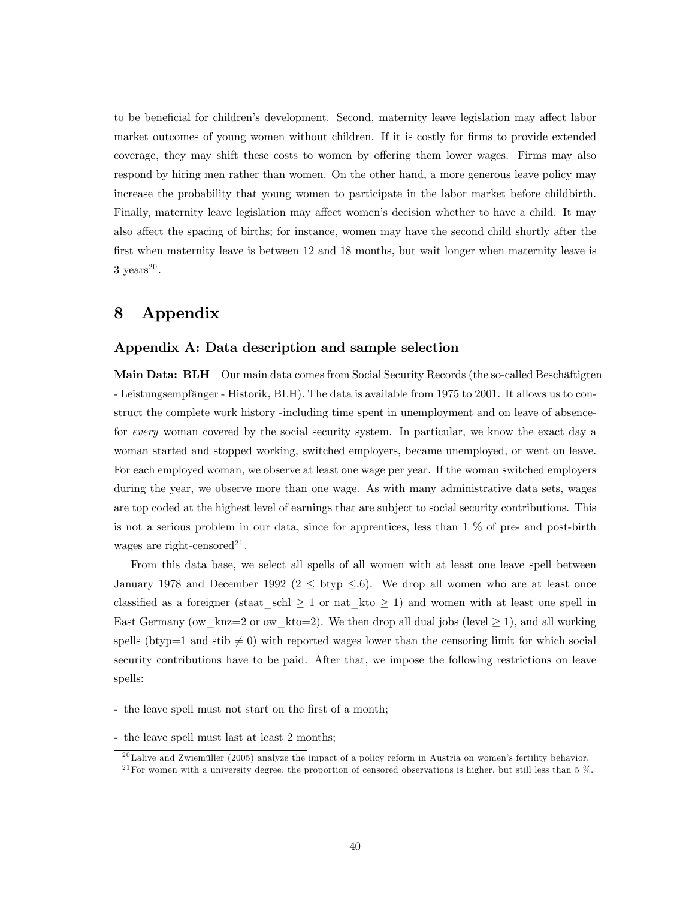to be beneficial for children's development. Second, maternity leave legislation may affect labor market outcomes of young women without children. If it is costly for firms to provide extended coverage, they may shift these costs to women by offering them lower wages. Firms may also respond by hiring men rather than women. On the other hand, a more generous leave policy may increase the probability that young women to participate in the labor market before childbirth. Finally, maternity leave legislation may affect women's decision whether to have a child. It may also affect the spacing of births; for instance, women may have the second child shortly after the first when maternity leave is between 12 and 18 months, but wait longer when maternity leave is  $3 \text{ years}^{20}$ .

# 8 Appendix

### Appendix A: Data description and sample selection

Main Data: BLH Our main data comes from Social Security Records (the so-called Beschäftigten - Leistungsempfänger - Historik, BLH). The data is available from 1975 to 2001. It allows us to construct the complete work history -including time spent in unemployment and on leave of absencefor every woman covered by the social security system. In particular, we know the exact day a woman started and stopped working, switched employers, became unemployed, or went on leave. For each employed woman, we observe at least one wage per year. If the woman switched employers during the year, we observe more than one wage. As with many administrative data sets, wages are top coded at the highest level of earnings that are subject to social security contributions. This is not a serious problem in our data, since for apprentices, less than 1 % of pre- and post-birth wages are right-censored<sup>21</sup>.

From this data base, we select all spells of all women with at least one leave spell between January 1978 and December 1992 ( $2 \leq$  btyp  $\leq$ .6). We drop all women who are at least once classified as a foreigner (staat schl  $\geq 1$  or nat kto  $\geq 1$ ) and women with at least one spell in East Germany (ow knz=2 or ow kto=2). We then drop all dual jobs (level  $\geq$  1), and all working spells (btyp=1 and stib  $\neq$  0) with reported wages lower than the censoring limit for which social security contributions have to be paid. After that, we impose the following restrictions on leave spells:

- the leave spell must not start on the first of a month;
- the leave spell must last at least 2 months;

<sup>&</sup>lt;sup>20</sup>Lalive and Zwiemüller (2005) analyze the impact of a policy reform in Austria on women's fertility behavior.  $^{21}$  For women with a university degree, the proportion of censored observations is higher, but still less than 5 %.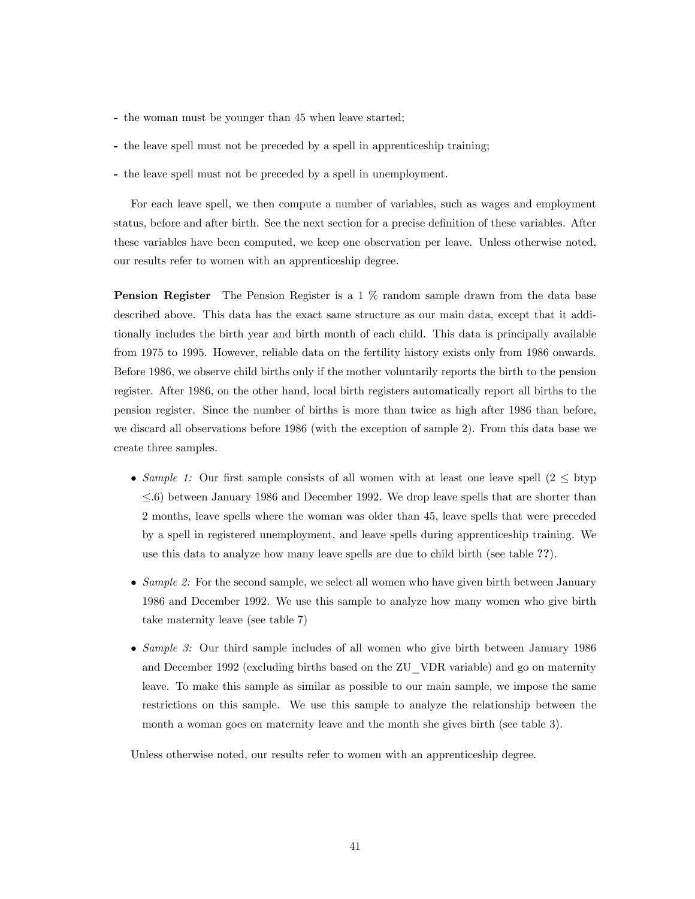- the woman must be younger than 45 when leave started;
- the leave spell must not be preceded by a spell in apprenticeship training;
- the leave spell must not be preceded by a spell in unemployment.

For each leave spell, we then compute a number of variables, such as wages and employment status, before and after birth. See the next section for a precise definition of these variables. After these variables have been computed, we keep one observation per leave. Unless otherwise noted, our results refer to women with an apprenticeship degree.

Pension Register The Pension Register is a 1 % random sample drawn from the data base described above. This data has the exact same structure as our main data, except that it additionally includes the birth year and birth month of each child. This data is principally available from 1975 to 1995. However, reliable data on the fertility history exists only from 1986 onwards. Before 1986, we observe child births only if the mother voluntarily reports the birth to the pension register. After 1986, on the other hand, local birth registers automatically report all births to the pension register. Since the number of births is more than twice as high after 1986 than before, we discard all observations before 1986 (with the exception of sample 2). From this data base we create three samples.

- Sample 1: Our first sample consists of all women with at least one leave spell  $(2 \leq$  btyp  $\leq 6$ ) between January 1986 and December 1992. We drop leave spells that are shorter than 2 months, leave spells where the woman was older than 45, leave spells that were preceded by a spell in registered unemployment, and leave spells during apprenticeship training. We use this data to analyze how many leave spells are due to child birth (see table ??).
- Sample 2: For the second sample, we select all women who have given birth between January 1986 and December 1992. We use this sample to analyze how many women who give birth take maternity leave (see table 7)
- Sample 3: Our third sample includes of all women who give birth between January 1986 and December 1992 (excluding births based on the ZU\_VDR variable) and go on maternity leave. To make this sample as similar as possible to our main sample, we impose the same restrictions on this sample. We use this sample to analyze the relationship between the month a woman goes on maternity leave and the month she gives birth (see table 3).

Unless otherwise noted, our results refer to women with an apprenticeship degree.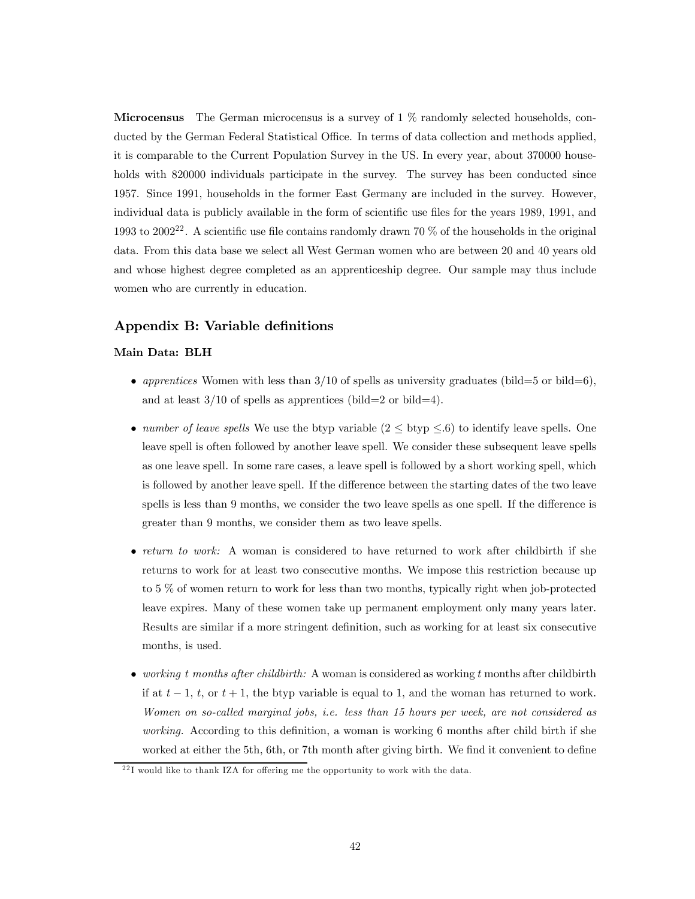**Microcensus** The German microcensus is a survey of  $1\%$  randomly selected households, conducted by the German Federal Statistical Office. In terms of data collection and methods applied, it is comparable to the Current Population Survey in the US. In every year, about 370000 households with 820000 individuals participate in the survey. The survey has been conducted since 1957. Since 1991, households in the former East Germany are included in the survey. However, individual data is publicly available in the form of scientific use files for the years 1989, 1991, and 1993 to 2002<sup>22</sup>. A scientific use file contains randomly drawn 70 % of the households in the original data. From this data base we select all West German women who are between 20 and 40 years old and whose highest degree completed as an apprenticeship degree. Our sample may thus include women who are currently in education.

### Appendix B: Variable definitions

### Main Data: BLH

- apprentices Women with less than  $3/10$  of spells as university graduates (bild=5 or bild=6), and at least  $3/10$  of spells as apprentices (bild=2 or bild=4).
- number of leave spells We use the btyp variable  $(2 \leq$  btyp  $\leq .6)$  to identify leave spells. One leave spell is often followed by another leave spell. We consider these subsequent leave spells as one leave spell. In some rare cases, a leave spell is followed by a short working spell, which is followed by another leave spell. If the difference between the starting dates of the two leave spells is less than 9 months, we consider the two leave spells as one spell. If the difference is greater than 9 months, we consider them as two leave spells.
- return to work: A woman is considered to have returned to work after childbirth if she returns to work for at least two consecutive months. We impose this restriction because up to 5 % of women return to work for less than two months, typically right when job-protected leave expires. Many of these women take up permanent employment only many years later. Results are similar if a more stringent definition, such as working for at least six consecutive months, is used.
- working t months after childbirth: A woman is considered as working t months after childbirth if at  $t-1$ ,  $t$ , or  $t+1$ , the btyp variable is equal to 1, and the woman has returned to work. Women on so-called marginal jobs, i.e. less than 15 hours per week, are not considered as working. According to this definition, a woman is working 6 months after child birth if she worked at either the 5th, 6th, or 7th month after giving birth. We find it convenient to define

 $^{22}$ I would like to thank IZA for offering me the opportunity to work with the data.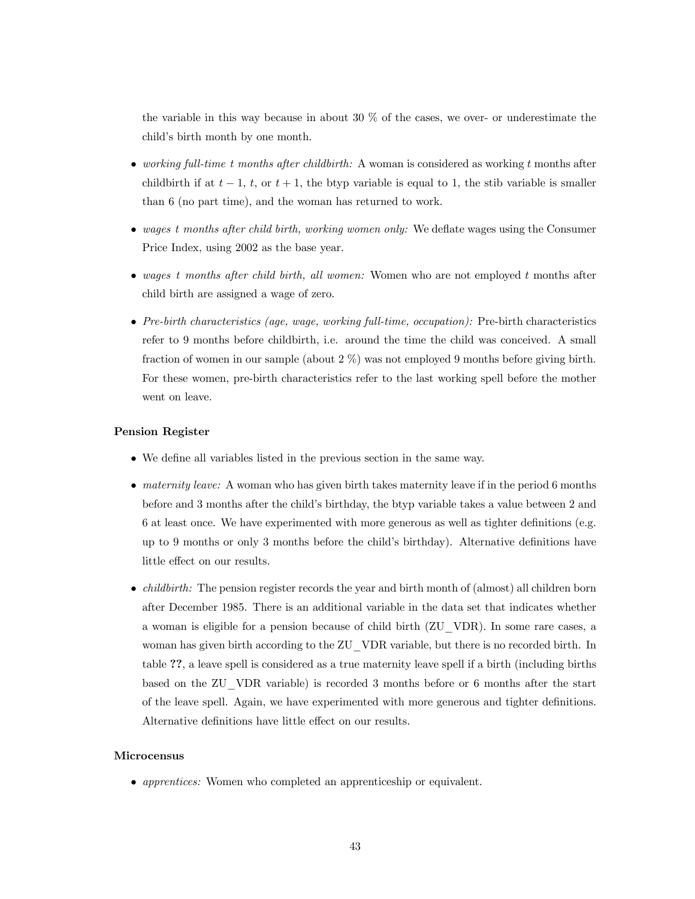the variable in this way because in about 30 % of the cases, we over- or underestimate the child's birth month by one month.

- working full-time t months after childbirth: A woman is considered as working t months after childbirth if at  $t - 1$ ,  $t$ , or  $t + 1$ , the btyp variable is equal to 1, the stib variable is smaller than 6 (no part time), and the woman has returned to work.
- wages t months after child birth, working women only: We deflate wages using the Consumer Price Index, using 2002 as the base year.
- wages t months after child birth, all women: Women who are not employed t months after child birth are assigned a wage of zero.
- Pre-birth characteristics (age, wage, working full-time, occupation): Pre-birth characteristics refer to 9 months before childbirth, i.e. around the time the child was conceived. A small fraction of women in our sample (about 2 %) was not employed 9 months before giving birth. For these women, pre-birth characteristics refer to the last working spell before the mother went on leave.

#### Pension Register

- We define all variables listed in the previous section in the same way.
- $\bullet$  maternity leave: A woman who has given birth takes maternity leave if in the period 6 months before and 3 months after the child's birthday, the btyp variable takes a value between 2 and 6 at least once. We have experimented with more generous as well as tighter definitions (e.g. up to 9 months or only 3 months before the child's birthday). Alternative definitions have little effect on our results.
- $\bullet$  *childbirth:* The pension register records the year and birth month of (almost) all children born after December 1985. There is an additional variable in the data set that indicates whether a woman is eligible for a pension because of child birth (ZU\_VDR). In some rare cases, a woman has given birth according to the ZU\_VDR variable, but there is no recorded birth. In table ??, a leave spell is considered as a true maternity leave spell if a birth (including births based on the ZU\_VDR variable) is recorded 3 months before or 6 months after the start of the leave spell. Again, we have experimented with more generous and tighter definitions. Alternative definitions have little effect on our results.

#### Microcensus

• *apprentices:* Women who completed an apprenticeship or equivalent.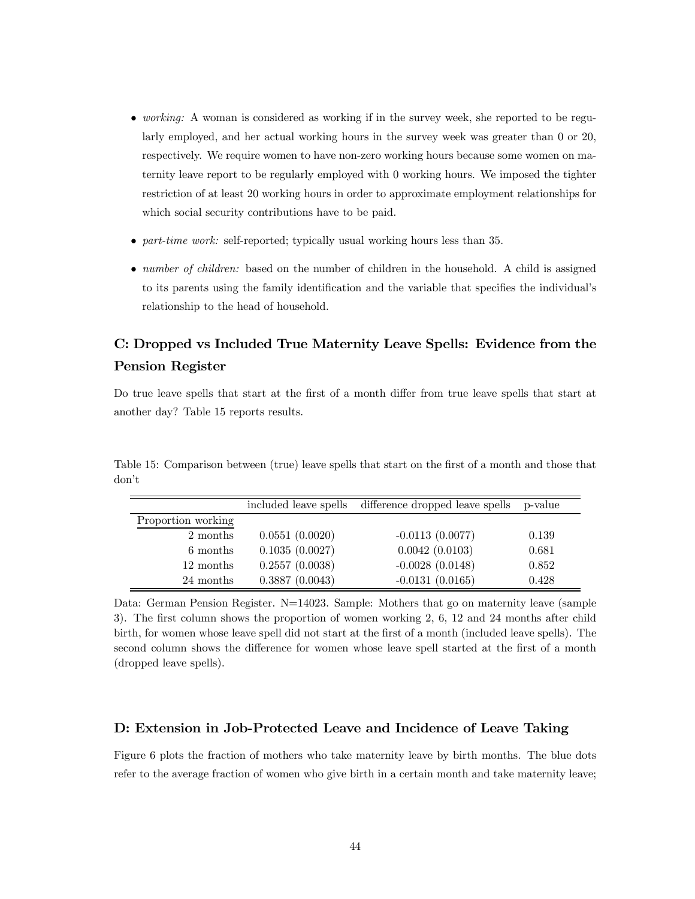- working: A woman is considered as working if in the survey week, she reported to be regularly employed, and her actual working hours in the survey week was greater than 0 or 20, respectively. We require women to have non-zero working hours because some women on maternity leave report to be regularly employed with 0 working hours. We imposed the tighter restriction of at least 20 working hours in order to approximate employment relationships for which social security contributions have to be paid.
- *part-time work:* self-reported; typically usual working hours less than 35.
- *number of children:* based on the number of children in the household. A child is assigned to its parents using the family identification and the variable that specifies the individual's relationship to the head of household.

# C: Dropped vs Included True Maternity Leave Spells: Evidence from the Pension Register

Do true leave spells that start at the first of a month differ from true leave spells that start at another day? Table 15 reports results.

|                    | included leave spells | difference dropped leave spells | p-value |
|--------------------|-----------------------|---------------------------------|---------|
| Proportion working |                       |                                 |         |
| 2 months           | 0.0551(0.0020)        | $-0.0113(0.0077)$               | 0.139   |
| 6 months           | 0.1035(0.0027)        | 0.0042(0.0103)                  | 0.681   |
| 12 months          | 0.2557(0.0038)        | $-0.0028(0.0148)$               | 0.852   |
| 24 months          | 0.3887(0.0043)        | $-0.0131(0.0165)$               | 0.428   |

Table 15: Comparison between (true) leave spells that start on the first of a month and those that don't

Data: German Pension Register. N=14023. Sample: Mothers that go on maternity leave (sample 3). The first column shows the proportion of women working 2, 6, 12 and 24 months after child birth, for women whose leave spell did not start at the first of a month (included leave spells). The second column shows the difference for women whose leave spell started at the first of a month (dropped leave spells).

### D: Extension in Job-Protected Leave and Incidence of Leave Taking

Figure 6 plots the fraction of mothers who take maternity leave by birth months. The blue dots refer to the average fraction of women who give birth in a certain month and take maternity leave;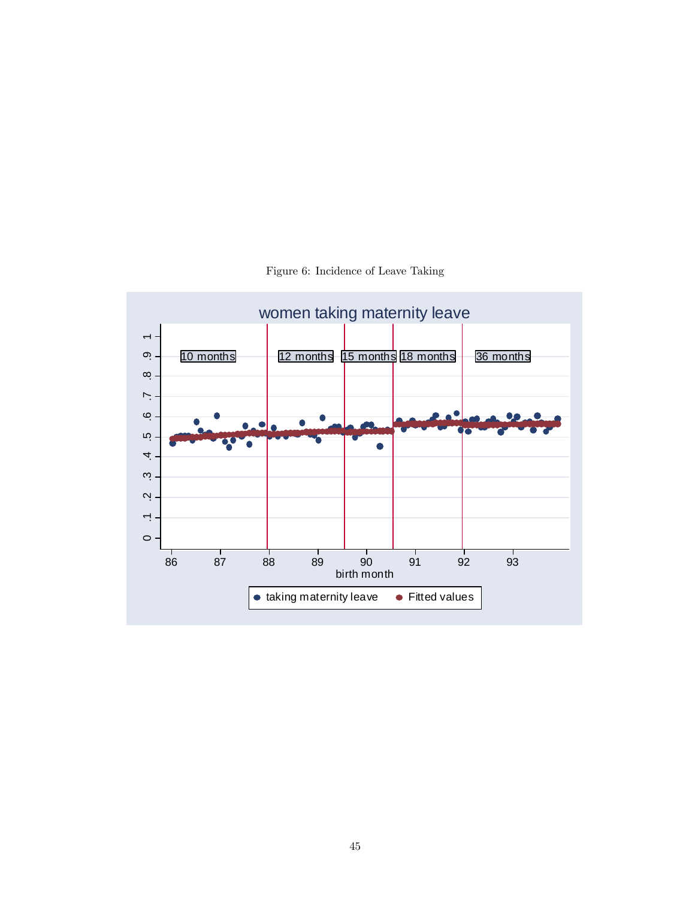

Figure 6: Incidence of Leave Taking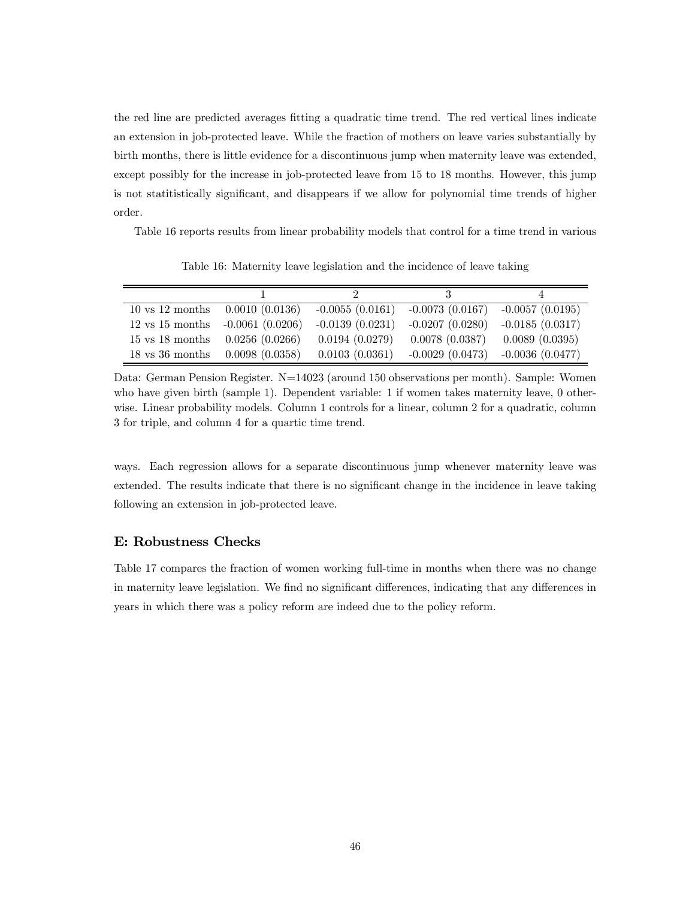the red line are predicted averages fitting a quadratic time trend. The red vertical lines indicate an extension in job-protected leave. While the fraction of mothers on leave varies substantially by birth months, there is little evidence for a discontinuous jump when maternity leave was extended, except possibly for the increase in job-protected leave from 15 to 18 months. However, this jump is not statitistically significant, and disappears if we allow for polynomial time trends of higher order.

Table 16 reports results from linear probability models that control for a time trend in various

| $10 \text{ vs } 12 \text{ months} \quad 0.0010 \ (0.0136)$ |                | $-0.0055(0.0161)$ | $-0.0073(0.0167)$ | $-0.0057(0.0195)$ |
|------------------------------------------------------------|----------------|-------------------|-------------------|-------------------|
| 12 vs 15 months $-0.0061$ (0.0206)                         |                | $-0.0139(0.0231)$ | $-0.0207(0.0280)$ | $-0.0185(0.0317)$ |
| $15 \text{ vs } 18 \text{ months } 0.0256 (0.0266)$        |                | 0.0194(0.0279)    | 0.0078(0.0387)    | 0.0089(0.0395)    |
| $18$ vs $36$ months                                        | 0.0098(0.0358) | 0.0103(0.0361)    | $-0.0029(0.0473)$ | $-0.0036(0.0477)$ |

Table 16: Maternity leave legislation and the incidence of leave taking

ways. Each regression allows for a separate discontinuous jump whenever maternity leave was extended. The results indicate that there is no significant change in the incidence in leave taking following an extension in job-protected leave.

### E: Robustness Checks

Table 17 compares the fraction of women working full-time in months when there was no change in maternity leave legislation. We find no significant differences, indicating that any differences in years in which there was a policy reform are indeed due to the policy reform.

Data: German Pension Register. N=14023 (around 150 observations per month). Sample: Women who have given birth (sample 1). Dependent variable: 1 if women takes maternity leave, 0 otherwise. Linear probability models. Column 1 controls for a linear, column 2 for a quadratic, column 3 for triple, and column 4 for a quartic time trend.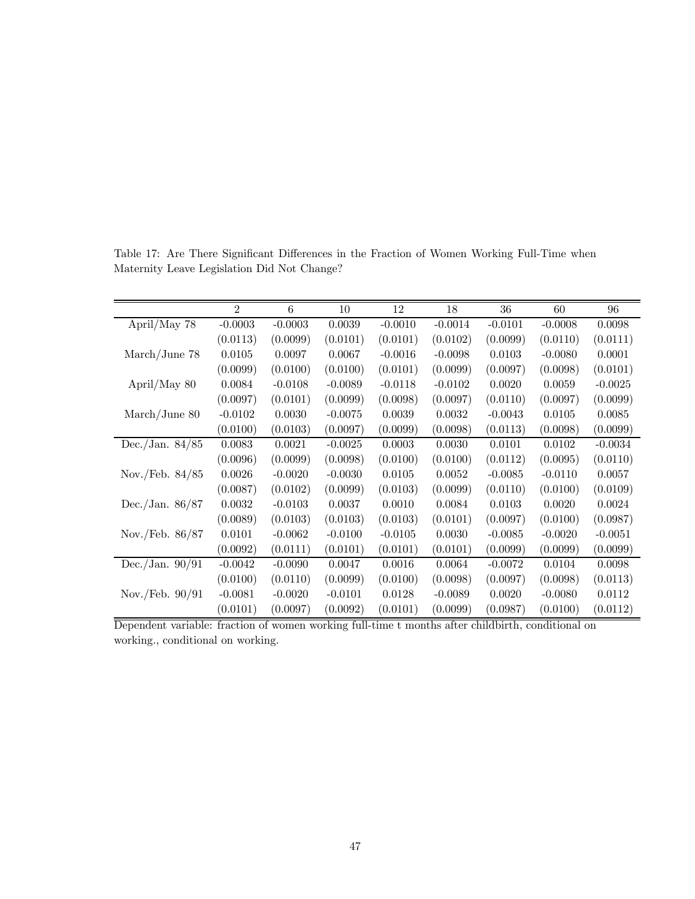|                         | $\overline{2}$ | 6         | 10        | 12        | 18        | 36        | 60        | 96        |
|-------------------------|----------------|-----------|-----------|-----------|-----------|-----------|-----------|-----------|
| April/May 78            | $-0.0003$      | $-0.0003$ | 0.0039    | $-0.0010$ | $-0.0014$ | $-0.0101$ | $-0.0008$ | 0.0098    |
|                         | (0.0113)       | (0.0099)  | (0.0101)  | (0.0101)  | (0.0102)  | (0.0099)  | (0.0110)  | (0.0111)  |
| March/June 78           | 0.0105         | 0.0097    | 0.0067    | $-0.0016$ | $-0.0098$ | 0.0103    | $-0.0080$ | 0.0001    |
|                         | (0.0099)       | (0.0100)  | (0.0100)  | (0.0101)  | (0.0099)  | (0.0097)  | (0.0098)  | (0.0101)  |
| April/May 80            | 0.0084         | $-0.0108$ | $-0.0089$ | $-0.0118$ | $-0.0102$ | 0.0020    | 0.0059    | $-0.0025$ |
|                         | (0.0097)       | (0.0101)  | (0.0099)  | (0.0098)  | (0.0097)  | (0.0110)  | (0.0097)  | (0.0099)  |
| $\text{March/June } 80$ | $-0.0102$      | 0.0030    | $-0.0075$ | 0.0039    | 0.0032    | $-0.0043$ | 0.0105    | 0.0085    |
|                         | (0.0100)       | (0.0103)  | (0.0097)  | (0.0099)  | (0.0098)  | (0.0113)  | (0.0098)  | (0.0099)  |
| Dec./Jan. $84/85$       | 0.0083         | 0.0021    | $-0.0025$ | 0.0003    | 0.0030    | 0.0101    | 0.0102    | $-0.0034$ |
|                         | (0.0096)       | (0.0099)  | (0.0098)  | (0.0100)  | (0.0100)  | (0.0112)  | (0.0095)  | (0.0110)  |
| Nov./Feb. $84/85$       | 0.0026         | $-0.0020$ | $-0.0030$ | 0.0105    | 0.0052    | $-0.0085$ | $-0.0110$ | 0.0057    |
|                         | (0.0087)       | (0.0102)  | (0.0099)  | (0.0103)  | (0.0099)  | (0.0110)  | (0.0100)  | (0.0109)  |
| Dec./Jan. $86/87$       | 0.0032         | $-0.0103$ | 0.0037    | 0.0010    | 0.0084    | 0.0103    | 0.0020    | 0.0024    |
|                         | (0.0089)       | (0.0103)  | (0.0103)  | (0.0103)  | (0.0101)  | (0.0097)  | (0.0100)  | (0.0987)  |
| Nov./Feb. $86/87$       | 0.0101         | $-0.0062$ | $-0.0100$ | $-0.0105$ | 0.0030    | $-0.0085$ | $-0.0020$ | $-0.0051$ |
|                         | (0.0092)       | (0.0111)  | (0.0101)  | (0.0101)  | (0.0101)  | (0.0099)  | (0.0099)  | (0.0099)  |
| Dec./Jan. $90/91$       | $-0.0042$      | $-0.0090$ | 0.0047    | 0.0016    | 0.0064    | $-0.0072$ | 0.0104    | 0.0098    |
|                         | (0.0100)       | (0.0110)  | (0.0099)  | (0.0100)  | (0.0098)  | (0.0097)  | (0.0098)  | (0.0113)  |
| Nov./Feb. $90/91$       | $-0.0081$      | $-0.0020$ | $-0.0101$ | 0.0128    | $-0.0089$ | 0.0020    | $-0.0080$ | 0.0112    |
|                         | (0.0101)       | (0.0097)  | (0.0092)  | (0.0101)  | (0.0099)  | (0.0987)  | (0.0100)  | (0.0112)  |

Table 17: Are There Significant Differences in the Fraction of Women Working Full-Time when Maternity Leave Legislation Did Not Change?

Dependent variable: fraction of women working full-time t months after childbirth, conditional on working., conditional on working.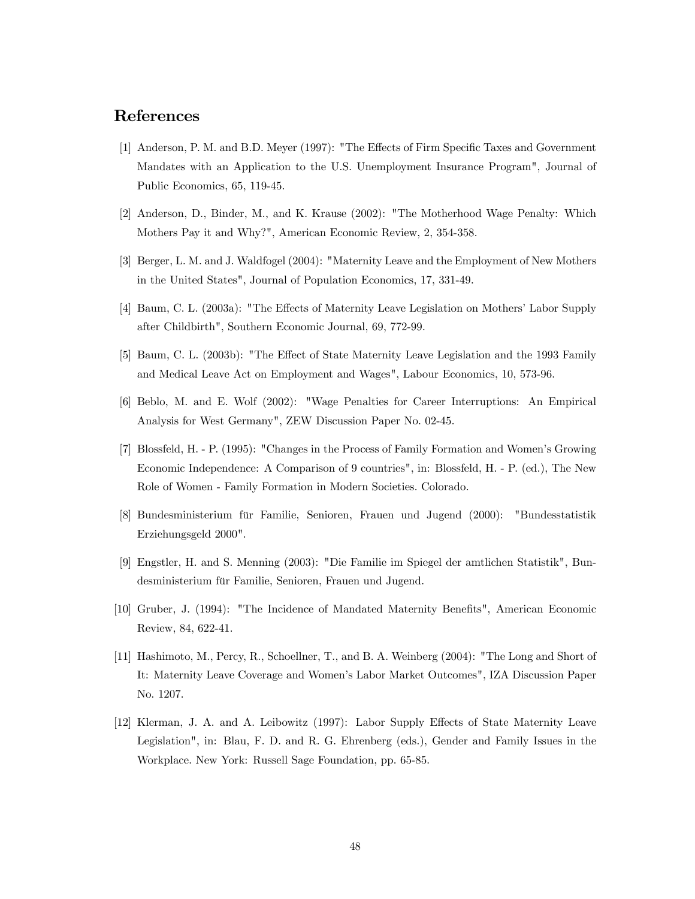# References

- [1] Anderson, P. M. and B.D. Meyer (1997): "The Effects of Firm Specific Taxes and Government Mandates with an Application to the U.S. Unemployment Insurance Program", Journal of Public Economics, 65, 119-45.
- [2] Anderson, D., Binder, M., and K. Krause (2002): "The Motherhood Wage Penalty: Which Mothers Pay it and Why?", American Economic Review, 2, 354-358.
- [3] Berger, L. M. and J. Waldfogel (2004): "Maternity Leave and the Employment of New Mothers in the United States", Journal of Population Economics, 17, 331-49.
- [4] Baum, C. L. (2003a): "The Effects of Maternity Leave Legislation on Mothers' Labor Supply after Childbirth", Southern Economic Journal, 69, 772-99.
- [5] Baum, C. L. (2003b): "The Effect of State Maternity Leave Legislation and the 1993 Family and Medical Leave Act on Employment and Wages", Labour Economics, 10, 573-96.
- [6] Beblo, M. and E. Wolf (2002): "Wage Penalties for Career Interruptions: An Empirical Analysis for West Germany", ZEW Discussion Paper No. 02-45.
- [7] Blossfeld, H. P. (1995): "Changes in the Process of Family Formation and Women's Growing Economic Independence: A Comparison of 9 countries", in: Blossfeld, H. - P. (ed.), The New Role of Women - Family Formation in Modern Societies. Colorado.
- [8] Bundesministerium für Familie, Senioren, Frauen und Jugend (2000): "Bundesstatistik Erziehungsgeld 2000".
- [9] Engstler, H. and S. Menning (2003): "Die Familie im Spiegel der amtlichen Statistik", Bundesministerium für Familie, Senioren, Frauen und Jugend.
- [10] Gruber, J. (1994): "The Incidence of Mandated Maternity Benefits", American Economic Review, 84, 622-41.
- [11] Hashimoto, M., Percy, R., Schoellner, T., and B. A. Weinberg (2004): "The Long and Short of It: Maternity Leave Coverage and Women's Labor Market Outcomes", IZA Discussion Paper No. 1207.
- [12] Klerman, J. A. and A. Leibowitz (1997): Labor Supply Effects of State Maternity Leave Legislation", in: Blau, F. D. and R. G. Ehrenberg (eds.), Gender and Family Issues in the Workplace. New York: Russell Sage Foundation, pp. 65-85.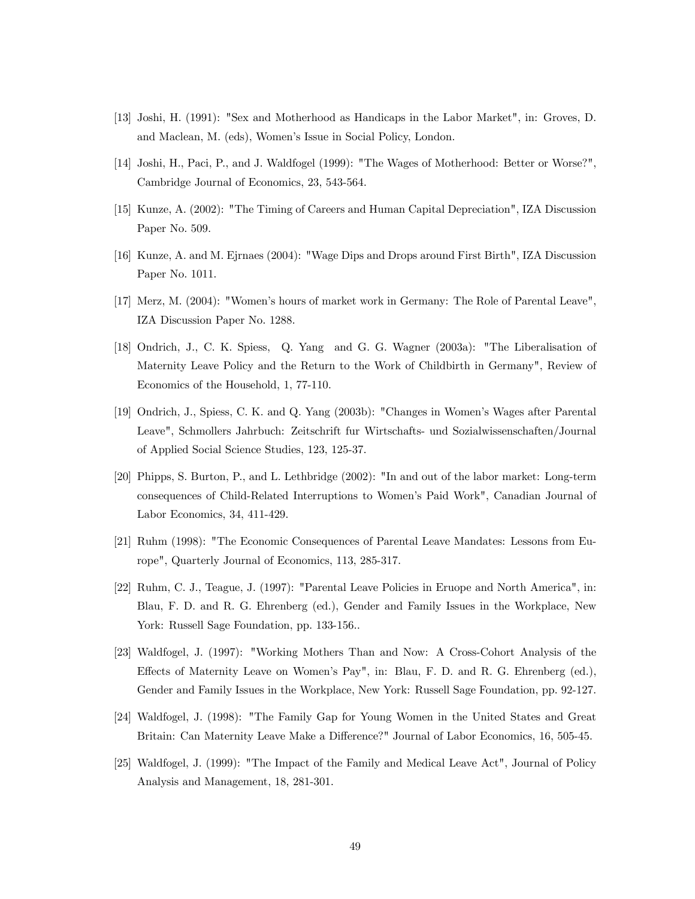- [13] Joshi, H. (1991): "Sex and Motherhood as Handicaps in the Labor Market", in: Groves, D. and Maclean, M. (eds), Women's Issue in Social Policy, London.
- [14] Joshi, H., Paci, P., and J. Waldfogel (1999): "The Wages of Motherhood: Better or Worse?", Cambridge Journal of Economics, 23, 543-564.
- [15] Kunze, A. (2002): "The Timing of Careers and Human Capital Depreciation", IZA Discussion Paper No. 509.
- [16] Kunze, A. and M. Ejrnaes (2004): "Wage Dips and Drops around First Birth", IZA Discussion Paper No. 1011.
- [17] Merz, M. (2004): "Women's hours of market work in Germany: The Role of Parental Leave", IZA Discussion Paper No. 1288.
- [18] Ondrich, J., C. K. Spiess, Q. Yang and G. G. Wagner (2003a): "The Liberalisation of Maternity Leave Policy and the Return to the Work of Childbirth in Germany", Review of Economics of the Household, 1, 77-110.
- [19] Ondrich, J., Spiess, C. K. and Q. Yang (2003b): "Changes in Women's Wages after Parental Leave", Schmollers Jahrbuch: Zeitschrift fur Wirtschafts- und Sozialwissenschaften/Journal of Applied Social Science Studies, 123, 125-37.
- [20] Phipps, S. Burton, P., and L. Lethbridge (2002): "In and out of the labor market: Long-term consequences of Child-Related Interruptions to Women's Paid Work", Canadian Journal of Labor Economics, 34, 411-429.
- [21] Ruhm (1998): "The Economic Consequences of Parental Leave Mandates: Lessons from Europe", Quarterly Journal of Economics, 113, 285-317.
- [22] Ruhm, C. J., Teague, J. (1997): "Parental Leave Policies in Eruope and North America", in: Blau, F. D. and R. G. Ehrenberg (ed.), Gender and Family Issues in the Workplace, New York: Russell Sage Foundation, pp. 133-156..
- [23] Waldfogel, J. (1997): "Working Mothers Than and Now: A Cross-Cohort Analysis of the Effects of Maternity Leave on Women's Pay", in: Blau, F. D. and R. G. Ehrenberg (ed.), Gender and Family Issues in the Workplace, New York: Russell Sage Foundation, pp. 92-127.
- [24] Waldfogel, J. (1998): "The Family Gap for Young Women in the United States and Great Britain: Can Maternity Leave Make a Difference?" Journal of Labor Economics, 16, 505-45.
- [25] Waldfogel, J. (1999): "The Impact of the Family and Medical Leave Act", Journal of Policy Analysis and Management, 18, 281-301.